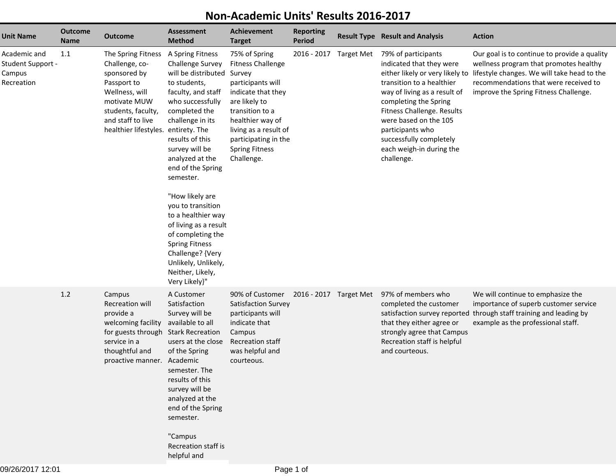| <b>Unit Name</b>                                          | <b>Outcome</b><br><b>Name</b> | <b>Outcome</b>                                                                                                                                                                          | <b>Assessment</b><br><b>Method</b>                                                                                                                                                                                                                                                                                                                                                                                                                                               | <b>Achievement</b><br><b>Target</b>                                                                                                                                                                                                            | <b>Reporting</b><br><b>Period</b> |                        | <b>Result Type Result and Analysis</b>                                                                                                                                                                                                                                                                                   | <b>Action</b>                                                                                                                                                                                                           |
|-----------------------------------------------------------|-------------------------------|-----------------------------------------------------------------------------------------------------------------------------------------------------------------------------------------|----------------------------------------------------------------------------------------------------------------------------------------------------------------------------------------------------------------------------------------------------------------------------------------------------------------------------------------------------------------------------------------------------------------------------------------------------------------------------------|------------------------------------------------------------------------------------------------------------------------------------------------------------------------------------------------------------------------------------------------|-----------------------------------|------------------------|--------------------------------------------------------------------------------------------------------------------------------------------------------------------------------------------------------------------------------------------------------------------------------------------------------------------------|-------------------------------------------------------------------------------------------------------------------------------------------------------------------------------------------------------------------------|
| Academic and<br>Student Support -<br>Campus<br>Recreation | 1.1                           | The Spring Fitness<br>Challenge, co-<br>sponsored by<br>Passport to<br>Wellness, will<br>motivate MUW<br>students, faculty,<br>and staff to live<br>healthier lifestyles. entirety. The | A Spring Fitness<br><b>Challenge Survey</b><br>will be distributed<br>to students,<br>faculty, and staff<br>who successfully<br>completed the<br>challenge in its<br>results of this<br>survey will be<br>analyzed at the<br>end of the Spring<br>semester.<br>"How likely are<br>you to transition<br>to a healthier way<br>of living as a result<br>of completing the<br><b>Spring Fitness</b><br>Challenge? {Very<br>Unlikely, Unlikely,<br>Neither, Likely,<br>Very Likely}" | 75% of Spring<br><b>Fitness Challenge</b><br>Survey<br>participants will<br>indicate that they<br>are likely to<br>transition to a<br>healthier way of<br>living as a result of<br>participating in the<br><b>Spring Fitness</b><br>Challenge. |                                   | 2016 - 2017 Target Met | 79% of participants<br>indicated that they were<br>either likely or very likely to<br>transition to a healthier<br>way of living as a result of<br>completing the Spring<br>Fitness Challenge. Results<br>were based on the 105<br>participants who<br>successfully completely<br>each weigh-in during the<br>challenge. | Our goal is to continue to provide a quality<br>wellness program that promotes healthy<br>lifestyle changes. We will take head to the<br>recommendations that were received to<br>improve the Spring Fitness Challenge. |
|                                                           | 1.2                           | Campus<br><b>Recreation will</b><br>provide a<br>welcoming facility<br>for guests through<br>service in a<br>thoughtful and<br>proactive manner.                                        | A Customer<br>Satisfaction<br>Survey will be<br>available to all<br><b>Stark Recreation</b><br>users at the close<br>of the Spring<br>Academic<br>semester. The<br>results of this<br>survey will be<br>analyzed at the<br>end of the Spring<br>semester.<br>"Campus<br>Recreation staff is<br>helpful and                                                                                                                                                                       | 90% of Customer<br>Satisfaction Survey<br>participants will<br>indicate that<br>Campus<br><b>Recreation staff</b><br>was helpful and<br>courteous.                                                                                             | 2016 - 2017 Target Met            |                        | 97% of members who<br>completed the customer<br>satisfaction survey reported<br>that they either agree or<br>strongly agree that Campus<br>Recreation staff is helpful<br>and courteous.                                                                                                                                 | We will continue to emphasize the<br>importance of superb customer service<br>through staff training and leading by<br>example as the professional staff.                                                               |

## **Non-Academic Units' Results 2016-2017**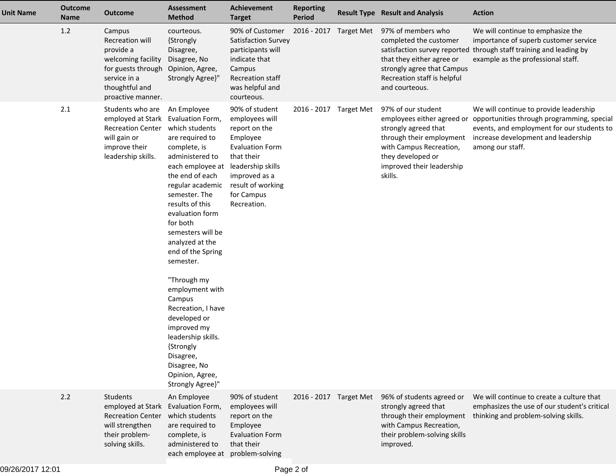| <b>Unit Name</b> | <b>Outcome</b><br>Name | <b>Outcome</b>                                                                                                                                   | <b>Assessment</b><br><b>Method</b>                                                                                                                                                                                                                                                                                                                                                                                                                                                                  | <b>Achievement</b><br><b>Target</b>                                                                                                                                                           | <b>Reporting</b><br>Period | <b>Result Type Result and Analysis</b>                                                                                                                                                       | <b>Action</b>                                                                                                                                                                                 |
|------------------|------------------------|--------------------------------------------------------------------------------------------------------------------------------------------------|-----------------------------------------------------------------------------------------------------------------------------------------------------------------------------------------------------------------------------------------------------------------------------------------------------------------------------------------------------------------------------------------------------------------------------------------------------------------------------------------------------|-----------------------------------------------------------------------------------------------------------------------------------------------------------------------------------------------|----------------------------|----------------------------------------------------------------------------------------------------------------------------------------------------------------------------------------------|-----------------------------------------------------------------------------------------------------------------------------------------------------------------------------------------------|
|                  | 1.2                    | Campus<br><b>Recreation will</b><br>provide a<br>welcoming facility<br>for guests through<br>service in a<br>thoughtful and<br>proactive manner. | courteous.<br>{Strongly<br>Disagree,<br>Disagree, No<br>Opinion, Agree,<br>Strongly Agree}"                                                                                                                                                                                                                                                                                                                                                                                                         | 90% of Customer<br>Satisfaction Survey<br>participants will<br>indicate that<br>Campus<br><b>Recreation staff</b><br>was helpful and<br>courteous.                                            | 2016 - 2017 Target Met     | 97% of members who<br>completed the customer<br>satisfaction survey reported<br>that they either agree or<br>strongly agree that Campus<br>Recreation staff is helpful<br>and courteous.     | We will continue to emphasize the<br>importance of superb customer service<br>through staff training and leading by<br>example as the professional staff.                                     |
|                  | 2.1                    | Students who are<br>employed at Stark Evaluation Form,<br><b>Recreation Center</b><br>will gain or<br>improve their<br>leadership skills.        | An Employee<br>which students<br>are required to<br>complete, is<br>administered to<br>each employee at<br>the end of each<br>regular academic<br>semester. The<br>results of this<br>evaluation form<br>for both<br>semesters will be<br>analyzed at the<br>end of the Spring<br>semester.<br>"Through my<br>employment with<br>Campus<br>Recreation, I have<br>developed or<br>improved my<br>leadership skills.<br>{Strongly<br>Disagree,<br>Disagree, No<br>Opinion, Agree,<br>Strongly Agree}" | 90% of student<br>employees will<br>report on the<br>Employee<br><b>Evaluation Form</b><br>that their<br>leadership skills<br>improved as a<br>result of working<br>for Campus<br>Recreation. | 2016 - 2017 Target Met     | 97% of our student<br>employees either agreed or<br>strongly agreed that<br>through their employment<br>with Campus Recreation,<br>they developed or<br>improved their leadership<br>skills. | We will continue to provide leadership<br>opportunities through programming, special<br>events, and employment for our students to<br>increase development and leadership<br>among our staff. |
|                  | 2.2                    | Students<br>employed at Stark<br><b>Recreation Center</b><br>will strengthen<br>their problem-<br>solving skills.                                | An Employee<br>Evaluation Form,<br>which students<br>are required to<br>complete, is<br>administered to<br>each employee at problem-solving                                                                                                                                                                                                                                                                                                                                                         | 90% of student<br>employees will<br>report on the<br>Employee<br><b>Evaluation Form</b><br>that their                                                                                         | 2016 - 2017 Target Met     | 96% of students agreed or<br>strongly agreed that<br>through their employment<br>with Campus Recreation,<br>their problem-solving skills<br>improved.                                        | We will continue to create a culture that<br>emphasizes the use of our student's critical<br>thinking and problem-solving skills.                                                             |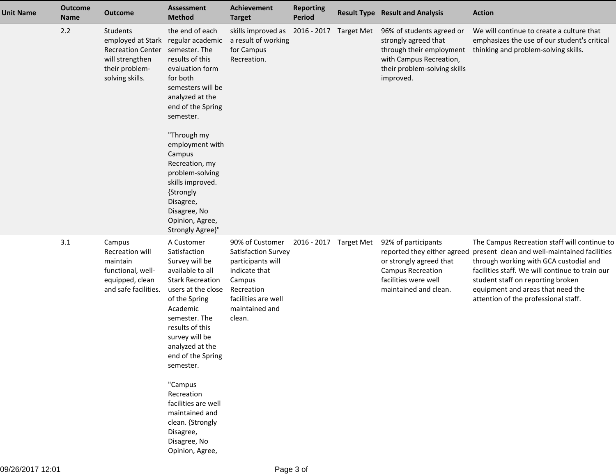| <b>Unit Name</b> | <b>Outcome</b><br><b>Name</b> | <b>Outcome</b>                                                                                                                     | <b>Assessment</b><br><b>Method</b>                                                                                                                                                                                                                                                                                                                                                              | Achievement<br><b>Target</b>                                                                                                                            | <b>Reporting</b><br><b>Period</b> |                   | <b>Result Type Result and Analysis</b>                                                                                                                     | <b>Action</b>                                                                                                                                                                                                                                                                                               |
|------------------|-------------------------------|------------------------------------------------------------------------------------------------------------------------------------|-------------------------------------------------------------------------------------------------------------------------------------------------------------------------------------------------------------------------------------------------------------------------------------------------------------------------------------------------------------------------------------------------|---------------------------------------------------------------------------------------------------------------------------------------------------------|-----------------------------------|-------------------|------------------------------------------------------------------------------------------------------------------------------------------------------------|-------------------------------------------------------------------------------------------------------------------------------------------------------------------------------------------------------------------------------------------------------------------------------------------------------------|
|                  | 2.2                           | Students<br>employed at Stark regular academic<br><b>Recreation Center</b><br>will strengthen<br>their problem-<br>solving skills. | the end of each<br>semester. The<br>results of this<br>evaluation form<br>for both<br>semesters will be<br>analyzed at the<br>end of the Spring<br>semester.<br>"Through my<br>employment with<br>Campus<br>Recreation, my<br>problem-solving<br>skills improved.<br>{Strongly<br>Disagree,<br>Disagree, No<br>Opinion, Agree,<br>Strongly Agree}"                                              | skills improved as<br>a result of working<br>for Campus<br>Recreation.                                                                                  | 2016 - 2017                       | <b>Target Met</b> | 96% of students agreed or<br>strongly agreed that<br>through their employment<br>with Campus Recreation,<br>their problem-solving skills<br>improved.      | We will continue to create a culture that<br>emphasizes the use of our student's critical<br>thinking and problem-solving skills.                                                                                                                                                                           |
|                  | 3.1                           | Campus<br>Recreation will<br>maintain<br>functional, well-<br>equipped, clean<br>and safe facilities.                              | A Customer<br>Satisfaction<br>Survey will be<br>available to all<br><b>Stark Recreation</b><br>users at the close<br>of the Spring<br>Academic<br>semester. The<br>results of this<br>survey will be<br>analyzed at the<br>end of the Spring<br>semester.<br>"Campus<br>Recreation<br>facilities are well<br>maintained and<br>clean. {Strongly<br>Disagree,<br>Disagree, No<br>Opinion, Agree, | 90% of Customer<br>Satisfaction Survey<br>participants will<br>indicate that<br>Campus<br>Recreation<br>facilities are well<br>maintained and<br>clean. | 2016 - 2017                       | Target Met        | 92% of participants<br>reported they either agreed<br>or strongly agreed that<br><b>Campus Recreation</b><br>facilities were well<br>maintained and clean. | The Campus Recreation staff will continue to<br>present clean and well-maintained facilities<br>through working with GCA custodial and<br>facilities staff. We will continue to train our<br>student staff on reporting broken<br>equipment and areas that need the<br>attention of the professional staff. |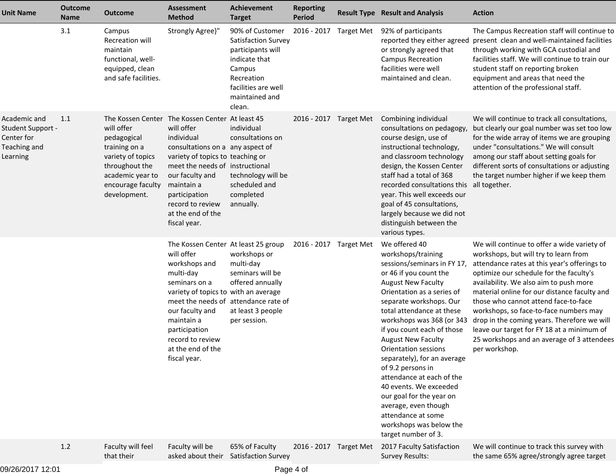| <b>Unit Name</b>                                                            | <b>Outcome</b><br><b>Name</b> | <b>Outcome</b>                                                                                                                                                                                | <b>Assessment</b><br><b>Method</b>                                                                                                                                                                                                                                                          | Achievement<br><b>Target</b>                                                                                                                            | <b>Reporting</b><br><b>Period</b> |                   | <b>Result Type Result and Analysis</b>                                                                                                                                                                                                                                                                                                                                                                                                                                                                                                                                 | <b>Action</b>                                                                                                                                                                                                                                                                                                                                                                                                                                                                                                           |
|-----------------------------------------------------------------------------|-------------------------------|-----------------------------------------------------------------------------------------------------------------------------------------------------------------------------------------------|---------------------------------------------------------------------------------------------------------------------------------------------------------------------------------------------------------------------------------------------------------------------------------------------|---------------------------------------------------------------------------------------------------------------------------------------------------------|-----------------------------------|-------------------|------------------------------------------------------------------------------------------------------------------------------------------------------------------------------------------------------------------------------------------------------------------------------------------------------------------------------------------------------------------------------------------------------------------------------------------------------------------------------------------------------------------------------------------------------------------------|-------------------------------------------------------------------------------------------------------------------------------------------------------------------------------------------------------------------------------------------------------------------------------------------------------------------------------------------------------------------------------------------------------------------------------------------------------------------------------------------------------------------------|
|                                                                             | 3.1                           | Campus<br>Recreation will<br>maintain<br>functional, well-<br>equipped, clean<br>and safe facilities.                                                                                         | Strongly Agree}"                                                                                                                                                                                                                                                                            | 90% of Customer<br>Satisfaction Survey<br>participants will<br>indicate that<br>Campus<br>Recreation<br>facilities are well<br>maintained and<br>clean. | 2016 - 2017                       | <b>Target Met</b> | 92% of participants<br>reported they either agreed<br>or strongly agreed that<br><b>Campus Recreation</b><br>facilities were well<br>maintained and clean.                                                                                                                                                                                                                                                                                                                                                                                                             | The Campus Recreation staff will continue to<br>present clean and well-maintained facilities<br>through working with GCA custodial and<br>facilities staff. We will continue to train our<br>student staff on reporting broken<br>equipment and areas that need the<br>attention of the professional staff.                                                                                                                                                                                                             |
| Academic and<br>Student Support -<br>Center for<br>Teaching and<br>Learning | 1.1                           | The Kossen Center The Kossen Center At least 45<br>will offer<br>pedagogical<br>training on a<br>variety of topics<br>throughout the<br>academic year to<br>encourage faculty<br>development. | will offer<br>individual<br>consultations on a any aspect of<br>variety of topics to teaching or<br>meet the needs of instructional<br>our faculty and<br>maintain a<br>participation<br>record to review<br>at the end of the<br>fiscal year.                                              | individual<br>consultations on<br>technology will be<br>scheduled and<br>completed<br>annually.                                                         | 2016 - 2017 Target Met            |                   | Combining individual<br>consultations on pedagogy,<br>course design, use of<br>instructional technology,<br>and classroom technology<br>design, the Kossen Center<br>staff had a total of 368<br>recorded consultations this all together.<br>year. This well exceeds our<br>goal of 45 consultations,<br>largely because we did not<br>distinguish between the<br>various types.                                                                                                                                                                                      | We will continue to track all consultations,<br>but clearly our goal number was set too low<br>for the wide array of items we are grouping<br>under "consultations." We will consult<br>among our staff about setting goals for<br>different sorts of consultations or adjusting<br>the target number higher if we keep them                                                                                                                                                                                            |
|                                                                             |                               |                                                                                                                                                                                               | The Kossen Center At least 25 group<br>will offer<br>workshops and<br>multi-day<br>seminars on a<br>variety of topics to with an average<br>meet the needs of attendance rate of<br>our faculty and<br>maintain a<br>participation<br>record to review<br>at the end of the<br>fiscal year. | workshops or<br>multi-day<br>seminars will be<br>offered annually<br>at least 3 people<br>per session.                                                  | 2016 - 2017 Target Met            |                   | We offered 40<br>workshops/training<br>sessions/seminars in FY 17,<br>or 46 if you count the<br><b>August New Faculty</b><br>Orientation as a series of<br>separate workshops. Our<br>total attendance at these<br>workshops was 368 (or 343<br>if you count each of those<br><b>August New Faculty</b><br>Orientation sessions<br>separately), for an average<br>of 9.2 persons in<br>attendance at each of the<br>40 events. We exceeded<br>our goal for the year on<br>average, even though<br>attendance at some<br>workshops was below the<br>target number of 3. | We will continue to offer a wide variety of<br>workshops, but will try to learn from<br>attendance rates at this year's offerings to<br>optimize our schedule for the faculty's<br>availability. We also aim to push more<br>material online for our distance faculty and<br>those who cannot attend face-to-face<br>workshops, so face-to-face numbers may<br>drop in the coming years. Therefore we will<br>leave our target for FY 18 at a minimum of<br>25 workshops and an average of 3 attendees<br>per workshop. |
|                                                                             | 1.2                           | Faculty will feel<br>that their                                                                                                                                                               | Faculty will be<br>asked about their Satisfaction Survey                                                                                                                                                                                                                                    | 65% of Faculty                                                                                                                                          | 2016 - 2017 Target Met            |                   | 2017 Faculty Satisfaction<br><b>Survey Results:</b>                                                                                                                                                                                                                                                                                                                                                                                                                                                                                                                    | We will continue to track this survey with<br>the same 65% agree/strongly agree target                                                                                                                                                                                                                                                                                                                                                                                                                                  |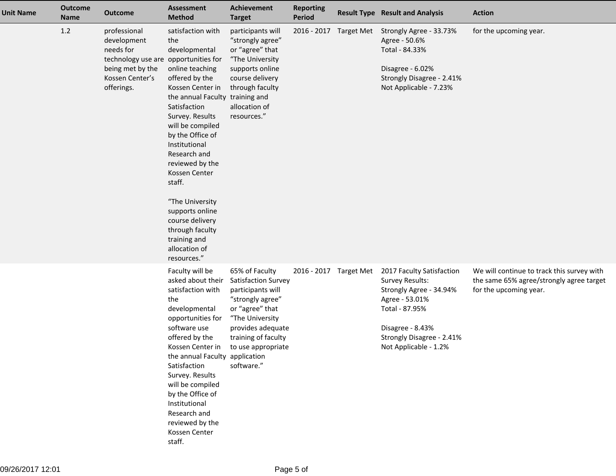| <b>Unit Name</b> | <b>Outcome</b><br><b>Name</b> | <b>Outcome</b>                                                                                                                        | <b>Assessment</b><br><b>Method</b>                                                                                                                                                                                                                                                                                                                                                                                          | Achievement<br><b>Target</b>                                                                                                                                                                         | <b>Reporting</b><br><b>Period</b> | <b>Result Type Result and Analysis</b>                                                                                                                                                       | <b>Action</b>                                                                                                    |
|------------------|-------------------------------|---------------------------------------------------------------------------------------------------------------------------------------|-----------------------------------------------------------------------------------------------------------------------------------------------------------------------------------------------------------------------------------------------------------------------------------------------------------------------------------------------------------------------------------------------------------------------------|------------------------------------------------------------------------------------------------------------------------------------------------------------------------------------------------------|-----------------------------------|----------------------------------------------------------------------------------------------------------------------------------------------------------------------------------------------|------------------------------------------------------------------------------------------------------------------|
|                  | $1.2\,$                       | professional<br>development<br>needs for<br>technology use are opportunities for<br>being met by the<br>Kossen Center's<br>offerings. | satisfaction with<br>the<br>developmental<br>online teaching<br>offered by the<br>Kossen Center in<br>the annual Faculty training and<br>Satisfaction<br>Survey. Results<br>will be compiled<br>by the Office of<br>Institutional<br>Research and<br>reviewed by the<br>Kossen Center<br>staff.<br>"The University<br>supports online<br>course delivery<br>through faculty<br>training and<br>allocation of<br>resources." | participants will<br>"strongly agree"<br>or "agree" that<br>"The University<br>supports online<br>course delivery<br>through faculty<br>allocation of<br>resources."                                 |                                   | 2016 - 2017 Target Met Strongly Agree - 33.73%<br>Agree - 50.6%<br>Total - 84.33%<br>Disagree - 6.02%<br>Strongly Disagree - 2.41%<br>Not Applicable - 7.23%                                 | for the upcoming year.                                                                                           |
|                  |                               |                                                                                                                                       | Faculty will be<br>asked about their<br>satisfaction with<br>the<br>developmental<br>opportunities for<br>software use<br>offered by the<br>Kossen Center in<br>the annual Faculty application<br>Satisfaction<br>Survey. Results<br>will be compiled<br>by the Office of<br>Institutional<br>Research and<br>reviewed by the<br>Kossen Center<br>staff.                                                                    | 65% of Faculty<br>Satisfaction Survey<br>participants will<br>"strongly agree"<br>or "agree" that<br>"The University<br>provides adequate<br>training of faculty<br>to use appropriate<br>software." | 2016 - 2017 Target Met            | 2017 Faculty Satisfaction<br><b>Survey Results:</b><br>Strongly Agree - 34.94%<br>Agree - 53.01%<br>Total - 87.95%<br>Disagree - 8.43%<br>Strongly Disagree - 2.41%<br>Not Applicable - 1.2% | We will continue to track this survey with<br>the same 65% agree/strongly agree target<br>for the upcoming year. |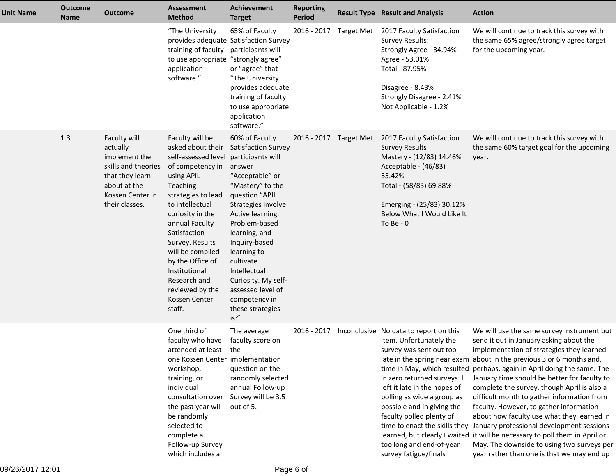| <b>Unit Name</b> | <b>Outcome</b><br><b>Name</b> | <b>Outcome</b>                                                                                                                            | <b>Assessment</b><br><b>Method</b>                                                                                                                                                                                                                                                                                                                 | <b>Achievement</b><br><b>Target</b>                                                                                                                                                                                                                                                                                                                                    | <b>Reporting</b><br><b>Period</b> | <b>Result Type Result and Analysis</b>                                                                                                                                                                                                                                                                                                    | <b>Action</b>                                                                                                                                                                                                                                                                                                                                                                                                                                                                                                                                                                                                                                                                                                                                        |
|------------------|-------------------------------|-------------------------------------------------------------------------------------------------------------------------------------------|----------------------------------------------------------------------------------------------------------------------------------------------------------------------------------------------------------------------------------------------------------------------------------------------------------------------------------------------------|------------------------------------------------------------------------------------------------------------------------------------------------------------------------------------------------------------------------------------------------------------------------------------------------------------------------------------------------------------------------|-----------------------------------|-------------------------------------------------------------------------------------------------------------------------------------------------------------------------------------------------------------------------------------------------------------------------------------------------------------------------------------------|------------------------------------------------------------------------------------------------------------------------------------------------------------------------------------------------------------------------------------------------------------------------------------------------------------------------------------------------------------------------------------------------------------------------------------------------------------------------------------------------------------------------------------------------------------------------------------------------------------------------------------------------------------------------------------------------------------------------------------------------------|
|                  |                               |                                                                                                                                           | "The University<br>training of faculty participants will<br>to use appropriate "strongly agree"<br>application<br>software."                                                                                                                                                                                                                       | 65% of Faculty<br>provides adequate Satisfaction Survey<br>or "agree" that<br>"The University<br>provides adequate<br>training of faculty<br>to use appropriate<br>application<br>software."                                                                                                                                                                           |                                   | 2016 - 2017 Target Met 2017 Faculty Satisfaction<br><b>Survey Results:</b><br>Strongly Agree - 34.94%<br>Agree - 53.01%<br>Total - 87.95%<br>Disagree - 8.43%<br>Strongly Disagree - 2.41%<br>Not Applicable - 1.2%                                                                                                                       | We will continue to track this survey with<br>the same 65% agree/strongly agree target<br>for the upcoming year.                                                                                                                                                                                                                                                                                                                                                                                                                                                                                                                                                                                                                                     |
|                  | 1.3                           | Faculty will<br>actually<br>implement the<br>skills and theories<br>that they learn<br>about at the<br>Kossen Center in<br>their classes. | Faculty will be<br>asked about their<br>self-assessed level<br>of competency in<br>using APIL<br>Teaching<br>strategies to lead<br>to intellectual<br>curiosity in the<br>annual Faculty<br>Satisfaction<br>Survey. Results<br>will be compiled<br>by the Office of<br>Institutional<br>Research and<br>reviewed by the<br>Kossen Center<br>staff. | 60% of Faculty<br><b>Satisfaction Survey</b><br>participants will<br>answer<br>"Acceptable" or<br>"Mastery" to the<br>question "APIL<br>Strategies involve<br>Active learning,<br>Problem-based<br>learning, and<br>Inquiry-based<br>learning to<br>cultivate<br>Intellectual<br>Curiosity. My self-<br>assessed level of<br>competency in<br>these strategies<br>is:" | 2016 - 2017 Target Met            | 2017 Faculty Satisfaction<br><b>Survey Results</b><br>Mastery - (12/83) 14.46%<br>Acceptable - (46/83)<br>55.42%<br>Total - (58/83) 69.88%<br>Emerging - (25/83) 30.12%<br>Below What I Would Like It<br>To Be - $0$                                                                                                                      | We will continue to track this survey with<br>the same 60% target goal for the upcoming<br>year.                                                                                                                                                                                                                                                                                                                                                                                                                                                                                                                                                                                                                                                     |
|                  |                               |                                                                                                                                           | One third of<br>faculty who have<br>attended at least<br>one Kossen Center implementation<br>workshop,<br>training, or<br>individual<br>consultation over<br>the past year will<br>be randomly<br>selected to<br>complete a<br>Follow-up Survey<br>which includes a                                                                                | The average<br>faculty score on<br>the<br>question on the<br>randomly selected<br>annual Follow-up<br>Survey will be 3.5<br>out of 5.                                                                                                                                                                                                                                  | 2016 - 2017                       | Inconclusive No data to report on this<br>item. Unfortunately the<br>survey was sent out too<br>in zero returned surveys. I<br>left it late in the hopes of<br>polling as wide a group as<br>possible and in giving the<br>faculty polled plenty of<br>time to enact the skills they<br>too long and end-of-year<br>survey fatigue/finals | We will use the same survey instrument but<br>send it out in January asking about the<br>implementation of strategies they learned<br>late in the spring near exam about in the previous 3 or 6 months and,<br>time in May, which resulted perhaps, again in April doing the same. The<br>January time should be better for faculty to<br>complete the survey, though April is also a<br>difficult month to gather information from<br>faculty. However, to gather information<br>about how faculty use what they learned in<br>January professional development sessions<br>learned, but clearly I waited it will be necessary to poll them in April or<br>May. The downside to using two surveys per<br>year rather than one is that we may end up |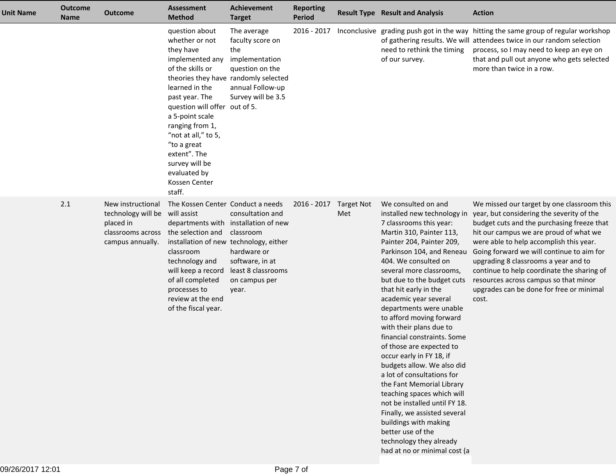| <b>Unit Name</b> | <b>Outcome</b><br><b>Name</b> | <b>Outcome</b>                                                                                | <b>Assessment</b><br><b>Method</b>                                                                                                                                                                                                                                                                                                                         | <b>Achievement</b><br><b>Target</b>                                                                                                                     | <b>Reporting</b><br><b>Period</b> |                          | <b>Result Type Result and Analysis</b>                                                                                                                                                                                                                                                                                                                                                                                                                                                                                                                                                                                                                                                                                                                                            | <b>Action</b>                                                                                                                                                                                                                                                                                                                                                                                                                                               |
|------------------|-------------------------------|-----------------------------------------------------------------------------------------------|------------------------------------------------------------------------------------------------------------------------------------------------------------------------------------------------------------------------------------------------------------------------------------------------------------------------------------------------------------|---------------------------------------------------------------------------------------------------------------------------------------------------------|-----------------------------------|--------------------------|-----------------------------------------------------------------------------------------------------------------------------------------------------------------------------------------------------------------------------------------------------------------------------------------------------------------------------------------------------------------------------------------------------------------------------------------------------------------------------------------------------------------------------------------------------------------------------------------------------------------------------------------------------------------------------------------------------------------------------------------------------------------------------------|-------------------------------------------------------------------------------------------------------------------------------------------------------------------------------------------------------------------------------------------------------------------------------------------------------------------------------------------------------------------------------------------------------------------------------------------------------------|
|                  |                               |                                                                                               | question about<br>whether or not<br>they have<br>implemented any<br>of the skills or<br>theories they have randomly selected<br>learned in the<br>past year. The<br>question will offer out of 5.<br>a 5-point scale<br>ranging from 1,<br>"not at all," to 5,<br>"to a great<br>extent". The<br>survey will be<br>evaluated by<br>Kossen Center<br>staff. | The average<br>faculty score on<br>the<br>implementation<br>question on the<br>annual Follow-up<br>Survey will be 3.5                                   | 2016 - 2017                       |                          | need to rethink the timing<br>of our survey.                                                                                                                                                                                                                                                                                                                                                                                                                                                                                                                                                                                                                                                                                                                                      | Inconclusive grading push got in the way hitting the same group of regular workshop<br>of gathering results. We will attendees twice in our random selection<br>process, so I may need to keep an eye on<br>that and pull out anyone who gets selected<br>more than twice in a row.                                                                                                                                                                         |
|                  | 2.1                           | New instructional<br>technology will be<br>placed in<br>classrooms across<br>campus annually. | The Kossen Center Conduct a needs<br>will assist<br>the selection and<br>installation of new technology, either<br>classroom<br>technology and<br>will keep a record<br>of all completed<br>processes to<br>review at the end<br>of the fiscal year.                                                                                                       | consultation and<br>departments with installation of new<br>classroom<br>hardware or<br>software, in at<br>least 8 classrooms<br>on campus per<br>year. | 2016 - 2017                       | <b>Target Not</b><br>Met | We consulted on and<br>installed new technology in<br>7 classrooms this year:<br>Martin 310, Painter 113,<br>Painter 204, Painter 209,<br>Parkinson 104, and Reneau<br>404. We consulted on<br>several more classrooms,<br>but due to the budget cuts<br>that hit early in the<br>academic year several<br>departments were unable<br>to afford moving forward<br>with their plans due to<br>financial constraints. Some<br>of those are expected to<br>occur early in FY 18, if<br>budgets allow. We also did<br>a lot of consultations for<br>the Fant Memorial Library<br>teaching spaces which will<br>not be installed until FY 18.<br>Finally, we assisted several<br>buildings with making<br>better use of the<br>technology they already<br>had at no or minimal cost (a | We missed our target by one classroom this<br>year, but considering the severity of the<br>budget cuts and the purchasing freeze that<br>hit our campus we are proud of what we<br>were able to help accomplish this year.<br>Going forward we will continue to aim for<br>upgrading 8 classrooms a year and to<br>continue to help coordinate the sharing of<br>resources across campus so that minor<br>upgrades can be done for free or minimal<br>cost. |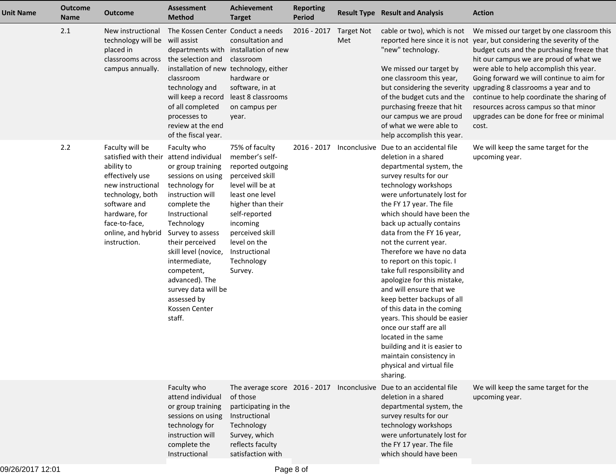| <b>Unit Name</b> | <b>Outcome</b><br><b>Name</b> | <b>Outcome</b>                                                                                                                                                                                            | <b>Assessment</b><br><b>Method</b>                                                                                                                                                                                                                                                                                                               | <b>Achievement</b><br><b>Target</b>                                                                                                                                                                                                            | <b>Reporting</b><br><b>Period</b> |                          | <b>Result Type Result and Analysis</b>                                                                                                                                                                                                                                                                                                                                                                                                                                                                                                                                                                                                                                                                                         | <b>Action</b>                                                                                                                                                                                                                                                                                                                                                                                                                                                                                                          |
|------------------|-------------------------------|-----------------------------------------------------------------------------------------------------------------------------------------------------------------------------------------------------------|--------------------------------------------------------------------------------------------------------------------------------------------------------------------------------------------------------------------------------------------------------------------------------------------------------------------------------------------------|------------------------------------------------------------------------------------------------------------------------------------------------------------------------------------------------------------------------------------------------|-----------------------------------|--------------------------|--------------------------------------------------------------------------------------------------------------------------------------------------------------------------------------------------------------------------------------------------------------------------------------------------------------------------------------------------------------------------------------------------------------------------------------------------------------------------------------------------------------------------------------------------------------------------------------------------------------------------------------------------------------------------------------------------------------------------------|------------------------------------------------------------------------------------------------------------------------------------------------------------------------------------------------------------------------------------------------------------------------------------------------------------------------------------------------------------------------------------------------------------------------------------------------------------------------------------------------------------------------|
|                  | 2.1                           | New instructional<br>technology will be will assist<br>placed in<br>classrooms across<br>campus annually.                                                                                                 | The Kossen Center Conduct a needs<br>the selection and<br>installation of new technology, either<br>classroom<br>technology and<br>will keep a record<br>of all completed<br>processes to<br>review at the end<br>of the fiscal year.                                                                                                            | consultation and<br>departments with installation of new<br>classroom<br>hardware or<br>software, in at<br>least 8 classrooms<br>on campus per<br>year.                                                                                        | 2016 - 2017                       | <b>Target Not</b><br>Met | cable or two), which is not<br>"new" technology.<br>We missed our target by<br>one classroom this year,<br>of the budget cuts and the<br>purchasing freeze that hit<br>our campus we are proud<br>of what we were able to<br>help accomplish this year.                                                                                                                                                                                                                                                                                                                                                                                                                                                                        | We missed our target by one classroom this<br>reported here since it is not year, but considering the severity of the<br>budget cuts and the purchasing freeze that<br>hit our campus we are proud of what we<br>were able to help accomplish this year.<br>Going forward we will continue to aim for<br>but considering the severity upgrading 8 classrooms a year and to<br>continue to help coordinate the sharing of<br>resources across campus so that minor<br>upgrades can be done for free or minimal<br>cost. |
|                  | 2.2                           | Faculty will be<br>satisfied with their<br>ability to<br>effectively use<br>new instructional<br>technology, both<br>software and<br>hardware, for<br>face-to-face,<br>online, and hybrid<br>instruction. | Faculty who<br>attend individual<br>or group training<br>sessions on using<br>technology for<br>instruction will<br>complete the<br>Instructional<br>Technology<br>Survey to assess<br>their perceived<br>skill level (novice,<br>intermediate,<br>competent,<br>advanced). The<br>survey data will be<br>assessed by<br>Kossen Center<br>staff. | 75% of faculty<br>member's self-<br>reported outgoing<br>perceived skill<br>level will be at<br>least one level<br>higher than their<br>self-reported<br>incoming<br>perceived skill<br>level on the<br>Instructional<br>Technology<br>Survey. | 2016 - 2017                       |                          | Inconclusive Due to an accidental file<br>deletion in a shared<br>departmental system, the<br>survey results for our<br>technology workshops<br>were unfortunately lost for<br>the FY 17 year. The file<br>which should have been the<br>back up actually contains<br>data from the FY 16 year,<br>not the current year.<br>Therefore we have no data<br>to report on this topic. I<br>take full responsibility and<br>apologize for this mistake,<br>and will ensure that we<br>keep better backups of all<br>of this data in the coming<br>years. This should be easier<br>once our staff are all<br>located in the same<br>building and it is easier to<br>maintain consistency in<br>physical and virtual file<br>sharing. | We will keep the same target for the<br>upcoming year.                                                                                                                                                                                                                                                                                                                                                                                                                                                                 |
|                  |                               |                                                                                                                                                                                                           | Faculty who<br>attend individual<br>or group training<br>sessions on using<br>technology for<br>instruction will<br>complete the<br>Instructional                                                                                                                                                                                                | The average score 2016 - 2017<br>of those<br>participating in the<br>Instructional<br>Technology<br>Survey, which<br>reflects faculty<br>satisfaction with                                                                                     |                                   |                          | Inconclusive Due to an accidental file<br>deletion in a shared<br>departmental system, the<br>survey results for our<br>technology workshops<br>were unfortunately lost for<br>the FY 17 year. The file<br>which should have been                                                                                                                                                                                                                                                                                                                                                                                                                                                                                              | We will keep the same target for the<br>upcoming year.                                                                                                                                                                                                                                                                                                                                                                                                                                                                 |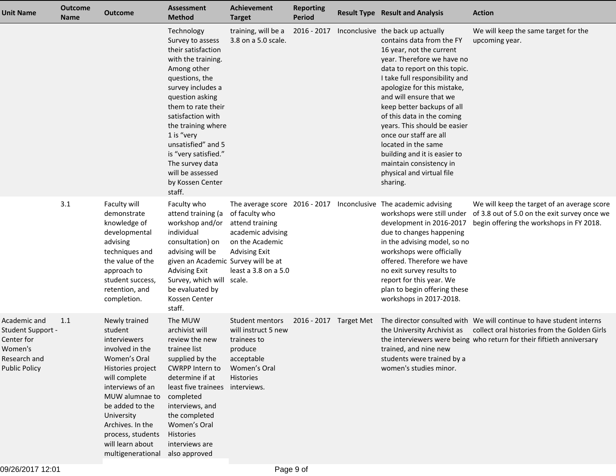| <b>Unit Name</b>                                                                                   | <b>Outcome</b><br><b>Name</b> | <b>Outcome</b>                                                                                                                                                                                                                                                                                  | Assessment<br><b>Method</b>                                                                                                                                                                                                                                                                                                                           | Achievement<br><b>Target</b>                                                                                               | <b>Reporting</b><br><b>Period</b> | <b>Result Type Result and Analysis</b>                                                                                                                                                                                                                                                                                                                                                                                                                                                                 | <b>Action</b>                                                                                                                                                                                 |
|----------------------------------------------------------------------------------------------------|-------------------------------|-------------------------------------------------------------------------------------------------------------------------------------------------------------------------------------------------------------------------------------------------------------------------------------------------|-------------------------------------------------------------------------------------------------------------------------------------------------------------------------------------------------------------------------------------------------------------------------------------------------------------------------------------------------------|----------------------------------------------------------------------------------------------------------------------------|-----------------------------------|--------------------------------------------------------------------------------------------------------------------------------------------------------------------------------------------------------------------------------------------------------------------------------------------------------------------------------------------------------------------------------------------------------------------------------------------------------------------------------------------------------|-----------------------------------------------------------------------------------------------------------------------------------------------------------------------------------------------|
|                                                                                                    |                               |                                                                                                                                                                                                                                                                                                 | Technology<br>Survey to assess<br>their satisfaction<br>with the training.<br>Among other<br>questions, the<br>survey includes a<br>question asking<br>them to rate their<br>satisfaction with<br>the training where<br>1 is "very<br>unsatisfied" and 5<br>is "very satisfied."<br>The survey data<br>will be assessed<br>by Kossen Center<br>staff. | training, will be a<br>3.8 on a 5.0 scale.                                                                                 | 2016 - 2017                       | Inconclusive the back up actually<br>contains data from the FY<br>16 year, not the current<br>year. Therefore we have no<br>data to report on this topic.<br>I take full responsibility and<br>apologize for this mistake,<br>and will ensure that we<br>keep better backups of all<br>of this data in the coming<br>years. This should be easier<br>once our staff are all<br>located in the same<br>building and it is easier to<br>maintain consistency in<br>physical and virtual file<br>sharing. | We will keep the same target for the<br>upcoming year.                                                                                                                                        |
|                                                                                                    | 3.1                           | Faculty will<br>demonstrate<br>knowledge of<br>developmental<br>advising<br>techniques and<br>the value of the<br>approach to<br>student success,<br>retention, and<br>completion.                                                                                                              | Faculty who<br>attend training (a<br>workshop and/or<br>individual<br>consultation) on<br>advising will be<br>given an Academic Survey will be at<br><b>Advising Exit</b><br>Survey, which will scale.<br>be evaluated by<br>Kossen Center<br>staff.                                                                                                  | of faculty who<br>attend training<br>academic advising<br>on the Academic<br><b>Advising Exit</b><br>least a 3.8 on a 5.0  |                                   | The average score 2016 - 2017 Inconclusive The academic advising<br>workshops were still under<br>development in 2016-2017<br>due to changes happening<br>in the advising model, so no<br>workshops were officially<br>offered. Therefore we have<br>no exit survey results to<br>report for this year. We<br>plan to begin offering these<br>workshops in 2017-2018.                                                                                                                                  | We will keep the target of an average score<br>of 3.8 out of 5.0 on the exit survey once we<br>begin offering the workshops in FY 2018.                                                       |
| Academic and<br>Student Support -<br>Center for<br>Women's<br>Research and<br><b>Public Policy</b> | 1.1                           | Newly trained<br>student<br><i>interviewers</i><br>involved in the<br>Women's Oral<br>Histories project<br>will complete<br>interviews of an<br>MUW alumnae to<br>be added to the<br>University<br>Archives. In the<br>process, students<br>will learn about<br>multigenerational also approved | The MUW<br>archivist will<br>review the new<br>trainee list<br>supplied by the<br><b>CWRPP Intern to</b><br>determine if at<br>least five trainees<br>completed<br>interviews, and<br>the completed<br>Women's Oral<br>Histories<br>interviews are                                                                                                    | Student mentors<br>will instruct 5 new<br>trainees to<br>produce<br>acceptable<br>Women's Oral<br>Histories<br>interviews. | 2016 - 2017 Target Met            | the University Archivist as<br>trained, and nine new<br>students were trained by a<br>women's studies minor.                                                                                                                                                                                                                                                                                                                                                                                           | The director consulted with We will continue to have student interns<br>collect oral histories from the Golden Girls<br>the interviewers were being who return for their fiftieth anniversary |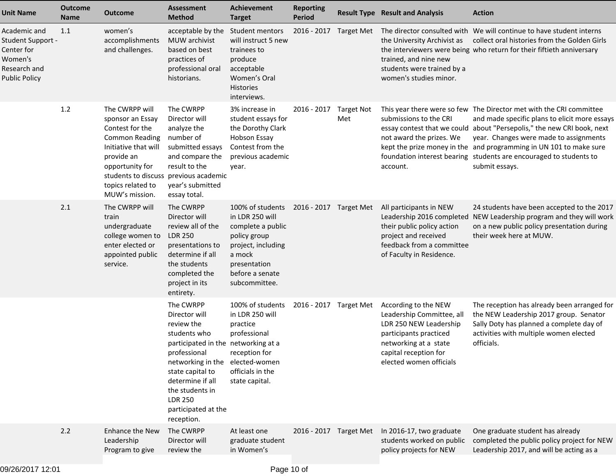| <b>Unit Name</b>                                                                                   | <b>Outcome</b><br><b>Name</b> | <b>Outcome</b>                                                                                                                                                                                                          | <b>Assessment</b><br><b>Method</b>                                                                                                                                                                                                                     | <b>Achievement</b><br><b>Target</b>                                                                                                                                                 | <b>Reporting</b><br><b>Period</b> |                          | <b>Result Type Result and Analysis</b>                                                                                                                                             | <b>Action</b>                                                                                                                                                                                                                                                                                                                                                                                          |
|----------------------------------------------------------------------------------------------------|-------------------------------|-------------------------------------------------------------------------------------------------------------------------------------------------------------------------------------------------------------------------|--------------------------------------------------------------------------------------------------------------------------------------------------------------------------------------------------------------------------------------------------------|-------------------------------------------------------------------------------------------------------------------------------------------------------------------------------------|-----------------------------------|--------------------------|------------------------------------------------------------------------------------------------------------------------------------------------------------------------------------|--------------------------------------------------------------------------------------------------------------------------------------------------------------------------------------------------------------------------------------------------------------------------------------------------------------------------------------------------------------------------------------------------------|
| Academic and<br>Student Support -<br>Center for<br>Women's<br>Research and<br><b>Public Policy</b> | 1.1                           | women's<br>accomplishments<br>and challenges.                                                                                                                                                                           | acceptable by the<br>MUW archivist<br>based on best<br>practices of<br>professional oral<br>historians.                                                                                                                                                | Student mentors<br>will instruct 5 new<br>trainees to<br>produce<br>acceptable<br>Women's Oral<br><b>Histories</b><br>interviews.                                                   | 2016 - 2017                       | Target Met               | the University Archivist as<br>trained, and nine new<br>students were trained by a<br>women's studies minor.                                                                       | The director consulted with We will continue to have student interns<br>collect oral histories from the Golden Girls<br>the interviewers were being who return for their fiftieth anniversary                                                                                                                                                                                                          |
|                                                                                                    | $1.2$                         | The CWRPP will<br>sponsor an Essay<br>Contest for the<br><b>Common Reading</b><br>Initiative that will<br>provide an<br>opportunity for<br>students to discuss previous academic<br>topics related to<br>MUW's mission. | The CWRPP<br>Director will<br>analyze the<br>number of<br>submitted essays<br>and compare the<br>result to the<br>year's submitted<br>essay total.                                                                                                     | 3% increase in<br>student essays for<br>the Dorothy Clark<br>Hobson Essay<br>Contest from the<br>previous academic<br>year.                                                         | 2016 - 2017                       | <b>Target Not</b><br>Met | submissions to the CRI<br>not award the prizes. We<br>account.                                                                                                                     | This year there were so few The Director met with the CRI committee<br>and made specific plans to elicit more essays<br>essay contest that we could about "Persepolis," the new CRI book, next<br>year. Changes were made to assignments<br>kept the prize money in the and programming in UN 101 to make sure<br>foundation interest bearing students are encouraged to students to<br>submit essays. |
|                                                                                                    | 2.1                           | The CWRPP will<br>train<br>undergraduate<br>college women to<br>enter elected or<br>appointed public<br>service.                                                                                                        | The CWRPP<br>Director will<br>review all of the<br><b>LDR 250</b><br>presentations to<br>determine if all<br>the students<br>completed the<br>project in its<br>entirety.                                                                              | 100% of students 2016 - 2017 Target Met<br>in LDR 250 will<br>complete a public<br>policy group<br>project, including<br>a mock<br>presentation<br>before a senate<br>subcommittee. |                                   |                          | All participants in NEW<br>Leadership 2016 completed<br>their public policy action<br>project and received<br>feedback from a committee<br>of Faculty in Residence.                | 24 students have been accepted to the 2017<br>NEW Leadership program and they will work<br>on a new public policy presentation during<br>their week here at MUW.                                                                                                                                                                                                                                       |
|                                                                                                    |                               |                                                                                                                                                                                                                         | The CWRPP<br>Director will<br>review the<br>students who<br>participated in the networking at a<br>professional<br>networking in the<br>state capital to<br>determine if all<br>the students in<br><b>LDR 250</b><br>participated at the<br>reception. | 100% of students<br>in LDR 250 will<br>practice<br>professional<br>reception for<br>elected-women<br>officials in the<br>state capital.                                             | 2016 - 2017 Target Met            |                          | According to the NEW<br>Leadership Committee, all<br>LDR 250 NEW Leadership<br>participants practiced<br>networking at a state<br>capital reception for<br>elected women officials | The reception has already been arranged for<br>the NEW Leadership 2017 group. Senator<br>Sally Doty has planned a complete day of<br>activities with multiple women elected<br>officials.                                                                                                                                                                                                              |
|                                                                                                    | 2.2                           | <b>Enhance the New</b><br>Leadership<br>Program to give                                                                                                                                                                 | The CWRPP<br>Director will<br>review the                                                                                                                                                                                                               | At least one<br>graduate student<br>in Women's                                                                                                                                      | 2016 - 2017 Target Met            |                          | In 2016-17, two graduate<br>students worked on public<br>policy projects for NEW                                                                                                   | One graduate student has already<br>completed the public policy project for NEW<br>Leadership 2017, and will be acting as a                                                                                                                                                                                                                                                                            |
|                                                                                                    |                               |                                                                                                                                                                                                                         |                                                                                                                                                                                                                                                        |                                                                                                                                                                                     |                                   |                          |                                                                                                                                                                                    |                                                                                                                                                                                                                                                                                                                                                                                                        |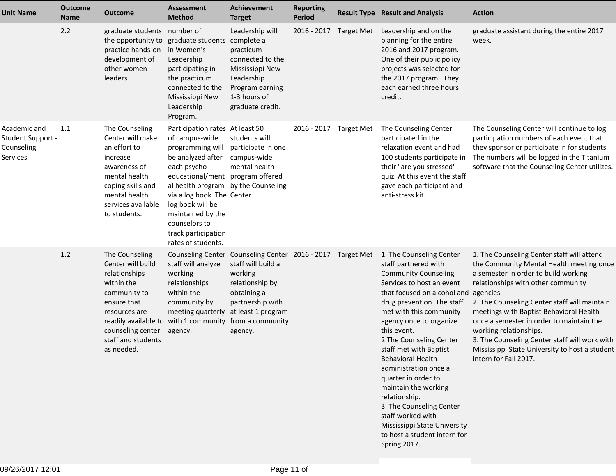| <b>Unit Name</b>                                            | <b>Outcome</b><br><b>Name</b> | <b>Outcome</b>                                                                                                                                                                                                       | <b>Assessment</b><br><b>Method</b>                                                                                                                                                                                                                                                                                          | <b>Achievement</b><br><b>Target</b>                                                                                                                                                                    | <b>Reporting</b><br><b>Period</b> |                   | <b>Result Type Result and Analysis</b>                                                                                                                                                                                                                                                                                                                                                                                                                                                                                                                     | <b>Action</b>                                                                                                                                                                                                                                                                                                                                                                                                                                                                  |
|-------------------------------------------------------------|-------------------------------|----------------------------------------------------------------------------------------------------------------------------------------------------------------------------------------------------------------------|-----------------------------------------------------------------------------------------------------------------------------------------------------------------------------------------------------------------------------------------------------------------------------------------------------------------------------|--------------------------------------------------------------------------------------------------------------------------------------------------------------------------------------------------------|-----------------------------------|-------------------|------------------------------------------------------------------------------------------------------------------------------------------------------------------------------------------------------------------------------------------------------------------------------------------------------------------------------------------------------------------------------------------------------------------------------------------------------------------------------------------------------------------------------------------------------------|--------------------------------------------------------------------------------------------------------------------------------------------------------------------------------------------------------------------------------------------------------------------------------------------------------------------------------------------------------------------------------------------------------------------------------------------------------------------------------|
|                                                             | 2.2                           | graduate students number of<br>the opportunity to graduate students<br>practice hands-on<br>development of<br>other women<br>leaders.                                                                                | in Women's<br>Leadership<br>participating in<br>the practicum<br>connected to the<br>Mississippi New<br>Leadership<br>Program.                                                                                                                                                                                              | Leadership will<br>complete a<br>practicum<br>connected to the<br>Mississippi New<br>Leadership<br>Program earning<br>1-3 hours of<br>graduate credit.                                                 | 2016 - 2017                       | <b>Target Met</b> | Leadership and on the<br>planning for the entire<br>2016 and 2017 program.<br>One of their public policy<br>projects was selected for<br>the 2017 program. They<br>each earned three hours<br>credit.                                                                                                                                                                                                                                                                                                                                                      | graduate assistant during the entire 2017<br>week.                                                                                                                                                                                                                                                                                                                                                                                                                             |
| Academic and<br>Student Support -<br>Counseling<br>Services | 1.1                           | The Counseling<br>Center will make<br>an effort to<br>increase<br>awareness of<br>mental health<br>coping skills and<br>mental health<br>services available<br>to students.                                          | Participation rates At least 50<br>of campus-wide<br>programming will<br>be analyzed after<br>each psycho-<br>educational/ment program offered<br>al health program by the Counseling<br>via a log book. The Center.<br>log book will be<br>maintained by the<br>counselors to<br>track participation<br>rates of students. | students will<br>participate in one<br>campus-wide<br>mental health                                                                                                                                    | 2016 - 2017 Target Met            |                   | The Counseling Center<br>participated in the<br>relaxation event and had<br>100 students participate in<br>their "are you stressed"<br>quiz. At this event the staff<br>gave each participant and<br>anti-stress kit.                                                                                                                                                                                                                                                                                                                                      | The Counseling Center will continue to log<br>participation numbers of each event that<br>they sponsor or participate in for students.<br>The numbers will be logged in the Titanium<br>software that the Counseling Center utilizes.                                                                                                                                                                                                                                          |
|                                                             | 1.2                           | The Counseling<br>Center will build<br>relationships<br>within the<br>community to<br>ensure that<br>resources are<br>readily available to with 1 community<br>counseling center<br>staff and students<br>as needed. | staff will analyze<br>working<br>relationships<br>within the<br>community by<br>meeting quarterly<br>agency.                                                                                                                                                                                                                | Counseling Center Counseling Center 2016 - 2017 Target Met<br>staff will build a<br>working<br>relationship by<br>obtaining a<br>partnership with<br>at least 1 program<br>from a community<br>agency. |                                   |                   | 1. The Counseling Center<br>staff partnered with<br><b>Community Counseling</b><br>Services to host an event<br>that focused on alcohol and<br>drug prevention. The staff<br>met with this community<br>agency once to organize<br>this event.<br>2. The Counseling Center<br>staff met with Baptist<br><b>Behavioral Health</b><br>administration once a<br>quarter in order to<br>maintain the working<br>relationship.<br>3. The Counseling Center<br>staff worked with<br>Mississippi State University<br>to host a student intern for<br>Spring 2017. | 1. The Counseling Center staff will attend<br>the Community Mental Health meeting once<br>a semester in order to build working<br>relationships with other community<br>agencies.<br>2. The Counseling Center staff will maintain<br>meetings with Baptist Behavioral Health<br>once a semester in order to maintain the<br>working relationships.<br>3. The Counseling Center staff will work with<br>Mississippi State University to host a student<br>intern for Fall 2017. |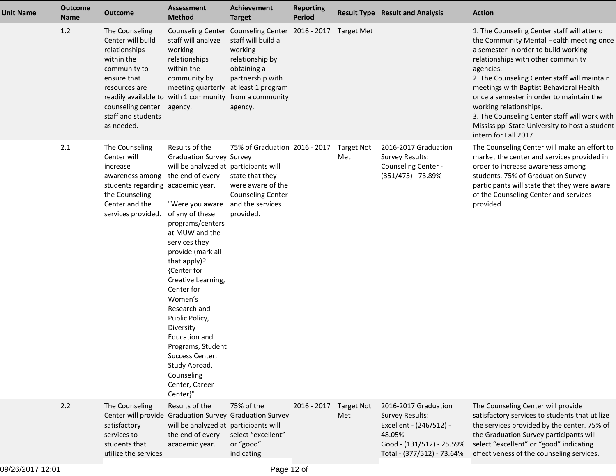| <b>Unit Name</b> | <b>Outcome</b><br><b>Name</b> | Outcome                                                                                                                                                                                                                                       | <b>Assessment</b><br><b>Method</b>                                                                                                                                                                                                                                                                                                                                                                                                                                                         | <b>Achievement</b><br><b>Target</b>                                                                                                                          | <b>Reporting</b><br>Period |                          | <b>Result Type Result and Analysis</b>                                                                                                         | <b>Action</b>                                                                                                                                                                                                                                                                                                                                                                                                                                                                  |
|------------------|-------------------------------|-----------------------------------------------------------------------------------------------------------------------------------------------------------------------------------------------------------------------------------------------|--------------------------------------------------------------------------------------------------------------------------------------------------------------------------------------------------------------------------------------------------------------------------------------------------------------------------------------------------------------------------------------------------------------------------------------------------------------------------------------------|--------------------------------------------------------------------------------------------------------------------------------------------------------------|----------------------------|--------------------------|------------------------------------------------------------------------------------------------------------------------------------------------|--------------------------------------------------------------------------------------------------------------------------------------------------------------------------------------------------------------------------------------------------------------------------------------------------------------------------------------------------------------------------------------------------------------------------------------------------------------------------------|
|                  | 1.2                           | The Counseling<br>Center will build<br>relationships<br>within the<br>community to<br>ensure that<br>resources are<br>readily available to with 1 community from a community<br>counseling center agency.<br>staff and students<br>as needed. | staff will analyze<br>working<br>relationships<br>within the<br>community by<br>meeting quarterly at least 1 program                                                                                                                                                                                                                                                                                                                                                                       | Counseling Center Counseling Center 2016 - 2017 Target Met<br>staff will build a<br>working<br>relationship by<br>obtaining a<br>partnership with<br>agency. |                            |                          |                                                                                                                                                | 1. The Counseling Center staff will attend<br>the Community Mental Health meeting once<br>a semester in order to build working<br>relationships with other community<br>agencies.<br>2. The Counseling Center staff will maintain<br>meetings with Baptist Behavioral Health<br>once a semester in order to maintain the<br>working relationships.<br>3. The Counseling Center staff will work with<br>Mississippi State University to host a student<br>intern for Fall 2017. |
|                  | 2.1                           | The Counseling<br>Center will<br>increase<br>awareness among<br>students regarding academic year.<br>the Counseling<br>Center and the<br>services provided.                                                                                   | Results of the<br><b>Graduation Survey Survey</b><br>will be analyzed at participants will<br>the end of every<br>"Were you aware<br>of any of these<br>programs/centers<br>at MUW and the<br>services they<br>provide (mark all<br>that apply)?<br>{Center for<br>Creative Learning,<br>Center for<br>Women's<br>Research and<br>Public Policy,<br>Diversity<br><b>Education and</b><br>Programs, Student<br>Success Center,<br>Study Abroad,<br>Counseling<br>Center, Career<br>Center}" | 75% of Graduation 2016 - 2017 Target Not<br>state that they<br>were aware of the<br><b>Counseling Center</b><br>and the services<br>provided.                |                            | Met                      | 2016-2017 Graduation<br><b>Survey Results:</b><br>Counseling Center -<br>$(351/475) - 73.89%$                                                  | The Counseling Center will make an effort to<br>market the center and services provided in<br>order to increase awareness among<br>students. 75% of Graduation Survey<br>participants will state that they were aware<br>of the Counseling Center and services<br>provided.                                                                                                                                                                                                    |
|                  | 2.2                           | The Counseling<br>Center will provide Graduation Survey Graduation Survey<br>satisfactory<br>services to<br>students that<br>utilize the services                                                                                             | Results of the<br>will be analyzed at participants will<br>the end of every<br>academic year.                                                                                                                                                                                                                                                                                                                                                                                              | 75% of the<br>select "excellent"<br>or "good"<br>indicating                                                                                                  | 2016 - 2017                | <b>Target Not</b><br>Met | 2016-2017 Graduation<br><b>Survey Results:</b><br>Excellent - (246/512) -<br>48.05%<br>Good - (131/512) - 25.59%<br>Total - (377/512) - 73.64% | The Counseling Center will provide<br>satisfactory services to students that utilize<br>the services provided by the center. 75% of<br>the Graduation Survey participants will<br>select "excellent" or "good" indicating<br>effectiveness of the counseling services.                                                                                                                                                                                                         |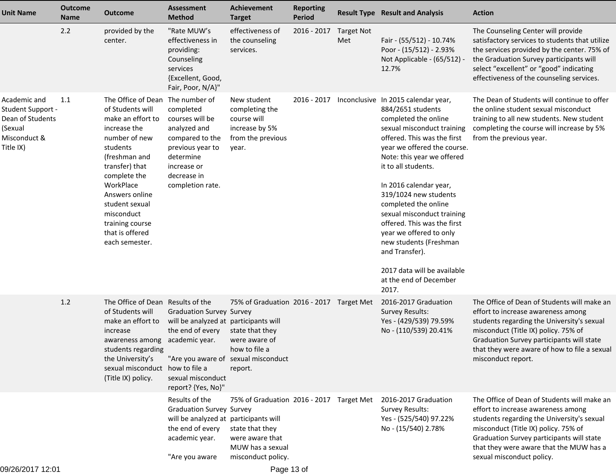| <b>Unit Name</b>                                                                              | <b>Outcome</b><br><b>Name</b> | <b>Outcome</b>                                                                                                                                                                                                                                                                                   | <b>Assessment</b><br><b>Method</b>                                                                                                                                             | <b>Achievement</b><br><b>Target</b>                                                                                      | <b>Reporting</b><br><b>Period</b> |                          | <b>Result Type Result and Analysis</b>                                                                                                                                                                                                                                                                                                                                                                                                                                                                             | <b>Action</b>                                                                                                                                                                                                                                                                                |
|-----------------------------------------------------------------------------------------------|-------------------------------|--------------------------------------------------------------------------------------------------------------------------------------------------------------------------------------------------------------------------------------------------------------------------------------------------|--------------------------------------------------------------------------------------------------------------------------------------------------------------------------------|--------------------------------------------------------------------------------------------------------------------------|-----------------------------------|--------------------------|--------------------------------------------------------------------------------------------------------------------------------------------------------------------------------------------------------------------------------------------------------------------------------------------------------------------------------------------------------------------------------------------------------------------------------------------------------------------------------------------------------------------|----------------------------------------------------------------------------------------------------------------------------------------------------------------------------------------------------------------------------------------------------------------------------------------------|
|                                                                                               | 2.2                           | provided by the<br>center.                                                                                                                                                                                                                                                                       | "Rate MUW's<br>effectiveness in<br>providing:<br>Counseling<br>services<br>{Excellent, Good,<br>Fair, Poor, N/A}"                                                              | effectiveness of<br>the counseling<br>services.                                                                          | $2016 - 2017$                     | <b>Target Not</b><br>Met | Fair - (55/512) - 10.74%<br>Poor - (15/512) - 2.93%<br>Not Applicable - (65/512) -<br>12.7%                                                                                                                                                                                                                                                                                                                                                                                                                        | The Counseling Center will provide<br>satisfactory services to students that utilize<br>the services provided by the center. 75% of<br>the Graduation Survey participants will<br>select "excellent" or "good" indicating<br>effectiveness of the counseling services.                       |
| Academic and<br>Student Support -<br>Dean of Students<br>(Sexual<br>Misconduct &<br>Title IX) | 1.1                           | The Office of Dean The number of<br>of Students will<br>make an effort to<br>increase the<br>number of new<br>students<br>(freshman and<br>transfer) that<br>complete the<br>WorkPlace<br>Answers online<br>student sexual<br>misconduct<br>training course<br>that is offered<br>each semester. | completed<br>courses will be<br>analyzed and<br>compared to the<br>previous year to<br>determine<br>increase or<br>decrease in<br>completion rate.                             | New student<br>completing the<br>course will<br>increase by 5%<br>from the previous<br>year.                             | 2016 - 2017                       |                          | Inconclusive In 2015 calendar year,<br>884/2651 students<br>completed the online<br>sexual misconduct training<br>offered. This was the first<br>year we offered the course.<br>Note: this year we offered<br>it to all students.<br>In 2016 calendar year,<br>319/1024 new students<br>completed the online<br>sexual misconduct training<br>offered. This was the first<br>year we offered to only<br>new students (Freshman<br>and Transfer).<br>2017 data will be available<br>at the end of December<br>2017. | The Dean of Students will continue to offer<br>the online student sexual misconduct<br>training to all new students. New student<br>completing the course will increase by 5%<br>from the previous year.                                                                                     |
|                                                                                               | 1.2                           | The Office of Dean Results of the<br>of Students will<br>make an effort to<br>increase<br>awareness among academic year.<br>students regarding<br>the University's<br>sexual misconduct how to file a<br>(Title IX) policy.                                                                      | <b>Graduation Survey Survey</b><br>will be analyzed at participants will<br>the end of every<br>"Are you aware of sexual misconduct<br>sexual misconduct<br>report? {Yes, No}" | 75% of Graduation 2016 - 2017 Target Met<br>state that they<br>were aware of<br>how to file a<br>report.                 |                                   |                          | 2016-2017 Graduation<br><b>Survey Results:</b><br>Yes - (429/539) 79.59%<br>No - (110/539) 20.41%                                                                                                                                                                                                                                                                                                                                                                                                                  | The Office of Dean of Students will make an<br>effort to increase awareness among<br>students regarding the University's sexual<br>misconduct (Title IX) policy. 75% of<br>Graduation Survey participants will state<br>that they were aware of how to file a sexual<br>misconduct report.   |
|                                                                                               |                               |                                                                                                                                                                                                                                                                                                  | Results of the<br><b>Graduation Survey Survey</b><br>will be analyzed at participants will<br>the end of every<br>academic year.<br>"Are you aware                             | 75% of Graduation 2016 - 2017 Target Met<br>state that they<br>were aware that<br>MUW has a sexual<br>misconduct policy. |                                   |                          | 2016-2017 Graduation<br><b>Survey Results:</b><br>Yes - (525/540) 97.22%<br>No - (15/540) 2.78%                                                                                                                                                                                                                                                                                                                                                                                                                    | The Office of Dean of Students will make an<br>effort to increase awareness among<br>students regarding the University's sexual<br>misconduct (Title IX) policy. 75% of<br>Graduation Survey participants will state<br>that they were aware that the MUW has a<br>sexual misconduct policy. |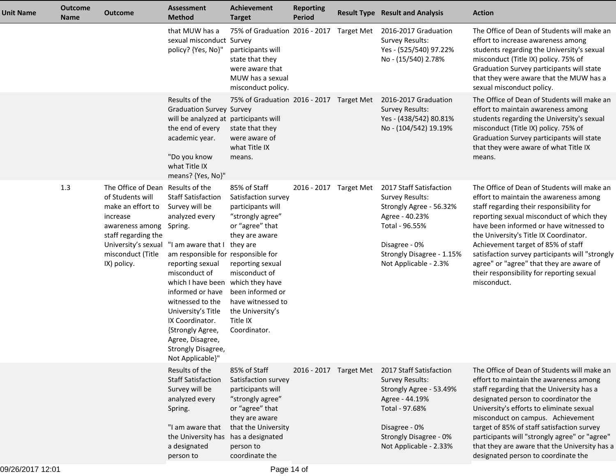| <b>Unit Name</b> | <b>Outcome</b><br><b>Name</b> | <b>Outcome</b>                                                                                                                                                       | <b>Assessment</b><br><b>Method</b>                                                                                                                                                                                                                                                                                                                                                             | <b>Achievement</b><br><b>Target</b>                                                                                                                                                                                                                                | <b>Reporting</b><br><b>Period</b> | <b>Result Type Result and Analysis</b>                                                                                                                                                                       | <b>Action</b>                                                                                                                                                                                                                                                                                                                                                                                                                                                        |
|------------------|-------------------------------|----------------------------------------------------------------------------------------------------------------------------------------------------------------------|------------------------------------------------------------------------------------------------------------------------------------------------------------------------------------------------------------------------------------------------------------------------------------------------------------------------------------------------------------------------------------------------|--------------------------------------------------------------------------------------------------------------------------------------------------------------------------------------------------------------------------------------------------------------------|-----------------------------------|--------------------------------------------------------------------------------------------------------------------------------------------------------------------------------------------------------------|----------------------------------------------------------------------------------------------------------------------------------------------------------------------------------------------------------------------------------------------------------------------------------------------------------------------------------------------------------------------------------------------------------------------------------------------------------------------|
|                  |                               |                                                                                                                                                                      | that MUW has a<br>sexual misconduct Survey<br>policy? {Yes, No}"                                                                                                                                                                                                                                                                                                                               | 75% of Graduation 2016 - 2017 Target Met<br>participants will<br>state that they<br>were aware that<br>MUW has a sexual<br>misconduct policy.                                                                                                                      |                                   | 2016-2017 Graduation<br><b>Survey Results:</b><br>Yes - (525/540) 97.22%<br>No - (15/540) 2.78%                                                                                                              | The Office of Dean of Students will make an<br>effort to increase awareness among<br>students regarding the University's sexual<br>misconduct (Title IX) policy. 75% of<br>Graduation Survey participants will state<br>that they were aware that the MUW has a<br>sexual misconduct policy.                                                                                                                                                                         |
|                  |                               |                                                                                                                                                                      | Results of the<br><b>Graduation Survey Survey</b><br>will be analyzed at participants will<br>the end of every<br>academic year.<br>"Do you know<br>what Title IX<br>means? {Yes, No}"                                                                                                                                                                                                         | 75% of Graduation 2016 - 2017 Target Met<br>state that they<br>were aware of<br>what Title IX<br>means.                                                                                                                                                            |                                   | 2016-2017 Graduation<br><b>Survey Results:</b><br>Yes - (438/542) 80.81%<br>No - (104/542) 19.19%                                                                                                            | The Office of Dean of Students will make an<br>effort to maintain awareness among<br>students regarding the University's sexual<br>misconduct (Title IX) policy. 75% of<br>Graduation Survey participants will state<br>that they were aware of what Title IX<br>means.                                                                                                                                                                                              |
|                  | 1.3                           | The Office of Dean Results of the<br>of Students will<br>make an effort to<br>increase<br>awareness among<br>staff regarding the<br>misconduct (Title<br>IX) policy. | <b>Staff Satisfaction</b><br>Survey will be<br>analyzed every<br>Spring.<br>University's sexual "I am aware that I they are<br>am responsible for responsible for<br>reporting sexual<br>misconduct of<br>which I have been<br>informed or have<br>witnessed to the<br>University's Title<br>IX Coordinator.<br>{Strongly Agree,<br>Agree, Disagree,<br>Strongly Disagree,<br>Not Applicable}" | 85% of Staff<br>Satisfaction survey<br>participants will<br>"strongly agree"<br>or "agree" that<br>they are aware<br>reporting sexual<br>misconduct of<br>which they have<br>been informed or<br>have witnessed to<br>the University's<br>Title IX<br>Coordinator. | 2016 - 2017 Target Met            | 2017 Staff Satisfaction<br>Survey Results:<br>Strongly Agree - 56.32%<br>Agree - 40.23%<br>Total - 96.55%<br>Disagree - 0%<br>Strongly Disagree - 1.15%<br>Not Applicable - 2.3%                             | The Office of Dean of Students will make an<br>effort to maintain the awareness among<br>staff regarding their responsibility for<br>reporting sexual misconduct of which they<br>have been informed or have witnessed to<br>the University's Title IX Coordinator.<br>Achievement target of 85% of staff<br>satisfaction survey participants will "strongly<br>agree" or "agree" that they are aware of<br>their responsibility for reporting sexual<br>misconduct. |
|                  |                               |                                                                                                                                                                      | Results of the<br><b>Staff Satisfaction</b><br>Survey will be<br>analyzed every<br>Spring.<br>"I am aware that<br>the University has<br>a designated<br>person to                                                                                                                                                                                                                              | 85% of Staff<br>Satisfaction survey<br>participants will<br>"strongly agree"<br>or "agree" that<br>they are aware<br>that the University<br>has a designated<br>person to<br>coordinate the                                                                        |                                   | 2016 - 2017 Target Met 2017 Staff Satisfaction<br><b>Survey Results:</b><br>Strongly Agree - 53.49%<br>Agree - 44.19%<br>Total - 97.68%<br>Disagree - 0%<br>Strongly Disagree - 0%<br>Not Applicable - 2.33% | The Office of Dean of Students will make an<br>effort to maintain the awareness among<br>staff regarding that the University has a<br>designated person to coordinator the<br>University's efforts to eliminate sexual<br>misconduct on campus. Achievement<br>target of 85% of staff satisfaction survey<br>participants will "strongly agree" or "agree"<br>that they are aware that the University has a<br>designated person to coordinate the                   |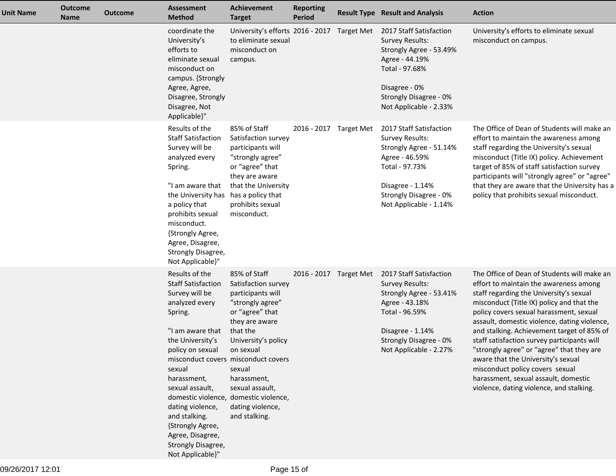| <b>Unit Name</b> | <b>Outcome</b><br><b>Name</b> | <b>Outcome</b> | <b>Assessment</b><br><b>Method</b>                                                                                                                                                                                                                                                                                                                                                                        | <b>Achievement</b><br><b>Target</b>                                                                                                                                                                                                                | <b>Reporting</b><br><b>Period</b> | <b>Result Type Result and Analysis</b>                                                                                                                                                   | <b>Action</b>                                                                                                                                                                                                                                                                                                                                                                                                                                                                                                                                                                   |
|------------------|-------------------------------|----------------|-----------------------------------------------------------------------------------------------------------------------------------------------------------------------------------------------------------------------------------------------------------------------------------------------------------------------------------------------------------------------------------------------------------|----------------------------------------------------------------------------------------------------------------------------------------------------------------------------------------------------------------------------------------------------|-----------------------------------|------------------------------------------------------------------------------------------------------------------------------------------------------------------------------------------|---------------------------------------------------------------------------------------------------------------------------------------------------------------------------------------------------------------------------------------------------------------------------------------------------------------------------------------------------------------------------------------------------------------------------------------------------------------------------------------------------------------------------------------------------------------------------------|
|                  |                               |                | coordinate the<br>University's<br>efforts to<br>eliminate sexual<br>misconduct on<br>campus. {Strongly<br>Agree, Agree,<br>Disagree, Strongly<br>Disagree, Not<br>Applicable}"                                                                                                                                                                                                                            | University's efforts 2016 - 2017 Target Met<br>to eliminate sexual<br>misconduct on<br>campus.                                                                                                                                                     |                                   | 2017 Staff Satisfaction<br><b>Survey Results:</b><br>Strongly Agree - 53.49%<br>Agree - 44.19%<br>Total - 97.68%<br>Disagree - 0%<br>Strongly Disagree - 0%<br>Not Applicable - 2.33%    | University's efforts to eliminate sexual<br>misconduct on campus.                                                                                                                                                                                                                                                                                                                                                                                                                                                                                                               |
|                  |                               |                | Results of the<br><b>Staff Satisfaction</b><br>Survey will be<br>analyzed every<br>Spring.<br>"I am aware that<br>the University has<br>a policy that<br>prohibits sexual<br>misconduct.<br>{Strongly Agree,<br>Agree, Disagree,<br>Strongly Disagree,<br>Not Applicable}"                                                                                                                                | 85% of Staff<br>Satisfaction survey<br>participants will<br>"strongly agree"<br>or "agree" that<br>they are aware<br>that the University<br>has a policy that<br>prohibits sexual<br>misconduct.                                                   | 2016 - 2017 Target Met            | 2017 Staff Satisfaction<br><b>Survey Results:</b><br>Strongly Agree - 51.14%<br>Agree - 46.59%<br>Total - 97.73%<br>Disagree - 1.14%<br>Strongly Disagree - 0%<br>Not Applicable - 1.14% | The Office of Dean of Students will make an<br>effort to maintain the awareness among<br>staff regarding the University's sexual<br>misconduct (Title IX) policy. Achievement<br>target of 85% of staff satisfaction survey<br>participants will "strongly agree" or "agree"<br>that they are aware that the University has a<br>policy that prohibits sexual misconduct.                                                                                                                                                                                                       |
|                  |                               |                | Results of the<br><b>Staff Satisfaction</b><br>Survey will be<br>analyzed every<br>Spring.<br>"I am aware that<br>the University's<br>policy on sexual<br>misconduct covers misconduct covers<br>sexual<br>harassment,<br>sexual assault,<br>domestic violence, domestic violence,<br>dating violence,<br>and stalking.<br>{Strongly Agree,<br>Agree, Disagree,<br>Strongly Disagree,<br>Not Applicable}" | 85% of Staff<br>Satisfaction survey<br>participants will<br>"strongly agree"<br>or "agree" that<br>they are aware<br>that the<br>University's policy<br>on sexual<br>sexual<br>harassment,<br>sexual assault,<br>dating violence,<br>and stalking. | 2016 - 2017 Target Met            | 2017 Staff Satisfaction<br><b>Survey Results:</b><br>Strongly Agree - 53.41%<br>Agree - 43.18%<br>Total - 96.59%<br>Disagree - 1.14%<br>Strongly Disagree - 0%<br>Not Applicable - 2.27% | The Office of Dean of Students will make an<br>effort to maintain the awareness among<br>staff regarding the University's sexual<br>misconduct (Title IX) policy and that the<br>policy covers sexual harassment, sexual<br>assault, domestic violence, dating violence,<br>and stalking. Achievement target of 85% of<br>staff satisfaction survey participants will<br>"strongly agree" or "agree" that they are<br>aware that the University's sexual<br>misconduct policy covers sexual<br>harassment, sexual assault, domestic<br>violence, dating violence, and stalking. |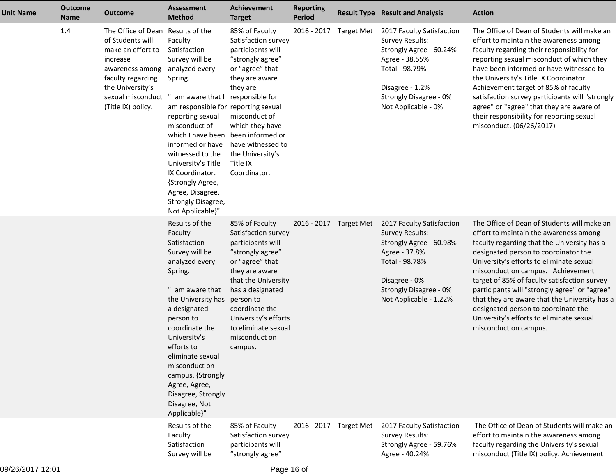| <b>Unit Name</b> | <b>Outcome</b><br><b>Name</b> | <b>Outcome</b>                                                                                                                                                                                                   | <b>Assessment</b><br><b>Method</b>                                                                                                                                                                                                                                                                                                                | Achievement<br><b>Target</b>                                                                                                                                                                                                                                                    | <b>Reporting</b><br><b>Period</b> |                        | <b>Result Type Result and Analysis</b>                                                                                                                                                 | <b>Action</b>                                                                                                                                                                                                                                                                                                                                                                                                                                                                                                               |
|------------------|-------------------------------|------------------------------------------------------------------------------------------------------------------------------------------------------------------------------------------------------------------|---------------------------------------------------------------------------------------------------------------------------------------------------------------------------------------------------------------------------------------------------------------------------------------------------------------------------------------------------|---------------------------------------------------------------------------------------------------------------------------------------------------------------------------------------------------------------------------------------------------------------------------------|-----------------------------------|------------------------|----------------------------------------------------------------------------------------------------------------------------------------------------------------------------------------|-----------------------------------------------------------------------------------------------------------------------------------------------------------------------------------------------------------------------------------------------------------------------------------------------------------------------------------------------------------------------------------------------------------------------------------------------------------------------------------------------------------------------------|
|                  | 1.4                           | The Office of Dean Results of the<br>of Students will<br>make an effort to<br>increase<br>awareness among<br>faculty regarding<br>the University's<br>sexual misconduct "I am aware that I<br>(Title IX) policy. | Faculty<br>Satisfaction<br>Survey will be<br>analyzed every<br>Spring.<br>am responsible for reporting sexual<br>reporting sexual<br>misconduct of<br>which I have been<br>informed or have<br>witnessed to the<br>University's Title<br>IX Coordinator.<br>{Strongly Agree,<br>Agree, Disagree,<br>Strongly Disagree,<br>Not Applicable}"        | 85% of Faculty<br>Satisfaction survey<br>participants will<br>"strongly agree"<br>or "agree" that<br>they are aware<br>they are<br>responsible for<br>misconduct of<br>which they have<br>been informed or<br>have witnessed to<br>the University's<br>Title IX<br>Coordinator. |                                   | 2016 - 2017 Target Met | 2017 Faculty Satisfaction<br><b>Survey Results:</b><br>Strongly Agree - 60.24%<br>Agree - 38.55%<br>Total - 98.79%<br>Disagree - 1.2%<br>Strongly Disagree - 0%<br>Not Applicable - 0% | The Office of Dean of Students will make an<br>effort to maintain the awareness among<br>faculty regarding their responsibility for<br>reporting sexual misconduct of which they<br>have been informed or have witnessed to<br>the University's Title IX Coordinator.<br>Achievement target of 85% of faculty<br>satisfaction survey participants will "strongly<br>agree" or "agree" that they are aware of<br>their responsibility for reporting sexual<br>misconduct. (06/26/2017)                                       |
|                  |                               |                                                                                                                                                                                                                  | Results of the<br>Faculty<br>Satisfaction<br>Survey will be<br>analyzed every<br>Spring.<br>"I am aware that<br>the University has<br>a designated<br>person to<br>coordinate the<br>University's<br>efforts to<br>eliminate sexual<br>misconduct on<br>campus. {Strongly<br>Agree, Agree,<br>Disagree, Strongly<br>Disagree, Not<br>Applicable}" | 85% of Faculty<br>Satisfaction survey<br>participants will<br>"strongly agree"<br>or "agree" that<br>they are aware<br>that the University<br>has a designated<br>person to<br>coordinate the<br>University's efforts<br>to eliminate sexual<br>misconduct on<br>campus.        |                                   | 2016 - 2017 Target Met | 2017 Faculty Satisfaction<br><b>Survey Results:</b><br>Strongly Agree - 60.98%<br>Agree - 37.8%<br>Total - 98.78%<br>Disagree - 0%<br>Strongly Disagree - 0%<br>Not Applicable - 1.22% | The Office of Dean of Students will make an<br>effort to maintain the awareness among<br>faculty regarding that the University has a<br>designated person to coordinator the<br>University's efforts to eliminate sexual<br>misconduct on campus. Achievement<br>target of 85% of faculty satisfaction survey<br>participants will "strongly agree" or "agree"<br>that they are aware that the University has a<br>designated person to coordinate the<br>University's efforts to eliminate sexual<br>misconduct on campus. |
|                  |                               |                                                                                                                                                                                                                  | Results of the<br>Faculty<br>Satisfaction<br>Survey will be                                                                                                                                                                                                                                                                                       | 85% of Faculty<br>Satisfaction survey<br>participants will<br>"strongly agree"                                                                                                                                                                                                  | 2016 - 2017 Target Met            |                        | 2017 Faculty Satisfaction<br><b>Survey Results:</b><br>Strongly Agree - 59.76%<br>Agree - 40.24%                                                                                       | The Office of Dean of Students will make an<br>effort to maintain the awareness among<br>faculty regarding the University's sexual<br>misconduct (Title IX) policy. Achievement                                                                                                                                                                                                                                                                                                                                             |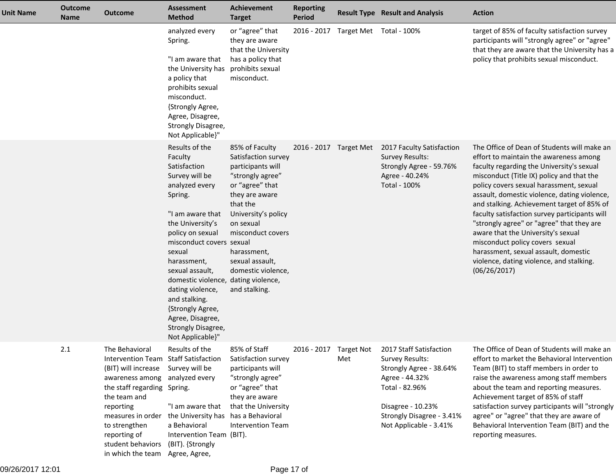| <b>Unit Name</b> | <b>Outcome</b><br><b>Name</b> | <b>Outcome</b>                                                                                                                                                                                                                                                                                                              | <b>Assessment</b><br><b>Method</b>                                                                                                                                                                                                                                                                                                                                                         | <b>Achievement</b><br><b>Target</b>                                                                                                                                                                                                                               | <b>Reporting</b><br><b>Period</b> |                                     | <b>Result Type Result and Analysis</b>                                                                                                                                                                       | <b>Action</b>                                                                                                                                                                                                                                                                                                                                                                                                                                                                                                                                                                                       |
|------------------|-------------------------------|-----------------------------------------------------------------------------------------------------------------------------------------------------------------------------------------------------------------------------------------------------------------------------------------------------------------------------|--------------------------------------------------------------------------------------------------------------------------------------------------------------------------------------------------------------------------------------------------------------------------------------------------------------------------------------------------------------------------------------------|-------------------------------------------------------------------------------------------------------------------------------------------------------------------------------------------------------------------------------------------------------------------|-----------------------------------|-------------------------------------|--------------------------------------------------------------------------------------------------------------------------------------------------------------------------------------------------------------|-----------------------------------------------------------------------------------------------------------------------------------------------------------------------------------------------------------------------------------------------------------------------------------------------------------------------------------------------------------------------------------------------------------------------------------------------------------------------------------------------------------------------------------------------------------------------------------------------------|
|                  |                               |                                                                                                                                                                                                                                                                                                                             | analyzed every<br>Spring.<br>"I am aware that<br>the University has<br>a policy that<br>prohibits sexual<br>misconduct.<br>{Strongly Agree,<br>Agree, Disagree,<br>Strongly Disagree,<br>Not Applicable}"                                                                                                                                                                                  | or "agree" that<br>they are aware<br>that the University<br>has a policy that<br>prohibits sexual<br>misconduct.                                                                                                                                                  |                                   | 2016 - 2017 Target Met Total - 100% |                                                                                                                                                                                                              | target of 85% of faculty satisfaction survey<br>participants will "strongly agree" or "agree"<br>that they are aware that the University has a<br>policy that prohibits sexual misconduct.                                                                                                                                                                                                                                                                                                                                                                                                          |
|                  |                               |                                                                                                                                                                                                                                                                                                                             | Results of the<br>Faculty<br>Satisfaction<br>Survey will be<br>analyzed every<br>Spring.<br>"I am aware that<br>the University's<br>policy on sexual<br>misconduct covers sexual<br>sexual<br>harassment,<br>sexual assault,<br>domestic violence, dating violence,<br>dating violence,<br>and stalking.<br>{Strongly Agree,<br>Agree, Disagree,<br>Strongly Disagree,<br>Not Applicable}" | 85% of Faculty<br>Satisfaction survey<br>participants will<br>"strongly agree"<br>or "agree" that<br>they are aware<br>that the<br>University's policy<br>on sexual<br>misconduct covers<br>harassment,<br>sexual assault,<br>domestic violence,<br>and stalking. |                                   |                                     | 2016 - 2017 Target Met 2017 Faculty Satisfaction<br><b>Survey Results:</b><br>Strongly Agree - 59.76%<br>Agree - 40.24%<br>Total - 100%                                                                      | The Office of Dean of Students will make an<br>effort to maintain the awareness among<br>faculty regarding the University's sexual<br>misconduct (Title IX) policy and that the<br>policy covers sexual harassment, sexual<br>assault, domestic violence, dating violence,<br>and stalking. Achievement target of 85% of<br>faculty satisfaction survey participants will<br>"strongly agree" or "agree" that they are<br>aware that the University's sexual<br>misconduct policy covers sexual<br>harassment, sexual assault, domestic<br>violence, dating violence, and stalking.<br>(06/26/2017) |
|                  | 2.1                           | The Behavioral<br>Intervention Team Staff Satisfaction<br>(BIT) will increase Survey will be<br>awareness among analyzed every<br>the staff regarding Spring.<br>the team and<br>reporting<br>measures in order the University has<br>to strengthen<br>reporting of<br>student behaviors<br>in which the team Agree, Agree, | Results of the<br>"I am aware that<br>a Behavioral<br>Intervention Team (BIT).<br>(BIT). {Strongly                                                                                                                                                                                                                                                                                         | 85% of Staff<br>Satisfaction survey<br>participants will<br>"strongly agree"<br>or "agree" that<br>they are aware<br>that the University<br>has a Behavioral<br><b>Intervention Team</b>                                                                          |                                   | Met                                 | 2016 - 2017 Target Not 2017 Staff Satisfaction<br>Survey Results:<br>Strongly Agree - 38.64%<br>Agree - 44.32%<br>Total - 82.96%<br>Disagree - 10.23%<br>Strongly Disagree - 3.41%<br>Not Applicable - 3.41% | The Office of Dean of Students will make an<br>effort to market the Behavioral Intervention<br>Team (BIT) to staff members in order to<br>raise the awareness among staff members<br>about the team and reporting measures.<br>Achievement target of 85% of staff<br>satisfaction survey participants will "strongly<br>agree" or "agree" that they are aware of<br>Behavioral Intervention Team (BIT) and the<br>reporting measures.                                                                                                                                                               |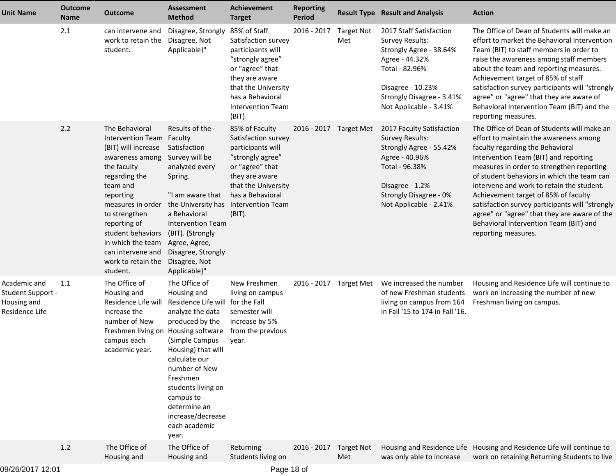| <b>Unit Name</b>                                                          | <b>Outcome</b><br>Name | <b>Outcome</b>                                                                                                                                                                                                                                                                                        | <b>Assessment</b><br><b>Method</b>                                                                                                                                                                                                                                                                     | <b>Achievement</b><br><b>Target</b>                                                                                                                                                                     | <b>Reporting</b><br><b>Period</b> |                          | <b>Result Type Result and Analysis</b>                                                                                                                                                       | <b>Action</b>                                                                                                                                                                                                                                                                                                                                                                                                                                                                                                          |
|---------------------------------------------------------------------------|------------------------|-------------------------------------------------------------------------------------------------------------------------------------------------------------------------------------------------------------------------------------------------------------------------------------------------------|--------------------------------------------------------------------------------------------------------------------------------------------------------------------------------------------------------------------------------------------------------------------------------------------------------|---------------------------------------------------------------------------------------------------------------------------------------------------------------------------------------------------------|-----------------------------------|--------------------------|----------------------------------------------------------------------------------------------------------------------------------------------------------------------------------------------|------------------------------------------------------------------------------------------------------------------------------------------------------------------------------------------------------------------------------------------------------------------------------------------------------------------------------------------------------------------------------------------------------------------------------------------------------------------------------------------------------------------------|
|                                                                           | 2.1                    | can intervene and<br>work to retain the<br>student.                                                                                                                                                                                                                                                   | Disagree, Strongly<br>Disagree, Not<br>Applicable}"                                                                                                                                                                                                                                                    | 85% of Staff<br>Satisfaction survey<br>participants will<br>"strongly agree"<br>or "agree" that<br>they are aware<br>that the University<br>has a Behavioral<br><b>Intervention Team</b><br>(BIT).      | 2016 - 2017                       | <b>Target Not</b><br>Met | 2017 Staff Satisfaction<br><b>Survey Results:</b><br>Strongly Agree - 38.64%<br>Agree - 44.32%<br>Total - 82.96%<br>Disagree - 10.23%<br>Strongly Disagree - 3.41%<br>Not Applicable - 3.41% | The Office of Dean of Students will make an<br>effort to market the Behavioral Intervention<br>Team (BIT) to staff members in order to<br>raise the awareness among staff members<br>about the team and reporting measures.<br>Achievement target of 85% of staff<br>satisfaction survey participants will "strongly<br>agree" or "agree" that they are aware of<br>Behavioral Intervention Team (BIT) and the<br>reporting measures.                                                                                  |
|                                                                           | 2.2                    | The Behavioral<br>Intervention Team Faculty<br>(BIT) will increase<br>awareness among<br>the faculty<br>regarding the<br>team and<br>reporting<br>measures in order<br>to strengthen<br>reporting of<br>student behaviors<br>in which the team<br>can intervene and<br>work to retain the<br>student. | Results of the<br>Satisfaction<br>Survey will be<br>analyzed every<br>Spring.<br>"I am aware that<br>the University has<br>a Behavioral<br><b>Intervention Team</b><br>(BIT). {Strongly<br>Agree, Agree,<br>Disagree, Strongly<br>Disagree, Not<br>Applicable}"                                        | 85% of Faculty<br>Satisfaction survey<br>participants will<br>"strongly agree"<br>or "agree" that<br>they are aware<br>that the University<br>has a Behavioral<br><b>Intervention Team</b><br>$(BIT)$ . | 2016 - 2017 Target Met            |                          | 2017 Faculty Satisfaction<br><b>Survey Results:</b><br>Strongly Agree - 55.42%<br>Agree - 40.96%<br>Total - 96.38%<br>Disagree - 1.2%<br>Strongly Disagree - 0%<br>Not Applicable - 2.41%    | The Office of Dean of Students will make an<br>effort to maintain the awareness among<br>faculty regarding the Behavioral<br>Intervention Team (BIT) and reporting<br>measures in order to strengthen reporting<br>of student behaviors in which the team can<br>intervene and work to retain the student.<br>Achievement target of 85% of faculty<br>satisfaction survey participants will "strongly<br>agree" or "agree" that they are aware of the<br>Behavioral Intervention Team (BIT) and<br>reporting measures. |
| Academic and<br><b>Student Support -</b><br>Housing and<br>Residence Life | 1.1                    | The Office of<br>Housing and<br>Residence Life will<br>increase the<br>number of New<br>Freshmen living on<br>campus each<br>academic year.                                                                                                                                                           | The Office of<br>Housing and<br>Residence Life will<br>analyze the data<br>produced by the<br>Housing software<br>(Simple Campus<br>Housing) that will<br>calculate our<br>number of New<br>Freshmen<br>students living on<br>campus to<br>determine an<br>increase/decrease<br>each academic<br>year. | New Freshmen<br>living on campus<br>for the Fall<br>semester will<br>increase by 5%<br>from the previous<br>year.                                                                                       | 2016 - 2017 Target Met            |                          | We increased the number<br>of new Freshman students<br>living on campus from 164<br>in Fall '15 to 174 in Fall '16.                                                                          | Housing and Residence Life will continue to<br>work on increasing the number of new<br>Freshman living on campus.                                                                                                                                                                                                                                                                                                                                                                                                      |
|                                                                           | 1.2                    | The Office of<br>Housing and                                                                                                                                                                                                                                                                          | The Office of<br>Housing and                                                                                                                                                                                                                                                                           | Returning<br>Students living on                                                                                                                                                                         | 2016 - 2017                       | <b>Target Not</b><br>Met | was only able to increase                                                                                                                                                                    | Housing and Residence Life Housing and Residence Life will continue to<br>work on retaining Returning Students to live                                                                                                                                                                                                                                                                                                                                                                                                 |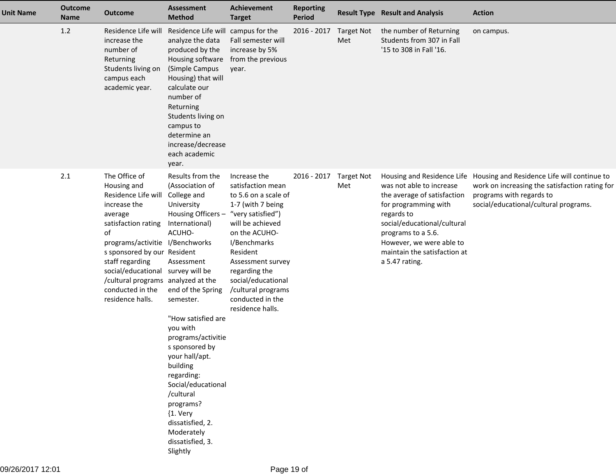| <b>Unit Name</b> | <b>Outcome</b><br><b>Name</b> | <b>Outcome</b>                                                                                                                                                                                                                                                                                                      | <b>Assessment</b><br><b>Method</b>                                                                                                                                                                                                                                                                                                                                                                                                 | Achievement<br><b>Target</b>                                                                                                                                                                                                                                                                   | <b>Reporting</b><br><b>Period</b> |                          | <b>Result Type Result and Analysis</b>                                                                                                                                                                                           | <b>Action</b>                                                                                                                                                                                 |
|------------------|-------------------------------|---------------------------------------------------------------------------------------------------------------------------------------------------------------------------------------------------------------------------------------------------------------------------------------------------------------------|------------------------------------------------------------------------------------------------------------------------------------------------------------------------------------------------------------------------------------------------------------------------------------------------------------------------------------------------------------------------------------------------------------------------------------|------------------------------------------------------------------------------------------------------------------------------------------------------------------------------------------------------------------------------------------------------------------------------------------------|-----------------------------------|--------------------------|----------------------------------------------------------------------------------------------------------------------------------------------------------------------------------------------------------------------------------|-----------------------------------------------------------------------------------------------------------------------------------------------------------------------------------------------|
|                  | 1.2                           | Residence Life will<br>increase the<br>number of<br>Returning<br>Students living on<br>campus each<br>academic year.                                                                                                                                                                                                | Residence Life will campus for the<br>analyze the data<br>produced by the<br>Housing software<br>(Simple Campus<br>Housing) that will<br>calculate our<br>number of<br>Returning<br>Students living on<br>campus to<br>determine an<br>increase/decrease<br>each academic<br>year.                                                                                                                                                 | Fall semester will<br>increase by 5%<br>from the previous<br>year.                                                                                                                                                                                                                             | 2016 - 2017                       | <b>Target Not</b><br>Met | the number of Returning<br>Students from 307 in Fall<br>'15 to 308 in Fall '16.                                                                                                                                                  | on campus.                                                                                                                                                                                    |
|                  | 2.1                           | The Office of<br>Housing and<br>Residence Life will<br>increase the<br>average<br>satisfaction rating<br>of<br>programs/activitie I/Benchworks<br>s sponsored by our Resident<br>staff regarding<br>social/educational survey will be<br>/cultural programs analyzed at the<br>conducted in the<br>residence halls. | Results from the<br>(Association of<br>College and<br>University<br>Housing Officers -<br>International)<br>ACUHO-<br>Assessment<br>end of the Spring<br>semester.<br>"How satisfied are<br>you with<br>programs/activitie<br>s sponsored by<br>your hall/apt.<br>building<br>regarding:<br>Social/educational<br>/cultural<br>programs?<br>${1. \nvert \nvert}$<br>dissatisfied, 2.<br>Moderately<br>dissatisfied, 3.<br>Slightly | Increase the<br>satisfaction mean<br>to 5.6 on a scale of<br>1-7 (with 7 being<br>"very satisfied")<br>will be achieved<br>on the ACUHO-<br>I/Benchmarks<br>Resident<br>Assessment survey<br>regarding the<br>social/educational<br>/cultural programs<br>conducted in the<br>residence halls. | 2016 - 2017                       | <b>Target Not</b><br>Met | was not able to increase<br>the average of satisfaction<br>for programming with<br>regards to<br>social/educational/cultural<br>programs to a 5.6.<br>However, we were able to<br>maintain the satisfaction at<br>a 5.47 rating. | Housing and Residence Life Housing and Residence Life will continue to<br>work on increasing the satisfaction rating for<br>programs with regards to<br>social/educational/cultural programs. |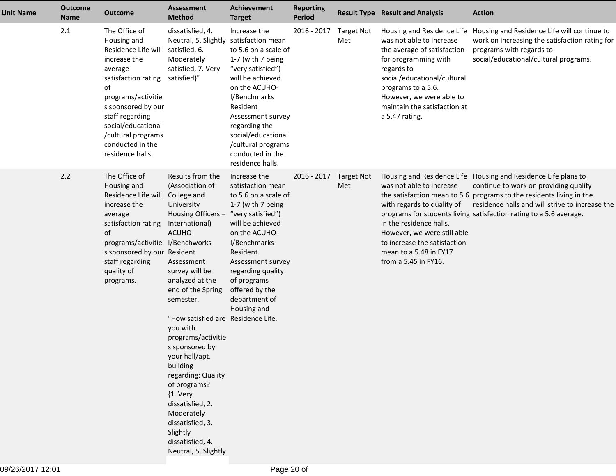| <b>Unit Name</b> | <b>Outcome</b><br>Name | <b>Outcome</b>                                                                                                                                                                                                                                                             | <b>Assessment</b><br><b>Method</b>                                                                                                                                                                                                                                                                                                                                                                                                                                                                          | <b>Achievement</b><br><b>Target</b>                                                                                                                                                                                                                                                            | <b>Reporting</b><br><b>Period</b> |                          | <b>Result Type Result and Analysis</b>                                                                                                                                                                                                                         | <b>Action</b>                                                                                                                                                                                                                                                                                            |
|------------------|------------------------|----------------------------------------------------------------------------------------------------------------------------------------------------------------------------------------------------------------------------------------------------------------------------|-------------------------------------------------------------------------------------------------------------------------------------------------------------------------------------------------------------------------------------------------------------------------------------------------------------------------------------------------------------------------------------------------------------------------------------------------------------------------------------------------------------|------------------------------------------------------------------------------------------------------------------------------------------------------------------------------------------------------------------------------------------------------------------------------------------------|-----------------------------------|--------------------------|----------------------------------------------------------------------------------------------------------------------------------------------------------------------------------------------------------------------------------------------------------------|----------------------------------------------------------------------------------------------------------------------------------------------------------------------------------------------------------------------------------------------------------------------------------------------------------|
|                  | 2.1                    | The Office of<br>Housing and<br>Residence Life will<br>increase the<br>average<br>satisfaction rating satisfied}"<br>οf<br>programs/activitie<br>s sponsored by our<br>staff regarding<br>social/educational<br>/cultural programs<br>conducted in the<br>residence halls. | dissatisfied, 4.<br>Neutral, 5. Slightly<br>satisfied, 6.<br>Moderately<br>satisfied, 7. Very                                                                                                                                                                                                                                                                                                                                                                                                               | Increase the<br>satisfaction mean<br>to 5.6 on a scale of<br>1-7 (with 7 being<br>"very satisfied")<br>will be achieved<br>on the ACUHO-<br>I/Benchmarks<br>Resident<br>Assessment survey<br>regarding the<br>social/educational<br>/cultural programs<br>conducted in the<br>residence halls. | 2016 - 2017                       | <b>Target Not</b><br>Met | Housing and Residence Life<br>was not able to increase<br>the average of satisfaction<br>for programming with<br>regards to<br>social/educational/cultural<br>programs to a 5.6.<br>However, we were able to<br>maintain the satisfaction at<br>a 5.47 rating. | Housing and Residence Life will continue to<br>work on increasing the satisfaction rating for<br>programs with regards to<br>social/educational/cultural programs.                                                                                                                                       |
|                  | 2.2                    | The Office of<br>Housing and<br>Residence Life will<br>increase the<br>average<br>satisfaction rating<br>of<br>programs/activitie I/Benchworks<br>s sponsored by our Resident<br>staff regarding<br>quality of<br>programs.                                                | Results from the<br>(Association of<br>College and<br>University<br>Housing Officers -<br>International)<br>ACUHO-<br>Assessment<br>survey will be<br>analyzed at the<br>end of the Spring<br>semester.<br>"How satisfied are Residence Life.<br>you with<br>programs/activitie<br>s sponsored by<br>your hall/apt.<br>building<br>regarding: Quality<br>of programs?<br>${1. \nvert \nvert}$<br>dissatisfied, 2.<br>Moderately<br>dissatisfied, 3.<br>Slightly<br>dissatisfied, 4.<br>Neutral, 5. Slightly | Increase the<br>satisfaction mean<br>to 5.6 on a scale of<br>1-7 (with 7 being<br>"very satisfied")<br>will be achieved<br>on the ACUHO-<br>I/Benchmarks<br>Resident<br>Assessment survey<br>regarding quality<br>of programs<br>offered by the<br>department of<br>Housing and                | 2016 - 2017                       | <b>Target Not</b><br>Met | was not able to increase<br>with regards to quality of<br>in the residence halls.<br>However, we were still able<br>to increase the satisfaction<br>mean to a 5.48 in FY17<br>from a 5.45 in FY16.                                                             | Housing and Residence Life Housing and Residence Life plans to<br>continue to work on providing quality<br>the satisfaction mean to 5.6 programs to the residents living in the<br>residence halls and will strive to increase the<br>programs for students living satisfaction rating to a 5.6 average. |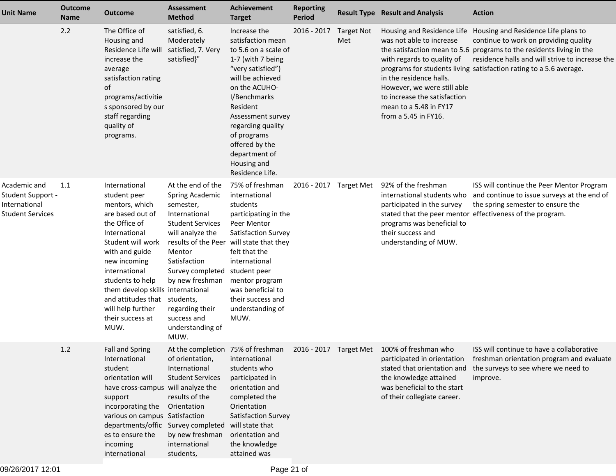| <b>Unit Name</b>                                                              | <b>Outcome</b><br><b>Name</b> | <b>Outcome</b>                                                                                                                                                                                                                                                                                                          | <b>Assessment</b><br><b>Method</b>                                                                                                                                                                                                               | <b>Achievement</b><br><b>Target</b>                                                                                                                                                                                                                                                                | <b>Reporting</b><br><b>Period</b> |                          | <b>Result Type Result and Analysis</b>                                                                                                                                                                                                                           | <b>Action</b>                                                                                                                                                                                                                                    |
|-------------------------------------------------------------------------------|-------------------------------|-------------------------------------------------------------------------------------------------------------------------------------------------------------------------------------------------------------------------------------------------------------------------------------------------------------------------|--------------------------------------------------------------------------------------------------------------------------------------------------------------------------------------------------------------------------------------------------|----------------------------------------------------------------------------------------------------------------------------------------------------------------------------------------------------------------------------------------------------------------------------------------------------|-----------------------------------|--------------------------|------------------------------------------------------------------------------------------------------------------------------------------------------------------------------------------------------------------------------------------------------------------|--------------------------------------------------------------------------------------------------------------------------------------------------------------------------------------------------------------------------------------------------|
|                                                                               | 2.2                           | The Office of<br>Housing and<br>Residence Life will<br>increase the<br>average<br>satisfaction rating<br>of<br>programs/activitie<br>s sponsored by our<br>staff regarding<br>quality of<br>programs.                                                                                                                   | satisfied, 6.<br>Moderately<br>satisfied, 7. Very<br>satisfied}"                                                                                                                                                                                 | Increase the<br>satisfaction mean<br>to 5.6 on a scale of<br>1-7 (with 7 being<br>"very satisfied")<br>will be achieved<br>on the ACUHO-<br>I/Benchmarks<br>Resident<br>Assessment survey<br>regarding quality<br>of programs<br>offered by the<br>department of<br>Housing and<br>Residence Life. | 2016 - 2017                       | <b>Target Not</b><br>Met | Housing and Residence Life<br>was not able to increase<br>the satisfaction mean to 5.6<br>with regards to quality of<br>in the residence halls.<br>However, we were still able<br>to increase the satisfaction<br>mean to a 5.48 in FY17<br>from a 5.45 in FY16. | Housing and Residence Life plans to<br>continue to work on providing quality<br>programs to the residents living in the<br>residence halls and will strive to increase the<br>programs for students living satisfaction rating to a 5.6 average. |
| Academic and<br><b>Student Support -</b><br>International<br>Student Services | 1.1                           | International<br>student peer<br>mentors, which<br>are based out of<br>the Office of<br>International<br>Student will work<br>with and guide<br>new incoming<br>international<br>students to help<br>them develop skills international<br>and attitudes that students,<br>will help further<br>their success at<br>MUW. | At the end of the<br>Spring Academic<br>semester,<br>International<br><b>Student Services</b><br>will analyze the<br>Mentor<br>Satisfaction<br>Survey completed<br>by new freshman<br>regarding their<br>success and<br>understanding of<br>MUW. | 75% of freshman<br>international<br>students<br>participating in the<br>Peer Mentor<br>Satisfaction Survey<br>results of the Peer will state that they<br>felt that the<br>international<br>student peer<br>mentor program<br>was beneficial to<br>their success and<br>understanding of<br>MUW.   | 2016 - 2017 Target Met            |                          | 92% of the freshman<br>international students who<br>participated in the survey<br>programs was beneficial to<br>their success and<br>understanding of MUW.                                                                                                      | ISS will continue the Peer Mentor Program<br>and continue to issue surveys at the end of<br>the spring semester to ensure the<br>stated that the peer mentor effectiveness of the program.                                                       |
|                                                                               | 1.2                           | <b>Fall and Spring</b><br>International<br>student<br>orientation will<br>have cross-campus will analyze the<br>support<br>incorporating the<br>various on campus Satisfaction<br>departments/offic Survey completed<br>es to ensure the<br>incoming<br>international                                                   | of orientation,<br>International<br><b>Student Services</b><br>results of the<br>Orientation<br>by new freshman<br>international<br>students,                                                                                                    | international<br>students who<br>participated in<br>orientation and<br>completed the<br>Orientation<br>Satisfaction Survey<br>will state that<br>orientation and<br>the knowledge<br>attained was                                                                                                  |                                   |                          | At the completion 75% of freshman 2016 - 2017 Target Met 100% of freshman who<br>participated in orientation<br>stated that orientation and<br>the knowledge attained<br>was beneficial to the start<br>of their collegiate career.                              | ISS will continue to have a collaborative<br>freshman orientation program and evaluate<br>the surveys to see where we need to<br>improve.                                                                                                        |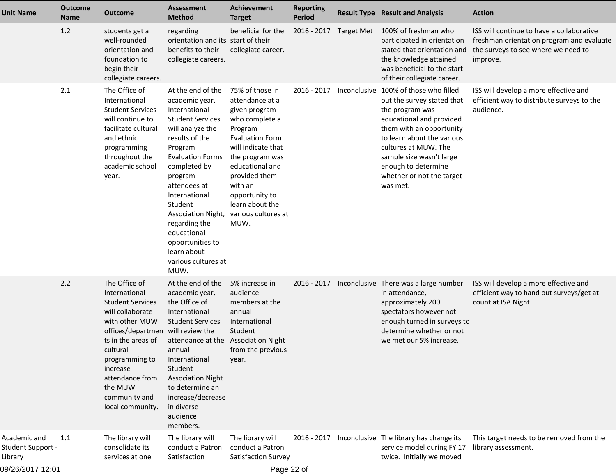| <b>Unit Name</b>                             | <b>Outcome</b><br>Name | <b>Outcome</b>                                                                                                                                                                                                                                          | <b>Assessment</b><br><b>Method</b>                                                                                                                                                                                                                                                                                                                         | <b>Achievement</b><br><b>Target</b>                                                                                                                                                                                                                                    | <b>Reporting</b><br><b>Period</b> |              | <b>Result Type Result and Analysis</b>                                                                                                                                                                                                                                              | <b>Action</b>                                                                                                                             |
|----------------------------------------------|------------------------|---------------------------------------------------------------------------------------------------------------------------------------------------------------------------------------------------------------------------------------------------------|------------------------------------------------------------------------------------------------------------------------------------------------------------------------------------------------------------------------------------------------------------------------------------------------------------------------------------------------------------|------------------------------------------------------------------------------------------------------------------------------------------------------------------------------------------------------------------------------------------------------------------------|-----------------------------------|--------------|-------------------------------------------------------------------------------------------------------------------------------------------------------------------------------------------------------------------------------------------------------------------------------------|-------------------------------------------------------------------------------------------------------------------------------------------|
|                                              | 1.2                    | students get a<br>well-rounded<br>orientation and<br>foundation to<br>begin their<br>collegiate careers.                                                                                                                                                | regarding<br>orientation and its start of their<br>benefits to their<br>collegiate careers.                                                                                                                                                                                                                                                                | beneficial for the<br>collegiate career.                                                                                                                                                                                                                               | 2016 - 2017 Target Met            |              | 100% of freshman who<br>participated in orientation<br>stated that orientation and<br>the knowledge attained<br>was beneficial to the start<br>of their collegiate career.                                                                                                          | ISS will continue to have a collaborative<br>freshman orientation program and evaluate<br>the surveys to see where we need to<br>improve. |
|                                              | 2.1                    | The Office of<br>International<br><b>Student Services</b><br>will continue to<br>facilitate cultural<br>and ethnic<br>programming<br>throughout the<br>academic school<br>year.                                                                         | At the end of the<br>academic year,<br>International<br><b>Student Services</b><br>will analyze the<br>results of the<br>Program<br><b>Evaluation Forms</b><br>completed by<br>program<br>attendees at<br>International<br>Student<br>Association Night,<br>regarding the<br>educational<br>opportunities to<br>learn about<br>various cultures at<br>MUW. | 75% of those in<br>attendance at a<br>given program<br>who complete a<br>Program<br><b>Evaluation Form</b><br>will indicate that<br>the program was<br>educational and<br>provided them<br>with an<br>opportunity to<br>learn about the<br>various cultures at<br>MUW. | 2016 - 2017                       | Inconclusive | 100% of those who filled<br>out the survey stated that<br>the program was<br>educational and provided<br>them with an opportunity<br>to learn about the various<br>cultures at MUW. The<br>sample size wasn't large<br>enough to determine<br>whether or not the target<br>was met. | ISS will develop a more effective and<br>efficient way to distribute surveys to the<br>audience.                                          |
|                                              | 2.2                    | The Office of<br>International<br><b>Student Services</b><br>will collaborate<br>with other MUW<br>offices/departmen<br>ts in the areas of<br>cultural<br>programming to<br>increase<br>attendance from<br>the MUW<br>community and<br>local community. | At the end of the<br>academic year,<br>the Office of<br>International<br><b>Student Services</b><br>will review the<br>attendance at the Association Night<br>annual<br>International<br>Student<br><b>Association Night</b><br>to determine an<br>increase/decrease<br>in diverse<br>audience<br>members.                                                 | 5% increase in<br>audience<br>members at the<br>annual<br>International<br>Student<br>from the previous<br>year.                                                                                                                                                       | $2016 - 2017$                     |              | Inconclusive There was a large number<br>in attendance,<br>approximately 200<br>spectators however not<br>enough turned in surveys to<br>determine whether or not<br>we met our 5% increase.                                                                                        | ISS will develop a more effective and<br>efficient way to hand out surveys/get at<br>count at ISA Night.                                  |
| Academic and<br>Student Support -<br>Library | 1.1                    | The library will<br>consolidate its<br>services at one                                                                                                                                                                                                  | The library will<br>conduct a Patron<br>Satisfaction                                                                                                                                                                                                                                                                                                       | The library will<br>conduct a Patron<br>Satisfaction Survey                                                                                                                                                                                                            |                                   |              | 2016 - 2017 Inconclusive The library has change its<br>service model during FY 17<br>twice. Initially we moved                                                                                                                                                                      | This target needs to be removed from the<br>library assessment.                                                                           |
| 09/26/2017 12:01                             |                        |                                                                                                                                                                                                                                                         |                                                                                                                                                                                                                                                                                                                                                            | Page 22 of                                                                                                                                                                                                                                                             |                                   |              |                                                                                                                                                                                                                                                                                     |                                                                                                                                           |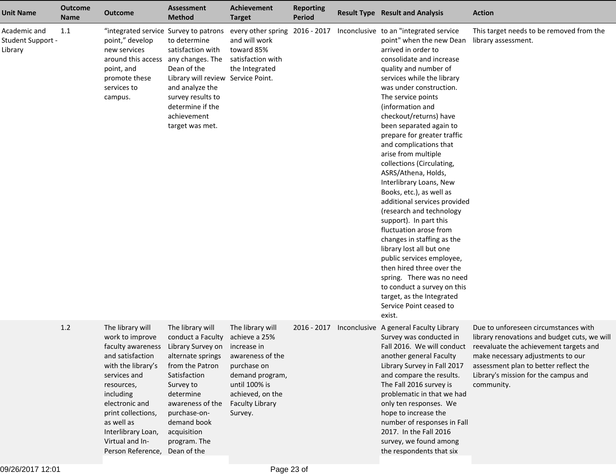| <b>Unit Name</b>                             | <b>Outcome</b><br><b>Name</b> | <b>Outcome</b>                                                                                                                                                                                                                                                                                  | <b>Assessment</b><br><b>Method</b>                                                                                                                                                                        | <b>Achievement</b><br><b>Target</b>                                                                                                                                              | <b>Reporting</b><br><b>Period</b> | <b>Result Type Result and Analysis</b>                                                                                                                                                                                                                                                                                                                                                                                                                                                                                                                                                                                                                                                                                                                                                                                                                              | <b>Action</b>                                                                                                                                                                                                                                                      |
|----------------------------------------------|-------------------------------|-------------------------------------------------------------------------------------------------------------------------------------------------------------------------------------------------------------------------------------------------------------------------------------------------|-----------------------------------------------------------------------------------------------------------------------------------------------------------------------------------------------------------|----------------------------------------------------------------------------------------------------------------------------------------------------------------------------------|-----------------------------------|---------------------------------------------------------------------------------------------------------------------------------------------------------------------------------------------------------------------------------------------------------------------------------------------------------------------------------------------------------------------------------------------------------------------------------------------------------------------------------------------------------------------------------------------------------------------------------------------------------------------------------------------------------------------------------------------------------------------------------------------------------------------------------------------------------------------------------------------------------------------|--------------------------------------------------------------------------------------------------------------------------------------------------------------------------------------------------------------------------------------------------------------------|
| Academic and<br>Student Support -<br>Library | 1.1                           | "integrated service Survey to patrons<br>point," develop<br>new services<br>around this access<br>point, and<br>promote these<br>services to<br>campus.                                                                                                                                         | to determine<br>satisfaction with<br>any changes. The<br>Dean of the<br>Library will review Service Point.<br>and analyze the<br>survey results to<br>determine if the<br>achievement<br>target was met.  | every other spring<br>and will work<br>toward 85%<br>satisfaction with<br>the Integrated                                                                                         | 2016 - 2017                       | Inconclusive to an "integrated service<br>point" when the new Dean<br>arrived in order to<br>consolidate and increase<br>quality and number of<br>services while the library<br>was under construction.<br>The service points<br>(information and<br>checkout/returns) have<br>been separated again to<br>prepare for greater traffic<br>and complications that<br>arise from multiple<br>collections (Circulating,<br>ASRS/Athena, Holds,<br>Interlibrary Loans, New<br>Books, etc.), as well as<br>additional services provided<br>(research and technology<br>support). In part this<br>fluctuation arose from<br>changes in staffing as the<br>library lost all but one<br>public services employee,<br>then hired three over the<br>spring. There was no need<br>to conduct a survey on this<br>target, as the Integrated<br>Service Point ceased to<br>exist. | This target needs to be removed from the<br>library assessment.                                                                                                                                                                                                    |
|                                              | $1.2$                         | The library will<br>work to improve<br>faculty awareness Library Survey on<br>and satisfaction<br>with the library's<br>services and<br>resources,<br>including<br>electronic and<br>print collections,<br>as well as<br>Interlibrary Loan,<br>Virtual and In-<br>Person Reference, Dean of the | The library will<br>conduct a Faculty<br>alternate springs<br>from the Patron<br>Satisfaction<br>Survey to<br>determine<br>awareness of the<br>purchase-on-<br>demand book<br>acquisition<br>program. The | The library will<br>achieve a 25%<br>increase in<br>awareness of the<br>purchase on<br>demand program,<br>until 100% is<br>achieved, on the<br><b>Faculty Library</b><br>Survey. | 2016 - 2017                       | Inconclusive A general Faculty Library<br>Survey was conducted in<br>Fall 2016. We will conduct<br>another general Faculty<br>Library Survey in Fall 2017<br>and compare the results.<br>The Fall 2016 survey is<br>problematic in that we had<br>only ten responses. We<br>hope to increase the<br>number of responses in Fall<br>2017. In the Fall 2016<br>survey, we found among<br>the respondents that six                                                                                                                                                                                                                                                                                                                                                                                                                                                     | Due to unforeseen circumstances with<br>library renovations and budget cuts, we will<br>reevaluate the achievement targets and<br>make necessary adjustments to our<br>assessment plan to better reflect the<br>Library's mission for the campus and<br>community. |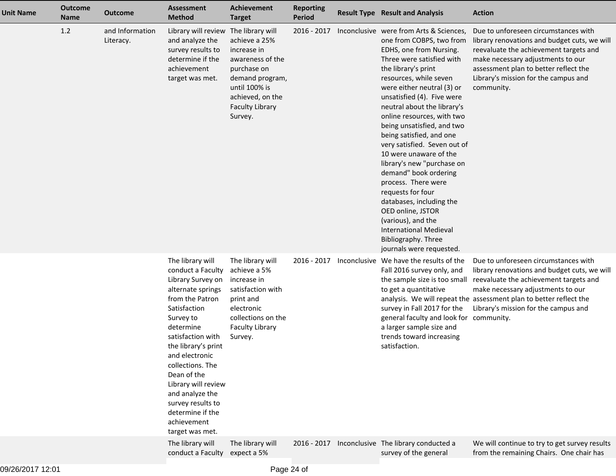| <b>Unit Name</b> | <b>Outcome</b><br><b>Name</b> | Outcome                      | <b>Assessment</b><br><b>Method</b>                                                                                                                                                                                                                                                                                                                                 | <b>Achievement</b><br><b>Target</b>                                                                                                                          | <b>Reporting</b><br><b>Period</b> | <b>Result Type Result and Analysis</b>                                                                                                                                                                                                                                                                                                                                                                                                                                                                                                                                                                                                                                                  | <b>Action</b>                                                                                                                                                                                                                                                                     |
|------------------|-------------------------------|------------------------------|--------------------------------------------------------------------------------------------------------------------------------------------------------------------------------------------------------------------------------------------------------------------------------------------------------------------------------------------------------------------|--------------------------------------------------------------------------------------------------------------------------------------------------------------|-----------------------------------|-----------------------------------------------------------------------------------------------------------------------------------------------------------------------------------------------------------------------------------------------------------------------------------------------------------------------------------------------------------------------------------------------------------------------------------------------------------------------------------------------------------------------------------------------------------------------------------------------------------------------------------------------------------------------------------------|-----------------------------------------------------------------------------------------------------------------------------------------------------------------------------------------------------------------------------------------------------------------------------------|
|                  | 1.2                           | and Information<br>Literacy. | Library will review The library will<br>and analyze the<br>survey results to<br>determine if the<br>achievement<br>target was met.                                                                                                                                                                                                                                 | achieve a 25%<br>increase in<br>awareness of the<br>purchase on<br>demand program,<br>until 100% is<br>achieved, on the<br><b>Faculty Library</b><br>Survey. | 2016 - 2017                       | Inconclusive were from Arts & Sciences,<br>one from COBPS, two from<br>EDHS, one from Nursing.<br>Three were satisfied with<br>the library's print<br>resources, while seven<br>were either neutral (3) or<br>unsatisfied (4). Five were<br>neutral about the library's<br>online resources, with two<br>being unsatisfied, and two<br>being satisfied, and one<br>very satisfied. Seven out of<br>10 were unaware of the<br>library's new "purchase on<br>demand" book ordering<br>process. There were<br>requests for four<br>databases, including the<br>OED online, JSTOR<br>(various), and the<br><b>International Medieval</b><br>Bibliography. Three<br>journals were requested. | Due to unforeseen circumstances with<br>library renovations and budget cuts, we will<br>reevaluate the achievement targets and<br>make necessary adjustments to our<br>assessment plan to better reflect the<br>Library's mission for the campus and<br>community.                |
|                  |                               |                              | The library will<br>conduct a Faculty<br>Library Survey on<br>alternate springs<br>from the Patron<br>Satisfaction<br>Survey to<br>determine<br>satisfaction with<br>the library's print<br>and electronic<br>collections. The<br>Dean of the<br>Library will review<br>and analyze the<br>survey results to<br>determine if the<br>achievement<br>target was met. | The library will<br>achieve a 5%<br>increase in<br>satisfaction with<br>print and<br>electronic<br>collections on the<br><b>Faculty Library</b><br>Survey.   | 2016 - 2017                       | Inconclusive We have the results of the<br>Fall 2016 survey only, and<br>the sample size is too small<br>to get a quantitative<br>survey in Fall 2017 for the<br>general faculty and look for community.<br>a larger sample size and<br>trends toward increasing<br>satisfaction.                                                                                                                                                                                                                                                                                                                                                                                                       | Due to unforeseen circumstances with<br>library renovations and budget cuts, we will<br>reevaluate the achievement targets and<br>make necessary adjustments to our<br>analysis. We will repeat the assessment plan to better reflect the<br>Library's mission for the campus and |
|                  |                               |                              | The library will<br>conduct a Faculty                                                                                                                                                                                                                                                                                                                              | The library will<br>expect a 5%                                                                                                                              | 2016 - 2017                       | Inconclusive The library conducted a<br>survey of the general                                                                                                                                                                                                                                                                                                                                                                                                                                                                                                                                                                                                                           | We will continue to try to get survey results<br>from the remaining Chairs. One chair has                                                                                                                                                                                         |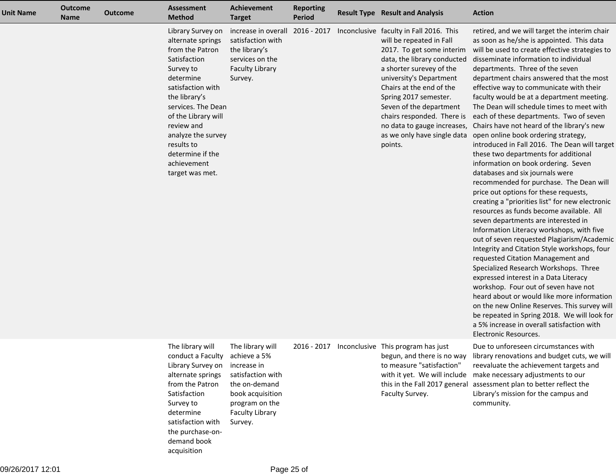| <b>Unit Name</b> | <b>Outcome</b><br><b>Name</b> | <b>Outcome</b> | <b>Assessment</b><br><b>Method</b>                                                                                                                                                                                                                                                             | Achievement<br><b>Target</b>                                                                                                                     | <b>Reporting</b><br><b>Period</b> | <b>Result Type Result and Analysis</b>                                                                                                                                                                                                                                                                                      | <b>Action</b>                                                                                                                                                                                                                                                                                                                                                                                                                                                                                                                                                                                                                                                                                                                                                                                                                                                                                                                                                                                                                                                                                                                                                                                                                                                                                                                                                                                                                                                                                                                        |
|------------------|-------------------------------|----------------|------------------------------------------------------------------------------------------------------------------------------------------------------------------------------------------------------------------------------------------------------------------------------------------------|--------------------------------------------------------------------------------------------------------------------------------------------------|-----------------------------------|-----------------------------------------------------------------------------------------------------------------------------------------------------------------------------------------------------------------------------------------------------------------------------------------------------------------------------|--------------------------------------------------------------------------------------------------------------------------------------------------------------------------------------------------------------------------------------------------------------------------------------------------------------------------------------------------------------------------------------------------------------------------------------------------------------------------------------------------------------------------------------------------------------------------------------------------------------------------------------------------------------------------------------------------------------------------------------------------------------------------------------------------------------------------------------------------------------------------------------------------------------------------------------------------------------------------------------------------------------------------------------------------------------------------------------------------------------------------------------------------------------------------------------------------------------------------------------------------------------------------------------------------------------------------------------------------------------------------------------------------------------------------------------------------------------------------------------------------------------------------------------|
|                  |                               |                | Library Survey on<br>alternate springs<br>from the Patron<br>Satisfaction<br>Survey to<br>determine<br>satisfaction with<br>the library's<br>services. The Dean<br>of the Library will<br>review and<br>analyze the survey<br>results to<br>determine if the<br>achievement<br>target was met. | increase in overall<br>satisfaction with<br>the library's<br>services on the<br><b>Faculty Library</b><br>Survey.                                |                                   | 2016 - 2017 Inconclusive faculty in Fall 2016. This<br>will be repeated in Fall<br>2017. To get some interim<br>data, the library conducted<br>a shorter surevey of the<br>university's Department<br>Chairs at the end of the<br>Spring 2017 semester.<br>Seven of the department<br>chairs responded. There is<br>points. | retired, and we will target the interim chair<br>as soon as he/she is appointed. This data<br>will be used to create effective strategies to<br>disseminate information to individual<br>departments. Three of the seven<br>department chairs answered that the most<br>effective way to communicate with their<br>faculty would be at a department meeting.<br>The Dean will schedule times to meet with<br>each of these departments. Two of seven<br>no data to gauge increases, Chairs have not heard of the library's new<br>as we only have single data open online book ordering strategy,<br>introduced in Fall 2016. The Dean will target<br>these two departments for additional<br>information on book ordering. Seven<br>databases and six journals were<br>recommended for purchase. The Dean will<br>price out options for these requests,<br>creating a "priorities list" for new electronic<br>resources as funds become available. All<br>seven departments are interested in<br>Information Literacy workshops, with five<br>out of seven requested Plagiarism/Academic<br>Integrity and Citation Style workshops, four<br>requested Citation Management and<br>Specialized Research Workshops. Three<br>expressed interest in a Data Literacy<br>workshop. Four out of seven have not<br>heard about or would like more information<br>on the new Online Reserves. This survey will<br>be repeated in Spring 2018. We will look for<br>a 5% increase in overall satisfaction with<br><b>Electronic Resources.</b> |
|                  |                               |                | The library will<br>conduct a Faculty achieve a 5%<br>Library Survey on<br>alternate springs<br>from the Patron<br>Satisfaction<br>Survey to<br>determine<br>satisfaction with<br>the purchase-on-                                                                                             | The library will<br>increase in<br>satisfaction with<br>the on-demand<br>book acquisition<br>program on the<br><b>Faculty Library</b><br>Survey. | 2016 - 2017                       | Inconclusive This program has just<br>begun, and there is no way<br>to measure "satisfaction"<br>with it yet. We will include<br>this in the Fall 2017 general<br>Faculty Survey.                                                                                                                                           | Due to unforeseen circumstances with<br>library renovations and budget cuts, we will<br>reevaluate the achievement targets and<br>make necessary adjustments to our<br>assessment plan to better reflect the<br>Library's mission for the campus and<br>community.                                                                                                                                                                                                                                                                                                                                                                                                                                                                                                                                                                                                                                                                                                                                                                                                                                                                                                                                                                                                                                                                                                                                                                                                                                                                   |

demand bookacquisition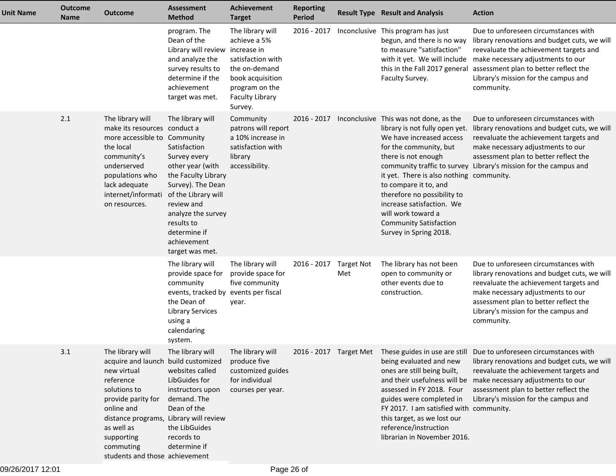| <b>Unit Name</b> | <b>Outcome</b><br><b>Name</b> | <b>Outcome</b>                                                                                                                                                                                                                                               | <b>Assessment</b><br><b>Method</b>                                                                                                                                                                                                          | <b>Achievement</b><br><b>Target</b>                                                                                                               | <b>Reporting</b><br><b>Period</b> |                          | <b>Result Type Result and Analysis</b>                                                                                                                                                                                                                                                                                                                                  | <b>Action</b>                                                                                                                                                                                                                                                                                                                          |
|------------------|-------------------------------|--------------------------------------------------------------------------------------------------------------------------------------------------------------------------------------------------------------------------------------------------------------|---------------------------------------------------------------------------------------------------------------------------------------------------------------------------------------------------------------------------------------------|---------------------------------------------------------------------------------------------------------------------------------------------------|-----------------------------------|--------------------------|-------------------------------------------------------------------------------------------------------------------------------------------------------------------------------------------------------------------------------------------------------------------------------------------------------------------------------------------------------------------------|----------------------------------------------------------------------------------------------------------------------------------------------------------------------------------------------------------------------------------------------------------------------------------------------------------------------------------------|
|                  |                               |                                                                                                                                                                                                                                                              | program. The<br>Dean of the<br>Library will review increase in<br>and analyze the<br>survey results to<br>determine if the<br>achievement<br>target was met.                                                                                | The library will<br>achieve a 5%<br>satisfaction with<br>the on-demand<br>book acquisition<br>program on the<br><b>Faculty Library</b><br>Survey. | 2016 - 2017                       |                          | Inconclusive This program has just<br>begun, and there is no way<br>to measure "satisfaction"<br>with it yet. We will include<br>this in the Fall 2017 general<br>Faculty Survey.                                                                                                                                                                                       | Due to unforeseen circumstances with<br>library renovations and budget cuts, we will<br>reevaluate the achievement targets and<br>make necessary adjustments to our<br>assessment plan to better reflect the<br>Library's mission for the campus and<br>community.                                                                     |
|                  | 2.1                           | The library will<br>make its resources conduct a<br>more accessible to Community<br>the local<br>community's<br>underserved<br>populations who<br>lack adequate<br>internet/informati<br>on resources.                                                       | The library will<br>Satisfaction<br>Survey every<br>other year (with<br>the Faculty Library<br>Survey). The Dean<br>of the Library will<br>review and<br>analyze the survey<br>results to<br>determine if<br>achievement<br>target was met. | Community<br>patrons will report<br>a 10% increase in<br>satisfaction with<br>library<br>accessibility.                                           | $2016 - 2017$                     |                          | Inconclusive This was not done, as the<br>library is not fully open yet.<br>We have increased access<br>for the community, but<br>there is not enough<br>it yet. There is also nothing community.<br>to compare it to, and<br>therefore no possibility to<br>increase satisfaction. We<br>will work toward a<br><b>Community Satisfaction</b><br>Survey in Spring 2018. | Due to unforeseen circumstances with<br>library renovations and budget cuts, we will<br>reevaluate the achievement targets and<br>make necessary adjustments to our<br>assessment plan to better reflect the<br>community traffic to survey Library's mission for the campus and                                                       |
|                  |                               |                                                                                                                                                                                                                                                              | The library will<br>provide space for<br>community<br>events, tracked by events per fiscal<br>the Dean of<br><b>Library Services</b><br>using a<br>calendaring<br>system.                                                                   | The library will<br>provide space for<br>five community<br>year.                                                                                  | 2016 - 2017                       | <b>Target Not</b><br>Met | The library has not been<br>open to community or<br>other events due to<br>construction.                                                                                                                                                                                                                                                                                | Due to unforeseen circumstances with<br>library renovations and budget cuts, we will<br>reevaluate the achievement targets and<br>make necessary adjustments to our<br>assessment plan to better reflect the<br>Library's mission for the campus and<br>community.                                                                     |
|                  | 3.1                           | The library will<br>acquire and launch build customized<br>new virtual<br>reference<br>solutions to<br>provide parity for<br>online and<br>distance programs, Library will review<br>as well as<br>supporting<br>commuting<br>students and those achievement | The library will<br>websites called<br>LibGuides for<br>instructors upon<br>demand. The<br>Dean of the<br>the LibGuides<br>records to<br>determine if                                                                                       | The library will<br>produce five<br>customized guides<br>for individual<br>courses per year.                                                      |                                   |                          | being evaluated and new<br>ones are still being built,<br>assessed in FY 2018. Four<br>guides were completed in<br>FY 2017. I am satisfied with community.<br>this target, as we lost our<br>reference/instruction<br>librarian in November 2016.                                                                                                                       | 2016 - 2017 Target Met These guides in use are still Due to unforeseen circumstances with<br>library renovations and budget cuts, we will<br>reevaluate the achievement targets and<br>and their usefulness will be make necessary adjustments to our<br>assessment plan to better reflect the<br>Library's mission for the campus and |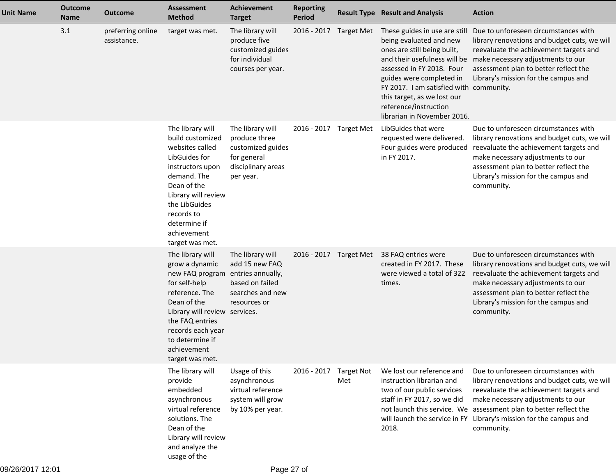| <b>Unit Name</b> | <b>Outcome</b><br><b>Name</b> | <b>Outcome</b>                   | <b>Assessment</b><br><b>Method</b>                                                                                                                                                                                                                      | <b>Achievement</b><br><b>Target</b>                                                                      | <b>Reporting</b><br><b>Period</b> |                        | <b>Result Type Result and Analysis</b>                                                                                                                                                                                                                                             | <b>Action</b>                                                                                                                                                                                                                                                                                                                |
|------------------|-------------------------------|----------------------------------|---------------------------------------------------------------------------------------------------------------------------------------------------------------------------------------------------------------------------------------------------------|----------------------------------------------------------------------------------------------------------|-----------------------------------|------------------------|------------------------------------------------------------------------------------------------------------------------------------------------------------------------------------------------------------------------------------------------------------------------------------|------------------------------------------------------------------------------------------------------------------------------------------------------------------------------------------------------------------------------------------------------------------------------------------------------------------------------|
|                  | 3.1                           | preferring online<br>assistance. | target was met.                                                                                                                                                                                                                                         | The library will<br>produce five<br>customized guides<br>for individual<br>courses per year.             | 2016 - 2017 Target Met            |                        | These guides in use are still<br>being evaluated and new<br>ones are still being built,<br>assessed in FY 2018. Four<br>guides were completed in<br>FY 2017. I am satisfied with community.<br>this target, as we lost our<br>reference/instruction<br>librarian in November 2016. | Due to unforeseen circumstances with<br>library renovations and budget cuts, we will<br>reevaluate the achievement targets and<br>and their usefulness will be make necessary adjustments to our<br>assessment plan to better reflect the<br>Library's mission for the campus and                                            |
|                  |                               |                                  | The library will<br>build customized<br>websites called<br>LibGuides for<br>instructors upon<br>demand. The<br>Dean of the<br>Library will review<br>the LibGuides<br>records to<br>determine if<br>achievement<br>target was met.                      | The library will<br>produce three<br>customized guides<br>for general<br>disciplinary areas<br>per year. | 2016 - 2017 Target Met            |                        | LibGuides that were<br>requested were delivered.<br>Four guides were produced<br>in FY 2017.                                                                                                                                                                                       | Due to unforeseen circumstances with<br>library renovations and budget cuts, we will<br>reevaluate the achievement targets and<br>make necessary adjustments to our<br>assessment plan to better reflect the<br>Library's mission for the campus and<br>community.                                                           |
|                  |                               |                                  | The library will<br>grow a dynamic<br>new FAQ program entries annually,<br>for self-help<br>reference. The<br>Dean of the<br>Library will review services.<br>the FAQ entries<br>records each year<br>to determine if<br>achievement<br>target was met. | The library will<br>add 15 new FAQ<br>based on failed<br>searches and new<br>resources or                |                                   | 2016 - 2017 Target Met | 38 FAQ entries were<br>created in FY 2017. These<br>were viewed a total of 322<br>times.                                                                                                                                                                                           | Due to unforeseen circumstances with<br>library renovations and budget cuts, we will<br>reevaluate the achievement targets and<br>make necessary adjustments to our<br>assessment plan to better reflect the<br>Library's mission for the campus and<br>community.                                                           |
|                  |                               |                                  | The library will<br>provide<br>embedded<br>asynchronous<br>virtual reference<br>solutions. The<br>Dean of the<br>Library will review<br>and analyze the<br>usage of the                                                                                 | Usage of this<br>asynchronous<br>virtual reference<br>system will grow<br>by 10% per year.               | 2016 - 2017 Target Not            | Met                    | We lost our reference and<br>instruction librarian and<br>two of our public services<br>staff in FY 2017, so we did<br>2018.                                                                                                                                                       | Due to unforeseen circumstances with<br>library renovations and budget cuts, we will<br>reevaluate the achievement targets and<br>make necessary adjustments to our<br>not launch this service. We assessment plan to better reflect the<br>will launch the service in FY Library's mission for the campus and<br>community. |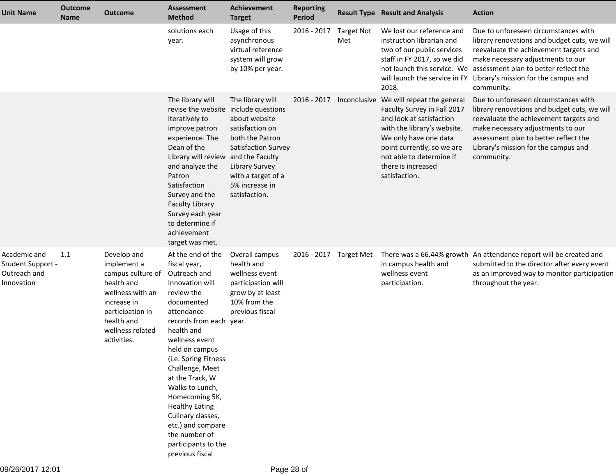| <b>Unit Name</b>                                                | <b>Outcome</b><br><b>Name</b> | <b>Outcome</b>                                                                                                                                                        | <b>Assessment</b><br><b>Method</b>                                                                                                                                                                                                                                                                                                                                                                                           | Achievement<br><b>Target</b>                                                                                                                                                                        | <b>Reporting</b><br>Period |                          | <b>Result Type Result and Analysis</b>                                                                                                                                                                                                         | <b>Action</b>                                                                                                                                                                                                                                                      |
|-----------------------------------------------------------------|-------------------------------|-----------------------------------------------------------------------------------------------------------------------------------------------------------------------|------------------------------------------------------------------------------------------------------------------------------------------------------------------------------------------------------------------------------------------------------------------------------------------------------------------------------------------------------------------------------------------------------------------------------|-----------------------------------------------------------------------------------------------------------------------------------------------------------------------------------------------------|----------------------------|--------------------------|------------------------------------------------------------------------------------------------------------------------------------------------------------------------------------------------------------------------------------------------|--------------------------------------------------------------------------------------------------------------------------------------------------------------------------------------------------------------------------------------------------------------------|
|                                                                 |                               |                                                                                                                                                                       | solutions each<br>year.                                                                                                                                                                                                                                                                                                                                                                                                      | Usage of this<br>asynchronous<br>virtual reference<br>system will grow<br>by 10% per year.                                                                                                          | 2016 - 2017                | <b>Target Not</b><br>Met | We lost our reference and<br>instruction librarian and<br>two of our public services<br>staff in FY 2017, so we did<br>not launch this service. We<br>will launch the service in FY<br>2018.                                                   | Due to unforeseen circumstances with<br>library renovations and budget cuts, we will<br>reevaluate the achievement targets and<br>make necessary adjustments to our<br>assessment plan to better reflect the<br>Library's mission for the campus and<br>community. |
|                                                                 |                               |                                                                                                                                                                       | The library will<br>revise the website include questions<br>iteratively to<br>improve patron<br>experience. The<br>Dean of the<br>Library will review<br>and analyze the<br>Patron<br>Satisfaction<br>Survey and the<br><b>Faculty Library</b><br>Survey each year<br>to determine if<br>achievement<br>target was met.                                                                                                      | The library will<br>about website<br>satisfaction on<br>both the Patron<br>Satisfaction Survey<br>and the Faculty<br><b>Library Survey</b><br>with a target of a<br>5% increase in<br>satisfaction. |                            | 2016 - 2017 Inconclusive | We will repeat the general<br>Faculty Survey in Fall 2017<br>and look at satisfaction<br>with the library's website.<br>We only have one data<br>point currently, so we are<br>not able to determine if<br>there is increased<br>satisfaction. | Due to unforeseen circumstances with<br>library renovations and budget cuts, we will<br>reevaluate the achievement targets and<br>make necessary adjustments to our<br>assessment plan to better reflect the<br>Library's mission for the campus and<br>community. |
| Academic and<br>Student Support -<br>Outreach and<br>Innovation | 1.1                           | Develop and<br>implement a<br>campus culture of<br>health and<br>wellness with an<br>increase in<br>participation in<br>health and<br>wellness related<br>activities. | At the end of the<br>fiscal year,<br>Outreach and<br>Innovation will<br>review the<br>documented<br>attendance<br>records from each year.<br>health and<br>wellness event<br>held on campus<br>(i.e. Spring Fitness<br>Challenge, Meet<br>at the Track, W<br>Walks to Lunch,<br>Homecoming 5K,<br><b>Healthy Eating</b><br>Culinary classes,<br>etc.) and compare<br>the number of<br>participants to the<br>previous fiscal | Overall campus<br>health and<br>wellness event<br>participation will<br>grow by at least<br>10% from the<br>previous fiscal                                                                         | 2016 - 2017 Target Met     |                          | in campus health and<br>wellness event<br>participation.                                                                                                                                                                                       | There was a 66.44% growth An attendance report will be created and<br>submitted to the director after every event<br>as an improved way to monitor participation<br>throughout the year.                                                                           |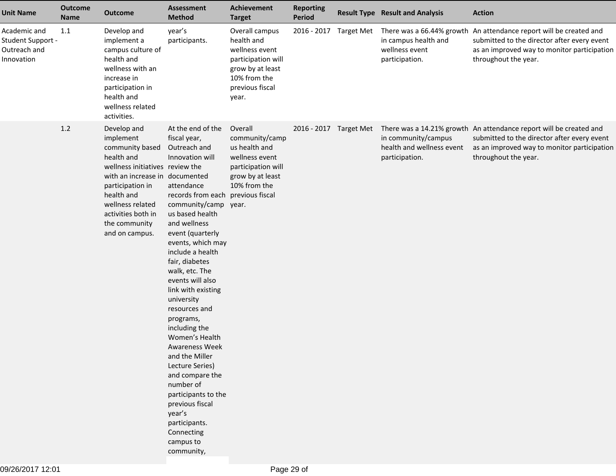| <b>Unit Name</b>                                                | <b>Outcome</b><br><b>Name</b> | <b>Outcome</b>                                                                                                                                                                                                                                | <b>Assessment</b><br><b>Method</b>                                                                                                                                                                                                                                                                                                                                                                                                                                                                                                                                                                                       | <b>Achievement</b><br><b>Target</b>                                                                                                  | <b>Reporting</b><br>Period |                        | <b>Result Type Result and Analysis</b>                                                                       | <b>Action</b>                                                                                                                                                                            |
|-----------------------------------------------------------------|-------------------------------|-----------------------------------------------------------------------------------------------------------------------------------------------------------------------------------------------------------------------------------------------|--------------------------------------------------------------------------------------------------------------------------------------------------------------------------------------------------------------------------------------------------------------------------------------------------------------------------------------------------------------------------------------------------------------------------------------------------------------------------------------------------------------------------------------------------------------------------------------------------------------------------|--------------------------------------------------------------------------------------------------------------------------------------|----------------------------|------------------------|--------------------------------------------------------------------------------------------------------------|------------------------------------------------------------------------------------------------------------------------------------------------------------------------------------------|
| Academic and<br>Student Support -<br>Outreach and<br>Innovation | 1.1                           | Develop and<br>implement a<br>campus culture of<br>health and<br>wellness with an<br>increase in<br>participation in<br>health and<br>wellness related<br>activities.                                                                         | year's<br>participants.                                                                                                                                                                                                                                                                                                                                                                                                                                                                                                                                                                                                  | Overall campus<br>health and<br>wellness event<br>participation will<br>grow by at least<br>10% from the<br>previous fiscal<br>year. |                            |                        | 2016 - 2017 Target Met There was a 66.44% growth<br>in campus health and<br>wellness event<br>participation. | An attendance report will be created and<br>submitted to the director after every event<br>as an improved way to monitor participation<br>throughout the year.                           |
|                                                                 | 1.2                           | Develop and<br>implement<br>community based<br>health and<br>wellness initiatives review the<br>with an increase in documented<br>participation in<br>health and<br>wellness related<br>activities both in<br>the community<br>and on campus. | At the end of the<br>fiscal year,<br>Outreach and<br>Innovation will<br>attendance<br>records from each previous fiscal<br>community/camp year.<br>us based health<br>and wellness<br>event (quarterly<br>events, which may<br>include a health<br>fair, diabetes<br>walk, etc. The<br>events will also<br>link with existing<br>university<br>resources and<br>programs,<br>including the<br>Women's Health<br><b>Awareness Week</b><br>and the Miller<br>Lecture Series)<br>and compare the<br>number of<br>participants to the<br>previous fiscal<br>year's<br>participants.<br>Connecting<br>campus to<br>community, | Overall<br>community/camp<br>us health and<br>wellness event<br>participation will<br>grow by at least<br>10% from the               |                            | 2016 - 2017 Target Met | in community/campus<br>health and wellness event<br>participation.                                           | There was a 14.21% growth An attendance report will be created and<br>submitted to the director after every event<br>as an improved way to monitor participation<br>throughout the year. |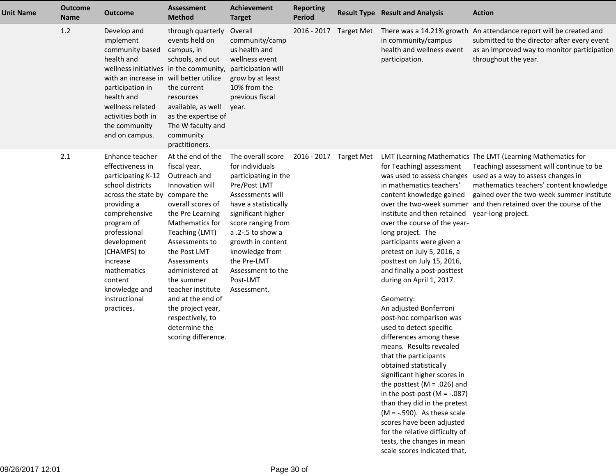| <b>Unit Name</b> | <b>Outcome</b><br><b>Name</b> | <b>Outcome</b>                                                                                                                                                                                                                                                                                     | <b>Assessment</b><br><b>Method</b>                                                                                                                                                                                                                                                                                                                              | <b>Achievement</b><br><b>Target</b>                                                                                                                                                                                                                                                             | <b>Reporting</b><br><b>Period</b> | <b>Result Type Result and Analysis</b>                                                                                                                                                                                                                                                                                                                                                                                                                                                                                                                                                                                                                                                                                                                                                                                                                                                         | <b>Action</b>                                                                                                                                                                                                                                                                                           |
|------------------|-------------------------------|----------------------------------------------------------------------------------------------------------------------------------------------------------------------------------------------------------------------------------------------------------------------------------------------------|-----------------------------------------------------------------------------------------------------------------------------------------------------------------------------------------------------------------------------------------------------------------------------------------------------------------------------------------------------------------|-------------------------------------------------------------------------------------------------------------------------------------------------------------------------------------------------------------------------------------------------------------------------------------------------|-----------------------------------|------------------------------------------------------------------------------------------------------------------------------------------------------------------------------------------------------------------------------------------------------------------------------------------------------------------------------------------------------------------------------------------------------------------------------------------------------------------------------------------------------------------------------------------------------------------------------------------------------------------------------------------------------------------------------------------------------------------------------------------------------------------------------------------------------------------------------------------------------------------------------------------------|---------------------------------------------------------------------------------------------------------------------------------------------------------------------------------------------------------------------------------------------------------------------------------------------------------|
|                  | 1.2                           | Develop and<br>implement<br>community based<br>health and<br>wellness initiatives in the community,<br>with an increase in will better utilize<br>participation in<br>health and<br>wellness related<br>activities both in<br>the community<br>and on campus.                                      | through quarterly<br>events held on<br>campus, in<br>schools, and out<br>the current<br>resources<br>available, as well<br>as the expertise of<br>The W faculty and<br>community<br>practitioners.                                                                                                                                                              | Overall<br>community/camp<br>us health and<br>wellness event<br>participation will<br>grow by at least<br>10% from the<br>previous fiscal<br>year.                                                                                                                                              | 2016 - 2017                       | in community/campus<br>health and wellness event<br>participation.                                                                                                                                                                                                                                                                                                                                                                                                                                                                                                                                                                                                                                                                                                                                                                                                                             | Target Met There was a 14.21% growth An attendance report will be created and<br>submitted to the director after every event<br>as an improved way to monitor participation<br>throughout the year.                                                                                                     |
|                  | 2.1                           | Enhance teacher<br>effectiveness in<br>participating K-12<br>school districts<br>across the state by compare the<br>providing a<br>comprehensive<br>program of<br>professional<br>development<br>(CHAMPS) to<br>increase<br>mathematics<br>content<br>knowledge and<br>instructional<br>practices. | At the end of the<br>fiscal year,<br>Outreach and<br>Innovation will<br>overall scores of<br>the Pre Learning<br>Mathematics for<br>Teaching (LMT)<br>Assessments to<br>the Post LMT<br>Assessments<br>administered at<br>the summer<br>teacher institute<br>and at the end of<br>the project year,<br>respectively, to<br>determine the<br>scoring difference. | The overall score<br>for individuals<br>participating in the<br>Pre/Post LMT<br>Assessments will<br>have a statistically<br>significant higher<br>score ranging from<br>a .2-.5 to show a<br>growth in content<br>knowledge from<br>the Pre-LMT<br>Assessment to the<br>Post-LMT<br>Assessment. | 2016 - 2017 Target Met            | for Teaching) assessment<br>was used to assess changes<br>in mathematics teachers'<br>content knowledge gained<br>over the two-week summer<br>institute and then retained<br>over the course of the year-<br>long project. The<br>participants were given a<br>pretest on July 5, 2016, a<br>posttest on July 15, 2016,<br>and finally a post-posttest<br>during on April 1, 2017.<br>Geometry:<br>An adjusted Bonferroni<br>post-hoc comparison was<br>used to detect specific<br>differences among these<br>means. Results revealed<br>that the participants<br>obtained statistically<br>significant higher scores in<br>the posttest ( $M = .026$ ) and<br>in the post-post ( $M = -.087$ )<br>than they did in the pretest<br>$(M = -.590)$ . As these scale<br>scores have been adjusted<br>for the relative difficulty of<br>tests, the changes in mean<br>scale scores indicated that, | LMT (Learning Mathematics The LMT (Learning Mathematics for<br>Teaching) assessment will continue to be<br>used as a way to assess changes in<br>mathematics teachers' content knowledge<br>gained over the two-week summer institute<br>and then retained over the course of the<br>year-long project. |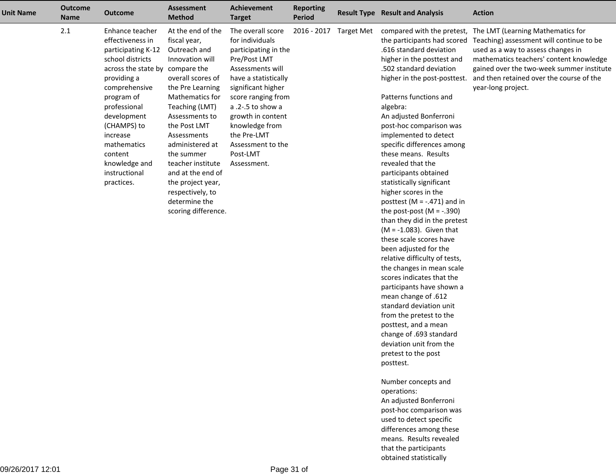| 2.1<br>At the end of the<br>The overall score<br>Enhance teacher<br>2016 - 2017<br><b>Target Met</b><br>compared with the pretest,<br>The LMT (Learning Mathematics for<br>effectiveness in<br>for individuals<br>the participants had scored<br>fiscal year,<br>Outreach and<br>.616 standard deviation<br>used as a way to assess changes in<br>participating K-12<br>participating in the<br>school districts<br>Innovation will<br>Pre/Post LMT<br>higher in the posttest and<br>.502 standard deviation<br>across the state by compare the<br>Assessments will<br>overall scores of<br>providing a<br>have a statistically<br>higher in the post-posttest.<br>comprehensive<br>the Pre Learning<br>significant higher<br>year-long project.<br>Patterns functions and<br>program of<br>Mathematics for<br>score ranging from<br>professional<br>Teaching (LMT)<br>a .2-.5 to show a<br>algebra:<br>growth in content<br>development<br>Assessments to<br>An adjusted Bonferroni<br>(CHAMPS) to<br>the Post LMT<br>knowledge from<br>post-hoc comparison was<br>the Pre-LMT<br>Assessments<br>implemented to detect<br>increase<br>specific differences among<br>mathematics<br>administered at<br>Assessment to the<br>these means. Results<br>content<br>Post-LMT<br>the summer<br>knowledge and<br>revealed that the<br>teacher institute<br>Assessment.<br>instructional<br>and at the end of<br>participants obtained<br>practices.<br>the project year,<br>statistically significant<br>higher scores in the<br>respectively, to<br>determine the<br>posttest (M = $-.471$ ) and in<br>scoring difference.<br>the post-post $(M = -.390)$<br>than they did in the pretest<br>$(M = -1.083)$ . Given that<br>these scale scores have<br>been adjusted for the<br>relative difficulty of tests,<br>the changes in mean scale<br>scores indicates that the<br>participants have shown a | <b>Unit Name</b> | <b>Outcome</b><br><b>Name</b> | <b>Outcome</b> | <b>Assessment</b><br><b>Method</b> | <b>Achievement</b><br><b>Target</b> | <b>Reporting</b><br><b>Period</b> | <b>Result Type Result and Analysis</b> | <b>Action</b>                                                                                                                                                                |
|------------------------------------------------------------------------------------------------------------------------------------------------------------------------------------------------------------------------------------------------------------------------------------------------------------------------------------------------------------------------------------------------------------------------------------------------------------------------------------------------------------------------------------------------------------------------------------------------------------------------------------------------------------------------------------------------------------------------------------------------------------------------------------------------------------------------------------------------------------------------------------------------------------------------------------------------------------------------------------------------------------------------------------------------------------------------------------------------------------------------------------------------------------------------------------------------------------------------------------------------------------------------------------------------------------------------------------------------------------------------------------------------------------------------------------------------------------------------------------------------------------------------------------------------------------------------------------------------------------------------------------------------------------------------------------------------------------------------------------------------------------------------------------------------------------------------------------------------------------------------------------------------|------------------|-------------------------------|----------------|------------------------------------|-------------------------------------|-----------------------------------|----------------------------------------|------------------------------------------------------------------------------------------------------------------------------------------------------------------------------|
| standard deviation unit<br>from the pretest to the<br>posttest, and a mean<br>change of .693 standard<br>deviation unit from the<br>pretest to the post<br>posttest.<br>Number concepts and<br>operations:<br>An adjusted Bonferroni                                                                                                                                                                                                                                                                                                                                                                                                                                                                                                                                                                                                                                                                                                                                                                                                                                                                                                                                                                                                                                                                                                                                                                                                                                                                                                                                                                                                                                                                                                                                                                                                                                                           |                  |                               |                |                                    |                                     |                                   | mean change of .612                    | Teaching) assessment will continue to be<br>mathematics teachers' content knowledge<br>gained over the two-week summer institute<br>and then retained over the course of the |

 post-hoc comparison wasused to detect specific differences among these means. Results revealedthat the participantsobtained statistically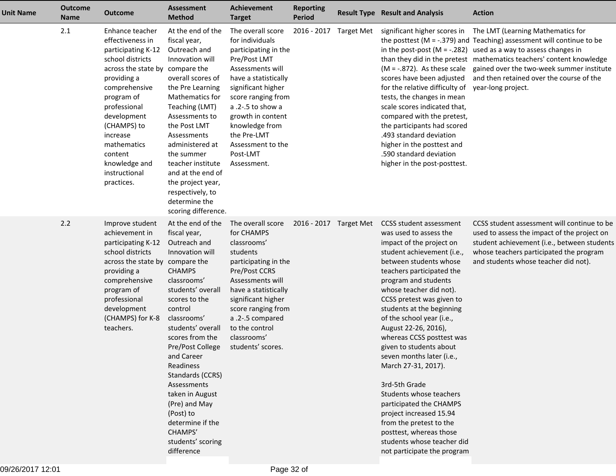| <b>Unit Name</b> | <b>Outcome</b><br><b>Name</b> | <b>Outcome</b>                                                                                                                                                                                                                                                                                     | <b>Assessment</b><br><b>Method</b>                                                                                                                                                                                                                                                                                                                                                                                | <b>Achievement</b><br><b>Target</b>                                                                                                                                                                                                                                                             | <b>Reporting</b><br><b>Period</b> |                        | <b>Result Type Result and Analysis</b>                                                                                                                                                                                                                                                                                                                                                                                                                                                                                                                                                                                                                                       | <b>Action</b>                                                                                                                                                                                                                                                                                                                                                                                                                              |
|------------------|-------------------------------|----------------------------------------------------------------------------------------------------------------------------------------------------------------------------------------------------------------------------------------------------------------------------------------------------|-------------------------------------------------------------------------------------------------------------------------------------------------------------------------------------------------------------------------------------------------------------------------------------------------------------------------------------------------------------------------------------------------------------------|-------------------------------------------------------------------------------------------------------------------------------------------------------------------------------------------------------------------------------------------------------------------------------------------------|-----------------------------------|------------------------|------------------------------------------------------------------------------------------------------------------------------------------------------------------------------------------------------------------------------------------------------------------------------------------------------------------------------------------------------------------------------------------------------------------------------------------------------------------------------------------------------------------------------------------------------------------------------------------------------------------------------------------------------------------------------|--------------------------------------------------------------------------------------------------------------------------------------------------------------------------------------------------------------------------------------------------------------------------------------------------------------------------------------------------------------------------------------------------------------------------------------------|
|                  | 2.1                           | Enhance teacher<br>effectiveness in<br>participating K-12<br>school districts<br>across the state by compare the<br>providing a<br>comprehensive<br>program of<br>professional<br>development<br>(CHAMPS) to<br>increase<br>mathematics<br>content<br>knowledge and<br>instructional<br>practices. | At the end of the<br>fiscal year,<br>Outreach and<br>Innovation will<br>overall scores of<br>the Pre Learning<br>Mathematics for<br>Teaching (LMT)<br>Assessments to<br>the Post LMT<br>Assessments<br>administered at<br>the summer<br>teacher institute<br>and at the end of<br>the project year,<br>respectively, to<br>determine the<br>scoring difference.                                                   | The overall score<br>for individuals<br>participating in the<br>Pre/Post LMT<br>Assessments will<br>have a statistically<br>significant higher<br>score ranging from<br>a .2-.5 to show a<br>growth in content<br>knowledge from<br>the Pre-LMT<br>Assessment to the<br>Post-LMT<br>Assessment. |                                   | 2016 - 2017 Target Met | scores have been adjusted<br>for the relative difficulty of<br>tests, the changes in mean<br>scale scores indicated that,<br>compared with the pretest,<br>the participants had scored<br>.493 standard deviation<br>higher in the posttest and<br>.590 standard deviation<br>higher in the post-posttest.                                                                                                                                                                                                                                                                                                                                                                   | significant higher scores in The LMT (Learning Mathematics for<br>the posttest ( $M = -0.379$ ) and Teaching) assessment will continue to be<br>in the post-post ( $M = -0.282$ ) used as a way to assess changes in<br>than they did in the pretest mathematics teachers' content knowledge<br>$(M = -.872)$ . As these scale gained over the two-week summer institute<br>and then retained over the course of the<br>year-long project. |
|                  | 2.2                           | Improve student<br>achievement in<br>participating K-12<br>school districts<br>across the state by compare the<br>providing a<br>comprehensive<br>program of<br>professional<br>development<br>(CHAMPS) for K-8<br>teachers.                                                                       | At the end of the<br>fiscal year,<br>Outreach and<br>Innovation will<br><b>CHAMPS</b><br>classrooms'<br>students' overall<br>scores to the<br>control<br>classrooms'<br>students' overall<br>scores from the<br>Pre/Post College<br>and Career<br>Readiness<br>Standards (CCRS)<br>Assessments<br>taken in August<br>(Pre) and May<br>(Post) to<br>determine if the<br>CHAMPS'<br>students' scoring<br>difference | The overall score<br>for CHAMPS<br>classrooms'<br>students<br>participating in the<br>Pre/Post CCRS<br>Assessments will<br>have a statistically<br>significant higher<br>score ranging from<br>a .2-.5 compared<br>to the control<br>classrooms'<br>students' scores.                           |                                   | 2016 - 2017 Target Met | <b>CCSS student assessment</b><br>was used to assess the<br>impact of the project on<br>student achievement (i.e.,<br>between students whose<br>teachers participated the<br>program and students<br>whose teacher did not).<br>CCSS pretest was given to<br>students at the beginning<br>of the school year (i.e.,<br>August 22-26, 2016),<br>whereas CCSS posttest was<br>given to students about<br>seven months later (i.e.,<br>March 27-31, 2017).<br>3rd-5th Grade<br>Students whose teachers<br>participated the CHAMPS<br>project increased 15.94<br>from the pretest to the<br>posttest, whereas those<br>students whose teacher did<br>not participate the program | CCSS student assessment will continue to be<br>used to assess the impact of the project on<br>student achievement (i.e., between students<br>whose teachers participated the program<br>and students whose teacher did not).                                                                                                                                                                                                               |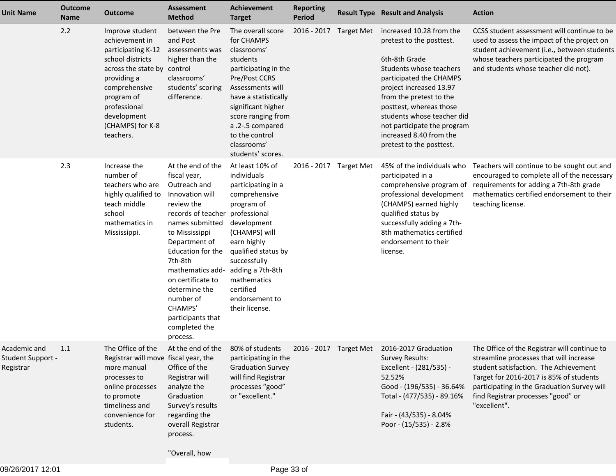| <b>Unit Name</b>                               | <b>Outcome</b><br><b>Name</b> | <b>Outcome</b>                                                                                                                                                                                                           | <b>Assessment</b><br><b>Method</b>                                                                                                                                                                                                                                                                                                 | <b>Achievement</b><br><b>Target</b>                                                                                                                                                                                                                                           | <b>Reporting</b><br><b>Period</b> |                   | <b>Result Type Result and Analysis</b>                                                                                                                                                                                                                                                                                           | <b>Action</b>                                                                                                                                                                                                                                                                    |
|------------------------------------------------|-------------------------------|--------------------------------------------------------------------------------------------------------------------------------------------------------------------------------------------------------------------------|------------------------------------------------------------------------------------------------------------------------------------------------------------------------------------------------------------------------------------------------------------------------------------------------------------------------------------|-------------------------------------------------------------------------------------------------------------------------------------------------------------------------------------------------------------------------------------------------------------------------------|-----------------------------------|-------------------|----------------------------------------------------------------------------------------------------------------------------------------------------------------------------------------------------------------------------------------------------------------------------------------------------------------------------------|----------------------------------------------------------------------------------------------------------------------------------------------------------------------------------------------------------------------------------------------------------------------------------|
|                                                | 2.2                           | Improve student<br>achievement in<br>participating K-12<br>school districts<br>across the state by control<br>providing a<br>comprehensive<br>program of<br>professional<br>development<br>(CHAMPS) for K-8<br>teachers. | between the Pre<br>and Post<br>assessments was<br>higher than the<br>classrooms'<br>students' scoring<br>difference.                                                                                                                                                                                                               | The overall score<br>for CHAMPS<br>classrooms'<br>students<br>participating in the<br>Pre/Post CCRS<br>Assessments will<br>have a statistically<br>significant higher<br>score ranging from<br>a .2-.5 compared<br>to the control<br>classrooms'<br>students' scores.         | 2016 - 2017                       | <b>Target Met</b> | increased 10.28 from the<br>pretest to the posttest.<br>6th-8th Grade<br>Students whose teachers<br>participated the CHAMPS<br>project increased 13.97<br>from the pretest to the<br>posttest, whereas those<br>students whose teacher did<br>not participate the program<br>increased 8.40 from the<br>pretest to the posttest. | CCSS student assessment will continue to be<br>used to assess the impact of the project on<br>student achievement (i.e., between students<br>whose teachers participated the program<br>and students whose teacher did not).                                                     |
|                                                | 2.3                           | Increase the<br>number of<br>teachers who are<br>highly qualified to<br>teach middle<br>school<br>mathematics in<br>Mississippi.                                                                                         | At the end of the<br>fiscal year,<br>Outreach and<br>Innovation will<br>review the<br>records of teacher<br>names submitted<br>to Mississippi<br>Department of<br>Education for the<br>7th-8th<br>mathematics add-<br>on certificate to<br>determine the<br>number of<br>CHAMPS'<br>participants that<br>completed the<br>process. | At least 10% of<br>individuals<br>participating in a<br>comprehensive<br>program of<br>professional<br>development<br>(CHAMPS) will<br>earn highly<br>qualified status by<br>successfully<br>adding a 7th-8th<br>mathematics<br>certified<br>endorsement to<br>their license. | 2016 - 2017 Target Met            |                   | 45% of the individuals who<br>participated in a<br>comprehensive program of<br>professional development<br>(CHAMPS) earned highly<br>qualified status by<br>successfully adding a 7th-<br>8th mathematics certified<br>endorsement to their<br>license.                                                                          | Teachers will continue to be sought out and<br>encouraged to complete all of the necessary<br>requirements for adding a 7th-8th grade<br>mathematics certified endorsement to their<br>teaching license.                                                                         |
| Academic and<br>Student Support -<br>Registrar | 1.1                           | The Office of the<br>Registrar will move fiscal year, the<br>more manual<br>processes to<br>online processes<br>to promote<br>timeliness and<br>convenience for<br>students.                                             | At the end of the 80% of students<br>Office of the<br>Registrar will<br>analyze the<br>Graduation<br>Survey's results<br>regarding the<br>overall Registrar<br>process.                                                                                                                                                            | participating in the<br><b>Graduation Survey</b><br>will find Registrar<br>processes "good"<br>or "excellent."                                                                                                                                                                |                                   |                   | 2016 - 2017 Target Met 2016-2017 Graduation<br><b>Survey Results:</b><br>Excellent - (281/535) -<br>52.52%<br>Good - (196/535) - 36.64%<br>Total - (477/535) - 89.16%<br>Fair - (43/535) - 8.04%<br>Poor - (15/535) - 2.8%                                                                                                       | The Office of the Registrar will continue to<br>streamline processes that will increase<br>student satisfaction. The Achievement<br>Target for 2016-2017 is 85% of students<br>participating in the Graduation Survey will<br>find Registrar processes "good" or<br>"excellent". |

"Overall, how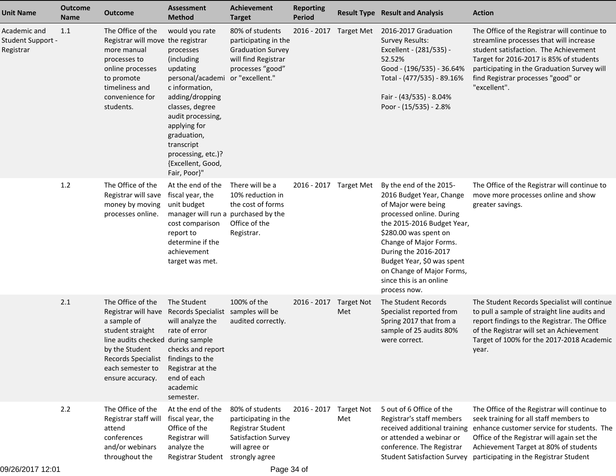| <b>Outcome</b><br><b>Name</b> | <b>Outcome</b>                                                                                                                        | <b>Assessment</b><br><b>Method</b>                                                                                                                                                                                                                             | <b>Achievement</b><br><b>Target</b>                                                                                                                                                                                   | <b>Reporting</b><br>Period                                                                     |                                                                                   |                                                                                                                                                                                                                                                                                                                       | <b>Action</b>                                                                                                                                                                                                                                                                    |
|-------------------------------|---------------------------------------------------------------------------------------------------------------------------------------|----------------------------------------------------------------------------------------------------------------------------------------------------------------------------------------------------------------------------------------------------------------|-----------------------------------------------------------------------------------------------------------------------------------------------------------------------------------------------------------------------|------------------------------------------------------------------------------------------------|-----------------------------------------------------------------------------------|-----------------------------------------------------------------------------------------------------------------------------------------------------------------------------------------------------------------------------------------------------------------------------------------------------------------------|----------------------------------------------------------------------------------------------------------------------------------------------------------------------------------------------------------------------------------------------------------------------------------|
|                               | The Office of the<br>more manual<br>processes to<br>online processes<br>to promote<br>timeliness and<br>convenience for<br>students.  | would you rate<br>processes<br>(including<br>updating<br>personal/academi<br>c information,<br>adding/dropping<br>classes, degree<br>audit processing,<br>applying for<br>graduation,<br>transcript<br>processing, etc.)?<br>{Excellent, Good,<br>Fair, Poor}" | 80% of students<br><b>Graduation Survey</b><br>will find Registrar<br>processes "good"                                                                                                                                |                                                                                                |                                                                                   | 2016-2017 Graduation<br><b>Survey Results:</b><br>Excellent - (281/535) -<br>52.52%<br>Good - (196/535) - 36.64%<br>Total - (477/535) - 89.16%<br>Fair - (43/535) - 8.04%<br>Poor - (15/535) - 2.8%                                                                                                                   | The Office of the Registrar will continue to<br>streamline processes that will increase<br>student satisfaction. The Achievement<br>Target for 2016-2017 is 85% of students<br>participating in the Graduation Survey will<br>find Registrar processes "good" or<br>"excellent". |
|                               | The Office of the<br>Registrar will save<br>money by moving<br>processes online.                                                      | At the end of the<br>cost comparison<br>report to<br>determine if the<br>achievement<br>target was met.                                                                                                                                                        | There will be a<br>10% reduction in<br>the cost of forms<br>Office of the<br>Registrar.                                                                                                                               |                                                                                                |                                                                                   | By the end of the 2015-<br>2016 Budget Year, Change<br>of Major were being<br>processed online. During<br>the 2015-2016 Budget Year,<br>\$280.00 was spent on<br>Change of Major Forms.<br>During the 2016-2017<br>Budget Year, \$0 was spent<br>on Change of Major Forms,<br>since this is an online<br>process now. | The Office of the Registrar will continue to<br>move more processes online and show<br>greater savings.                                                                                                                                                                          |
|                               | The Office of the<br>Registrar will have<br>a sample of<br>student straight<br>by the Student<br>each semester to<br>ensure accuracy. | will analyze the<br>rate of error<br>checks and report<br>Registrar at the<br>end of each<br>academic                                                                                                                                                          | 100% of the<br>audited correctly.                                                                                                                                                                                     | 2016 - 2017                                                                                    | <b>Target Not</b><br>Met                                                          | The Student Records<br>Specialist reported from<br>Spring 2017 that from a<br>sample of 25 audits 80%<br>were correct.                                                                                                                                                                                                | The Student Records Specialist will continue<br>to pull a sample of straight line audits and<br>report findings to the Registrar. The Office<br>of the Registrar will set an Achievement<br>Target of 100% for the 2017-2018 Academic<br>year.                                   |
|                               | The Office of the<br>Registrar staff will<br>attend<br>conferences<br>and/or webinars<br>throughout the                               | At the end of the<br>Office of the<br>Registrar will<br>analyze the<br>Registrar Student                                                                                                                                                                       | 80% of students<br>Registrar Student<br>will agree or                                                                                                                                                                 | 2016 - 2017                                                                                    | <b>Target Not</b><br>Met                                                          | 5 out of 6 Office of the<br>Registrar's staff members<br>received additional training<br>or attended a webinar or<br>conference. The Registrar<br><b>Student Satisfaction Survey</b>                                                                                                                                  | The Office of the Registrar will continue to<br>seek training for all staff members to<br>enhance customer service for students. The<br>Office of the Registrar will again set the<br>Achievement Target at 80% of students<br>participating in the Registrar Student            |
|                               | 1.1<br>1.2<br>2.1<br>2.2<br>09/26/2017 12:01                                                                                          |                                                                                                                                                                                                                                                                | Registrar will move the registrar<br>fiscal year, the<br>unit budget<br>The Student<br>Records Specialist<br>line audits checked during sample<br>Records Specialist findings to the<br>semester.<br>fiscal year, the | or "excellent."<br>purchased by the<br>manager will run a<br>samples will be<br>strongly agree | participating in the<br>participating in the<br>Satisfaction Survey<br>Page 34 of | 2016 - 2017 Target Met<br>2016 - 2017 Target Met                                                                                                                                                                                                                                                                      | <b>Result Type Result and Analysis</b>                                                                                                                                                                                                                                           |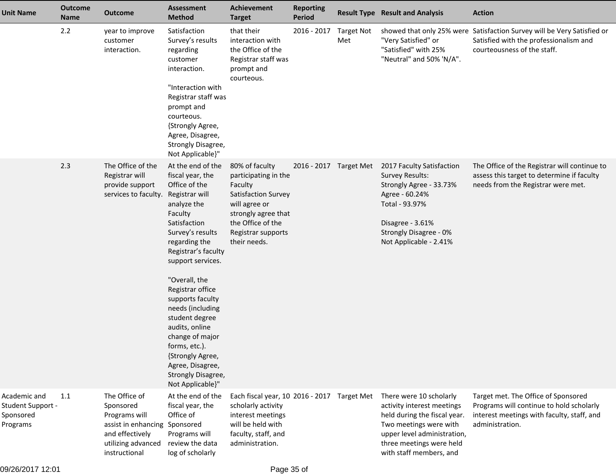| <b>Unit Name</b>                                           | <b>Outcome</b><br><b>Name</b> | <b>Outcome</b>                                                                                                                         | Assessment<br><b>Method</b>                                                                                                                                                                                                                                                                                                                                                                                              | <b>Achievement</b><br><b>Target</b>                                                                                                                                         | <b>Reporting</b><br><b>Period</b> |                          | <b>Result Type Result and Analysis</b>                                                                                                                                                                | <b>Action</b>                                                                                                                                    |
|------------------------------------------------------------|-------------------------------|----------------------------------------------------------------------------------------------------------------------------------------|--------------------------------------------------------------------------------------------------------------------------------------------------------------------------------------------------------------------------------------------------------------------------------------------------------------------------------------------------------------------------------------------------------------------------|-----------------------------------------------------------------------------------------------------------------------------------------------------------------------------|-----------------------------------|--------------------------|-------------------------------------------------------------------------------------------------------------------------------------------------------------------------------------------------------|--------------------------------------------------------------------------------------------------------------------------------------------------|
|                                                            | 2.2                           | year to improve<br>customer<br>interaction.                                                                                            | Satisfaction<br>Survey's results<br>regarding<br>customer<br>interaction.<br>"Interaction with<br>Registrar staff was<br>prompt and<br>courteous.<br>{Strongly Agree,<br>Agree, Disagree,<br>Strongly Disagree,<br>Not Applicable}"                                                                                                                                                                                      | that their<br>interaction with<br>the Office of the<br>Registrar staff was<br>prompt and<br>courteous.                                                                      | 2016 - 2017                       | <b>Target Not</b><br>Met | "Very Satisfied" or<br>"Satisfied" with 25%<br>"Neutral" and 50% 'N/A".                                                                                                                               | showed that only 25% were Satisfaction Survey will be Very Satisfied or<br>Satisfied with the professionalism and<br>courteousness of the staff. |
|                                                            | 2.3                           | The Office of the<br>Registrar will<br>provide support<br>services to faculty. Registrar will                                          | At the end of the<br>fiscal year, the<br>Office of the<br>analyze the<br>Faculty<br>Satisfaction<br>Survey's results<br>regarding the<br>Registrar's faculty<br>support services.<br>"Overall, the<br>Registrar office<br>supports faculty<br>needs (including<br>student degree<br>audits, online<br>change of major<br>forms, etc.).<br>{Strongly Agree,<br>Agree, Disagree,<br>Strongly Disagree,<br>Not Applicable}" | 80% of faculty<br>participating in the<br>Faculty<br>Satisfaction Survey<br>will agree or<br>strongly agree that<br>the Office of the<br>Registrar supports<br>their needs. | 2016 - 2017 Target Met            |                          | 2017 Faculty Satisfaction<br><b>Survey Results:</b><br>Strongly Agree - 33.73%<br>Agree - 60.24%<br>Total - 93.97%<br>Disagree - 3.61%<br>Strongly Disagree - 0%<br>Not Applicable - 2.41%            | The Office of the Registrar will continue to<br>assess this target to determine if faculty<br>needs from the Registrar were met.                 |
| Academic and<br>Student Support -<br>Sponsored<br>Programs | 1.1                           | The Office of<br>Sponsored<br>Programs will<br>assist in enhancing Sponsored<br>and effectively<br>utilizing advanced<br>instructional | At the end of the<br>fiscal year, the<br>Office of<br>Programs will<br>review the data<br>log of scholarly                                                                                                                                                                                                                                                                                                               | Each fiscal year, 10 2016 - 2017 Target Met<br>scholarly activity<br>interest meetings<br>will be held with<br>faculty, staff, and<br>administration.                       |                                   |                          | There were 10 scholarly<br>activity interest meetings<br>held during the fiscal year.<br>Two meetings were with<br>upper level administration,<br>three meetings were held<br>with staff members, and | Target met. The Office of Sponsored<br>Programs will continue to hold scholarly<br>interest meetings with faculty, staff, and<br>administration. |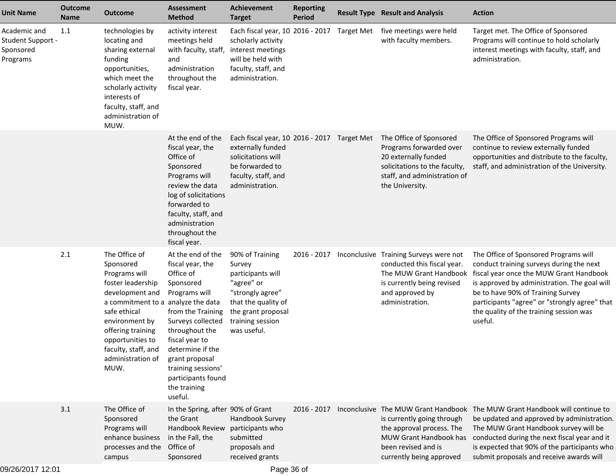| <b>Unit Name</b>                                                  | <b>Outcome</b><br><b>Name</b> | <b>Outcome</b>                                                                                                                                                                                                                                           | <b>Assessment</b><br><b>Method</b>                                                                                                                                                                                                                                          | <b>Achievement</b><br><b>Target</b>                                                                                                                              | <b>Reporting</b><br><b>Period</b> |            | <b>Result Type Result and Analysis</b>                                                                                                                              | <b>Action</b>                                                                                                                                                                                                                                                                                                            |
|-------------------------------------------------------------------|-------------------------------|----------------------------------------------------------------------------------------------------------------------------------------------------------------------------------------------------------------------------------------------------------|-----------------------------------------------------------------------------------------------------------------------------------------------------------------------------------------------------------------------------------------------------------------------------|------------------------------------------------------------------------------------------------------------------------------------------------------------------|-----------------------------------|------------|---------------------------------------------------------------------------------------------------------------------------------------------------------------------|--------------------------------------------------------------------------------------------------------------------------------------------------------------------------------------------------------------------------------------------------------------------------------------------------------------------------|
| Academic and<br><b>Student Support -</b><br>Sponsored<br>Programs | 1.1                           | technologies by<br>locating and<br>sharing external<br>funding<br>opportunities,<br>which meet the<br>scholarly activity<br>interests of<br>faculty, staff, and<br>administration of<br>MUW.                                                             | activity interest<br>meetings held<br>with faculty, staff,<br>and<br>administration<br>throughout the<br>fiscal year.                                                                                                                                                       | Each fiscal year, 10 2016 - 2017<br>scholarly activity<br>interest meetings<br>will be held with<br>faculty, staff, and<br>administration.                       |                                   | Target Met | five meetings were held<br>with faculty members.                                                                                                                    | Target met. The Office of Sponsored<br>Programs will continue to hold scholarly<br>interest meetings with faculty, staff, and<br>administration.                                                                                                                                                                         |
|                                                                   |                               |                                                                                                                                                                                                                                                          | At the end of the<br>fiscal year, the<br>Office of<br>Sponsored<br>Programs will<br>review the data<br>log of solicitations<br>forwarded to<br>faculty, staff, and<br>administration<br>throughout the<br>fiscal year.                                                      | Each fiscal year, 10 2016 - 2017 Target Met<br>externally funded<br>solicitations will<br>be forwarded to<br>faculty, staff, and<br>administration.              |                                   |            | The Office of Sponsored<br>Programs forwarded over<br>20 externally funded<br>solicitations to the faculty,<br>staff, and administration of<br>the University.      | The Office of Sponsored Programs will<br>continue to review externally funded<br>opportunities and distribute to the faculty,<br>staff, and administration of the University.                                                                                                                                            |
|                                                                   | 2.1                           | The Office of<br>Sponsored<br>Programs will<br>foster leadership<br>development and<br>a commitment to a analyze the data<br>safe ethical<br>environment by<br>offering training<br>opportunities to<br>faculty, staff, and<br>administration of<br>MUW. | At the end of the<br>fiscal year, the<br>Office of<br>Sponsored<br>Programs will<br>from the Training<br>Surveys collected<br>throughout the<br>fiscal year to<br>determine if the<br>grant proposal<br>training sessions'<br>participants found<br>the training<br>useful. | 90% of Training<br>Survey<br>participants will<br>"agree" or<br>"strongly agree"<br>that the quality of<br>the grant proposal<br>training session<br>was useful. | 2016 - 2017                       |            | Inconclusive Training Surveys were not<br>conducted this fiscal year.<br>The MUW Grant Handbook<br>is currently being revised<br>and approved by<br>administration. | The Office of Sponsored Programs will<br>conduct training surveys during the next<br>fiscal year once the MUW Grant Handbook<br>is approved by administration. The goal will<br>be to have 90% of Training Survey<br>participants "agree" or "strongly agree" that<br>the quality of the training session was<br>useful. |
|                                                                   | 3.1                           | The Office of<br>Sponsored<br>Programs will<br>enhance business<br>processes and the<br>campus                                                                                                                                                           | In the Spring, after 90% of Grant<br>the Grant<br>Handbook Review<br>in the Fall, the<br>Office of<br>Sponsored                                                                                                                                                             | Handbook Survey<br>participants who<br>submitted<br>proposals and<br>received grants                                                                             | $2016 - 2017$                     |            | is currently going through<br>the approval process. The<br>MUW Grant Handbook has<br>been revised and is<br>currently being approved                                | Inconclusive The MUW Grant Handbook The MUW Grant Handbook will continue to<br>be updated and approved by administration.<br>The MUW Grant Handbook survey will be<br>conducted during the next fiscal year and it<br>is expected that 90% of the participants who<br>submit proposals and receive awards will           |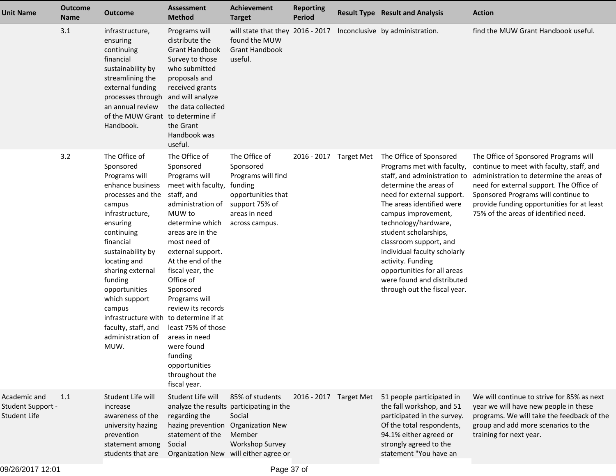| <b>Unit Name</b>                                         | <b>Outcome</b><br><b>Name</b> | <b>Outcome</b>                                                                                                                                                                                                                                                                                                                                      | <b>Assessment</b><br><b>Method</b>                                                                                                                                                                                                                                                                                                                                                                                                            | <b>Achievement</b><br><b>Target</b>                                                                                                                                    | <b>Reporting</b><br><b>Period</b> | <b>Result Type Result and Analysis</b>                                                                                                                                                                                                                                                                                                                                                                                         | <b>Action</b>                                                                                                                                                                                                                                                                                           |
|----------------------------------------------------------|-------------------------------|-----------------------------------------------------------------------------------------------------------------------------------------------------------------------------------------------------------------------------------------------------------------------------------------------------------------------------------------------------|-----------------------------------------------------------------------------------------------------------------------------------------------------------------------------------------------------------------------------------------------------------------------------------------------------------------------------------------------------------------------------------------------------------------------------------------------|------------------------------------------------------------------------------------------------------------------------------------------------------------------------|-----------------------------------|--------------------------------------------------------------------------------------------------------------------------------------------------------------------------------------------------------------------------------------------------------------------------------------------------------------------------------------------------------------------------------------------------------------------------------|---------------------------------------------------------------------------------------------------------------------------------------------------------------------------------------------------------------------------------------------------------------------------------------------------------|
|                                                          | 3.1                           | infrastructure,<br>ensuring<br>continuing<br>financial<br>sustainability by<br>streamlining the<br>external funding<br>processes through<br>an annual review<br>of the MUW Grant<br>Handbook.                                                                                                                                                       | Programs will<br>distribute the<br><b>Grant Handbook</b><br>Survey to those<br>who submitted<br>proposals and<br>received grants<br>and will analyze<br>the data collected<br>to determine if<br>the Grant<br>Handbook was<br>useful.                                                                                                                                                                                                         | will state that they 2016 - 2017 Inconclusive by administration.<br>found the MUW<br><b>Grant Handbook</b><br>useful.                                                  |                                   |                                                                                                                                                                                                                                                                                                                                                                                                                                | find the MUW Grant Handbook useful.                                                                                                                                                                                                                                                                     |
|                                                          | 3.2                           | The Office of<br>Sponsored<br>Programs will<br>enhance business<br>processes and the<br>campus<br>infrastructure,<br>ensuring<br>continuing<br>financial<br>sustainability by<br>locating and<br>sharing external<br>funding<br>opportunities<br>which support<br>campus<br>infrastructure with<br>faculty, staff, and<br>administration of<br>MUW. | The Office of<br>Sponsored<br>Programs will<br>meet with faculty,<br>staff, and<br>administration of<br>MUW to<br>determine which<br>areas are in the<br>most need of<br>external support.<br>At the end of the<br>fiscal year, the<br>Office of<br>Sponsored<br>Programs will<br>review its records<br>to determine if at<br>least 75% of those<br>areas in need<br>were found<br>funding<br>opportunities<br>throughout the<br>fiscal year. | The Office of<br>Sponsored<br>Programs will find<br>funding<br>opportunities that<br>support 75% of<br>areas in need<br>across campus.                                 | 2016 - 2017 Target Met            | The Office of Sponsored<br>Programs met with faculty,<br>staff, and administration to<br>determine the areas of<br>need for external support.<br>The areas identified were<br>campus improvement,<br>technology/hardware,<br>student scholarships,<br>classroom support, and<br>individual faculty scholarly<br>activity. Funding<br>opportunities for all areas<br>were found and distributed<br>through out the fiscal year. | The Office of Sponsored Programs will<br>continue to meet with faculty, staff, and<br>administration to determine the areas of<br>need for external support. The Office of<br>Sponsored Programs will continue to<br>provide funding opportunities for at least<br>75% of the areas of identified need. |
| Academic and<br>Student Support -<br><b>Student Life</b> | 1.1                           | Student Life will<br>increase<br>awareness of the<br>university hazing<br>prevention<br>statement among<br>students that are                                                                                                                                                                                                                        | Student Life will<br>regarding the<br>hazing prevention<br>statement of the<br>Social                                                                                                                                                                                                                                                                                                                                                         | 85% of students<br>analyze the results participating in the<br>Social<br><b>Organization New</b><br>Member<br>Workshop Survey<br>Organization New will either agree or | 2016 - 2017 Target Met            | 51 people participated in<br>the fall workshop, and 51<br>participated in the survey.<br>Of the total respondents,<br>94.1% either agreed or<br>strongly agreed to the<br>statement "You have an                                                                                                                                                                                                                               | We will continue to strive for 85% as next<br>year we will have new people in these<br>programs. We will take the feedback of the<br>group and add more scenarios to the<br>training for next year.                                                                                                     |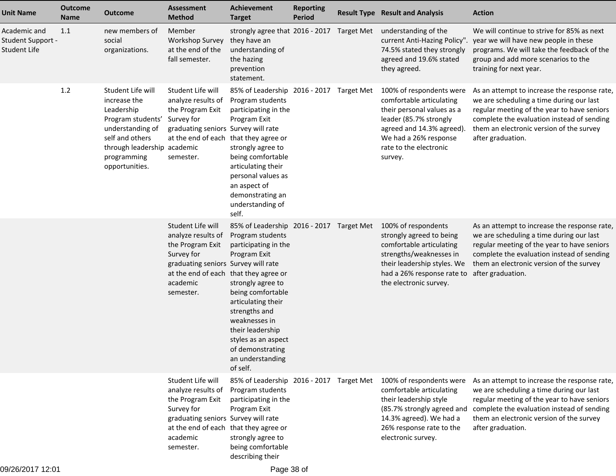| <b>Unit Name</b>                                  | <b>Outcome</b><br><b>Name</b> | <b>Outcome</b>                                                                                                                                                              | <b>Assessment</b><br><b>Method</b>                                                                                                                                                 | Achievement<br><b>Target</b>                                                                                                                                                                                                                                                                          | <b>Reporting</b><br><b>Period</b> | <b>Result Type Result and Analysis</b>                                                                                                                                                                  | <b>Action</b>                                                                                                                                                                                                                                          |
|---------------------------------------------------|-------------------------------|-----------------------------------------------------------------------------------------------------------------------------------------------------------------------------|------------------------------------------------------------------------------------------------------------------------------------------------------------------------------------|-------------------------------------------------------------------------------------------------------------------------------------------------------------------------------------------------------------------------------------------------------------------------------------------------------|-----------------------------------|---------------------------------------------------------------------------------------------------------------------------------------------------------------------------------------------------------|--------------------------------------------------------------------------------------------------------------------------------------------------------------------------------------------------------------------------------------------------------|
| Academic and<br>Student Support -<br>Student Life | 1.1                           | new members of<br>social<br>organizations.                                                                                                                                  | Member<br><b>Workshop Survey</b><br>at the end of the<br>fall semester.                                                                                                            | strongly agree that 2016 - 2017 Target Met<br>they have an<br>understanding of<br>the hazing<br>prevention<br>statement.                                                                                                                                                                              |                                   | understanding of the<br>current Anti-Hazing Policy".<br>74.5% stated they strongly<br>agreed and 19.6% stated<br>they agreed.                                                                           | We will continue to strive for 85% as next<br>year we will have new people in these<br>programs. We will take the feedback of the<br>group and add more scenarios to the<br>training for next year.                                                    |
|                                                   | 1.2                           | Student Life will<br>increase the<br>Leadership<br>Program students'<br>understanding of<br>self and others<br>through leadership academic<br>programming<br>opportunities. | Student Life will<br>analyze results of<br>the Program Exit<br>Survey for<br>graduating seniors Survey will rate<br>at the end of each that they agree or<br>semester.             | 85% of Leadership 2016 - 2017 Target Met<br>Program students<br>participating in the<br>Program Exit<br>strongly agree to<br>being comfortable<br>articulating their<br>personal values as<br>an aspect of<br>demonstrating an<br>understanding of<br>self.                                           |                                   | 100% of respondents were<br>comfortable articulating<br>their personal values as a<br>leader (85.7% strongly<br>agreed and 14.3% agreed).<br>We had a 26% response<br>rate to the electronic<br>survey. | As an attempt to increase the response rate,<br>we are scheduling a time during our last<br>regular meeting of the year to have seniors<br>complete the evaluation instead of sending<br>them an electronic version of the survey<br>after graduation. |
|                                                   |                               |                                                                                                                                                                             | Student Life will<br>analyze results of<br>the Program Exit<br>Survey for<br>graduating seniors Survey will rate<br>at the end of each that they agree or<br>academic<br>semester. | 85% of Leadership 2016 - 2017 Target Met<br>Program students<br>participating in the<br>Program Exit<br>strongly agree to<br>being comfortable<br>articulating their<br>strengths and<br>weaknesses in<br>their leadership<br>styles as an aspect<br>of demonstrating<br>an understanding<br>of self. |                                   | 100% of respondents<br>strongly agreed to being<br>comfortable articulating<br>strengths/weaknesses in<br>their leadership styles. We<br>had a 26% response rate to<br>the electronic survey.           | As an attempt to increase the response rate,<br>we are scheduling a time during our last<br>regular meeting of the year to have seniors<br>complete the evaluation instead of sending<br>them an electronic version of the survey<br>after graduation. |
|                                                   |                               |                                                                                                                                                                             | Student Life will<br>analyze results of<br>the Program Exit<br>Survey for<br>graduating seniors Survey will rate<br>at the end of each that they agree or<br>academic<br>semester. | 85% of Leadership 2016 - 2017 Target Met<br>Program students<br>participating in the<br>Program Exit<br>strongly agree to<br>being comfortable<br>describing their                                                                                                                                    |                                   | 100% of respondents were<br>comfortable articulating<br>their leadership style<br>(85.7% strongly agreed and<br>14.3% agreed). We had a<br>26% response rate to the<br>electronic survey.               | As an attempt to increase the response rate,<br>we are scheduling a time during our last<br>regular meeting of the year to have seniors<br>complete the evaluation instead of sending<br>them an electronic version of the survey<br>after graduation. |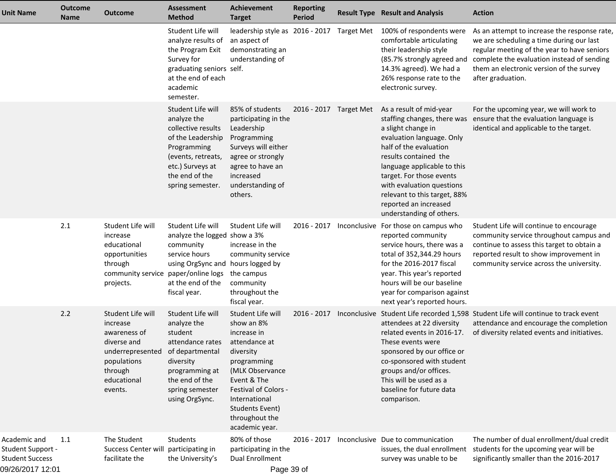| Unit Name                                                                       | <b>Outcome</b><br>Name | <b>Outcome</b>                                                                                                                                       | <b>Assessment</b><br><b>Method</b>                                                                                                                                         | <b>Achievement</b><br><b>Target</b>                                                                                                                                                                                                  | <b>Reporting</b><br><b>Period</b> |              | <b>Result Type Result and Analysis</b>                                                                                                                                                                                                                                                                                                    | <b>Action</b>                                                                                                                                                                                                                                          |
|---------------------------------------------------------------------------------|------------------------|------------------------------------------------------------------------------------------------------------------------------------------------------|----------------------------------------------------------------------------------------------------------------------------------------------------------------------------|--------------------------------------------------------------------------------------------------------------------------------------------------------------------------------------------------------------------------------------|-----------------------------------|--------------|-------------------------------------------------------------------------------------------------------------------------------------------------------------------------------------------------------------------------------------------------------------------------------------------------------------------------------------------|--------------------------------------------------------------------------------------------------------------------------------------------------------------------------------------------------------------------------------------------------------|
|                                                                                 |                        |                                                                                                                                                      | Student Life will<br>analyze results of<br>the Program Exit<br>Survey for<br>graduating seniors self.<br>at the end of each<br>academic<br>semester.                       | leadership style as 2016 - 2017 Target Met<br>an aspect of<br>demonstrating an<br>understanding of                                                                                                                                   |                                   |              | 100% of respondents were<br>comfortable articulating<br>their leadership style<br>(85.7% strongly agreed and<br>14.3% agreed). We had a<br>26% response rate to the<br>electronic survey.                                                                                                                                                 | As an attempt to increase the response rate,<br>we are scheduling a time during our last<br>regular meeting of the year to have seniors<br>complete the evaluation instead of sending<br>them an electronic version of the survey<br>after graduation. |
|                                                                                 |                        |                                                                                                                                                      | Student Life will<br>analyze the<br>collective results<br>of the Leadership<br>Programming<br>(events, retreats,<br>etc.) Surveys at<br>the end of the<br>spring semester. | 85% of students<br>participating in the<br>Leadership<br>Programming<br>Surveys will either<br>agree or strongly<br>agree to have an<br>increased<br>understanding of<br>others.                                                     | 2016 - 2017 Target Met            |              | As a result of mid-year<br>staffing changes, there was<br>a slight change in<br>evaluation language. Only<br>half of the evaluation<br>results contained the<br>language applicable to this<br>target. For those events<br>with evaluation questions<br>relevant to this target, 88%<br>reported an increased<br>understanding of others. | For the upcoming year, we will work to<br>ensure that the evaluation language is<br>identical and applicable to the target.                                                                                                                            |
|                                                                                 | 2.1                    | Student Life will<br>increase<br>educational<br>opportunities<br>through<br>community service paper/online logs<br>projects.                         | Student Life will<br>analyze the logged show a 3%<br>community<br>service hours<br>using OrgSync and hours logged by<br>at the end of the<br>fiscal year.                  | Student Life will<br>increase in the<br>community service<br>the campus<br>community<br>throughout the<br>fiscal year.                                                                                                               | 2016 - 2017                       | Inconclusive | For those on campus who<br>reported community<br>service hours, there was a<br>total of 352,344.29 hours<br>for the 2016-2017 fiscal<br>year. This year's reported<br>hours will be our baseline<br>year for comparison against<br>next year's reported hours.                                                                            | Student Life will continue to encourage<br>community service throughout campus and<br>continue to assess this target to obtain a<br>reported result to show improvement in<br>community service across the university.                                 |
|                                                                                 | 2.2                    | Student Life will<br>increase<br>awareness of<br>diverse and<br>underrepresented of departmental<br>populations<br>through<br>educational<br>events. | Student Life will<br>analyze the<br>student<br>attendance rates<br>diversity<br>programming at<br>the end of the<br>spring semester<br>using OrgSync.                      | Student Life will<br>show an 8%<br>increase in<br>attendance at<br>diversity<br>programming<br>(MLK Observance<br>Event & The<br>Festival of Colors -<br>International<br><b>Students Event)</b><br>throughout the<br>academic year. | 2016 - 2017                       | Inconclusive | attendees at 22 diversity<br>related events in 2016-17.<br>These events were<br>sponsored by our office or<br>co-sponsored with student<br>groups and/or offices.<br>This will be used as a<br>baseline for future data<br>comparison.                                                                                                    | Student Life recorded 1,598 Student Life will continue to track event<br>attendance and encourage the completion<br>of diversity related events and initiatives.                                                                                       |
| Academic and<br>Student Support -<br><b>Student Success</b><br>09/26/2017 12:01 | 1.1                    | The Student<br>Success Center will<br>facilitate the                                                                                                 | <b>Students</b><br>participating in<br>the University's                                                                                                                    | 80% of those<br>participating in the<br>Dual Enrollment<br>Page 39 of                                                                                                                                                                | 2016 - 2017                       |              | Inconclusive Due to communication<br>issues, the dual enrollment<br>survey was unable to be                                                                                                                                                                                                                                               | The number of dual enrollment/dual credit<br>students for the upcoming year will be<br>significantly smaller than the 2016-2017                                                                                                                        |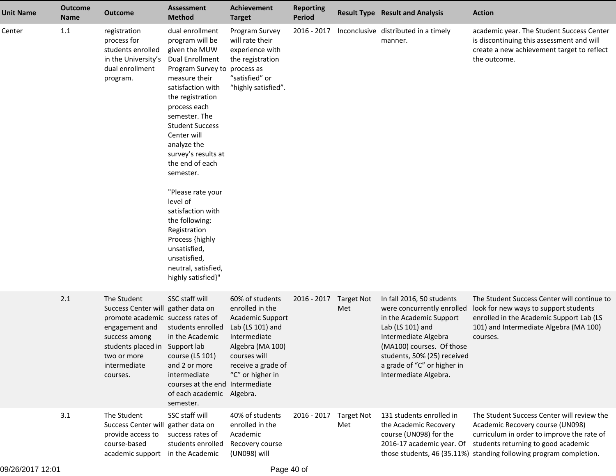| <b>Unit Name</b> | <b>Outcome</b><br><b>Name</b> | <b>Outcome</b>                                                                                                                                                                                         | <b>Assessment</b><br><b>Method</b>                                                                                                                                                                                                                                                                                                                                                                                                                                                                   | <b>Achievement</b><br><b>Target</b>                                                                                                                                                             | <b>Reporting</b><br><b>Period</b> |                          | <b>Result Type Result and Analysis</b>                                                                                                                                                                                                             | <b>Action</b>                                                                                                                                                                                                                             |
|------------------|-------------------------------|--------------------------------------------------------------------------------------------------------------------------------------------------------------------------------------------------------|------------------------------------------------------------------------------------------------------------------------------------------------------------------------------------------------------------------------------------------------------------------------------------------------------------------------------------------------------------------------------------------------------------------------------------------------------------------------------------------------------|-------------------------------------------------------------------------------------------------------------------------------------------------------------------------------------------------|-----------------------------------|--------------------------|----------------------------------------------------------------------------------------------------------------------------------------------------------------------------------------------------------------------------------------------------|-------------------------------------------------------------------------------------------------------------------------------------------------------------------------------------------------------------------------------------------|
| Center           | 1.1                           | registration<br>process for<br>students enrolled<br>in the University's<br>dual enrollment<br>program.                                                                                                 | dual enrollment<br>program will be<br>given the MUW<br><b>Dual Enrollment</b><br>Program Survey to<br>measure their<br>satisfaction with<br>the registration<br>process each<br>semester. The<br><b>Student Success</b><br>Center will<br>analyze the<br>survey's results at<br>the end of each<br>semester.<br>"Please rate your<br>level of<br>satisfaction with<br>the following:<br>Registration<br>Process {highly<br>unsatisfied,<br>unsatisfied,<br>neutral, satisfied,<br>highly satisfied}" | Program Survey<br>will rate their<br>experience with<br>the registration<br>process as<br>"satisfied" or<br>"highly satisfied".                                                                 | 2016 - 2017                       |                          | Inconclusive distributed in a timely<br>manner.                                                                                                                                                                                                    | academic year. The Student Success Center<br>is discontinuing this assessment and will<br>create a new achievement target to reflect<br>the outcome.                                                                                      |
|                  | 2.1                           | The Student<br>Success Center will gather data on<br>promote academic success rates of<br>engagement and<br>success among<br>students placed in Support lab<br>two or more<br>intermediate<br>courses. | SSC staff will<br>students enrolled<br>in the Academic<br>course (LS 101)<br>and 2 or more<br>intermediate<br>courses at the end<br>of each academic Algebra.<br>semester.                                                                                                                                                                                                                                                                                                                           | 60% of students<br>enrolled in the<br><b>Academic Support</b><br>Lab (LS 101) and<br>Intermediate<br>Algebra (MA 100)<br>courses will<br>receive a grade of<br>"C" or higher in<br>Intermediate | 2016 - 2017                       | <b>Target Not</b><br>Met | In fall 2016, 50 students<br>were concurrently enrolled<br>in the Academic Support<br>Lab (LS 101) and<br>Intermediate Algebra<br>(MA100) courses. Of those<br>students, 50% (25) received<br>a grade of "C" or higher in<br>Intermediate Algebra. | The Student Success Center will continue to<br>look for new ways to support students<br>enrolled in the Academic Support Lab (LS<br>101) and Intermediate Algebra (MA 100)<br>courses.                                                    |
|                  | 3.1                           | The Student<br>Success Center will gather data on<br>provide access to<br>course-based<br>academic support in the Academic                                                                             | SSC staff will<br>success rates of<br>students enrolled                                                                                                                                                                                                                                                                                                                                                                                                                                              | 40% of students<br>enrolled in the<br>Academic<br>Recovery course<br>(UN098) will                                                                                                               | 2016 - 2017                       | <b>Target Not</b><br>Met | 131 students enrolled in<br>the Academic Recovery<br>course (UN098) for the<br>2016-17 academic year. Of                                                                                                                                           | The Student Success Center will review the<br>Academic Recovery course (UN098)<br>curriculum in order to improve the rate of<br>students returning to good academic<br>those students, 46 (35.11%) standing following program completion. |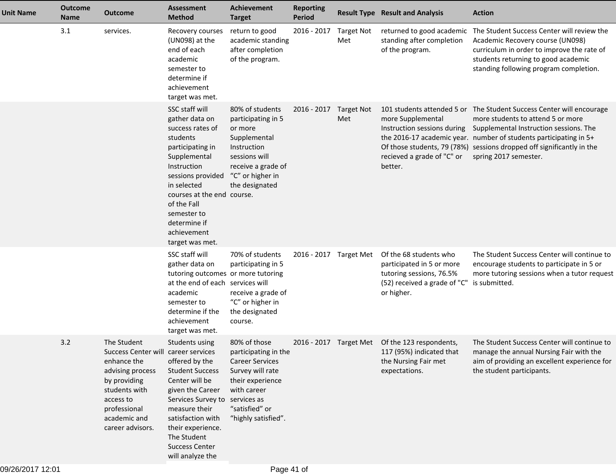| <b>Unit Name</b> | <b>Outcome</b><br><b>Name</b> | <b>Outcome</b>                                                                                                                                                                          | <b>Assessment</b><br><b>Method</b>                                                                                                                                                                                                                                    | <b>Achievement</b><br><b>Target</b>                                                                                                                                           | <b>Reporting</b><br><b>Period</b> |                          | <b>Result Type Result and Analysis</b>                                                                                        | <b>Action</b>                                                                                                                                                                                                                                                                                                                                          |
|------------------|-------------------------------|-----------------------------------------------------------------------------------------------------------------------------------------------------------------------------------------|-----------------------------------------------------------------------------------------------------------------------------------------------------------------------------------------------------------------------------------------------------------------------|-------------------------------------------------------------------------------------------------------------------------------------------------------------------------------|-----------------------------------|--------------------------|-------------------------------------------------------------------------------------------------------------------------------|--------------------------------------------------------------------------------------------------------------------------------------------------------------------------------------------------------------------------------------------------------------------------------------------------------------------------------------------------------|
|                  | 3.1                           | services.                                                                                                                                                                               | Recovery courses<br>(UN098) at the<br>end of each<br>academic<br>semester to<br>determine if<br>achievement<br>target was met.                                                                                                                                        | return to good<br>academic standing<br>after completion<br>of the program.                                                                                                    | 2016 - 2017                       | <b>Target Not</b><br>Met | returned to good academic<br>standing after completion<br>of the program.                                                     | The Student Success Center will review the<br>Academic Recovery course (UN098)<br>curriculum in order to improve the rate of<br>students returning to good academic<br>standing following program completion.                                                                                                                                          |
|                  |                               |                                                                                                                                                                                         | SSC staff will<br>gather data on<br>success rates of<br>students<br>participating in<br>Supplemental<br>Instruction<br>sessions provided<br>in selected<br>courses at the end course.<br>of the Fall<br>semester to<br>determine if<br>achievement<br>target was met. | 80% of students<br>participating in 5<br>or more<br>Supplemental<br>Instruction<br>sessions will<br>receive a grade of<br>"C" or higher in<br>the designated                  | 2016 - 2017                       | <b>Target Not</b><br>Met | more Supplemental<br>recieved a grade of "C" or<br>better.                                                                    | 101 students attended 5 or The Student Success Center will encourage<br>more students to attend 5 or more<br>Instruction sessions during Supplemental Instruction sessions. The<br>the 2016-17 academic year. number of students participating in 5+<br>Of those students, 79 (78%) sessions dropped off significantly in the<br>spring 2017 semester. |
|                  |                               |                                                                                                                                                                                         | SSC staff will<br>gather data on<br>tutoring outcomes or more tutoring<br>at the end of each services will<br>academic<br>semester to<br>determine if the<br>achievement<br>target was met.                                                                           | 70% of students<br>participating in 5<br>receive a grade of<br>"C" or higher in<br>the designated<br>course.                                                                  | 2016 - 2017 Target Met            |                          | Of the 68 students who<br>participated in 5 or more<br>tutoring sessions, 76.5%<br>(52) received a grade of "C"<br>or higher. | The Student Success Center will continue to<br>encourage students to participate in 5 or<br>more tutoring sessions when a tutor request<br>is submitted.                                                                                                                                                                                               |
|                  | 3.2                           | The Student<br>Success Center will career services<br>enhance the<br>advising process<br>by providing<br>students with<br>access to<br>professional<br>academic and<br>career advisors. | Students using<br>offered by the<br><b>Student Success</b><br>Center will be<br>given the Career<br>Services Survey to<br>measure their<br>satisfaction with<br>their experience.<br>The Student<br><b>Success Center</b><br>will analyze the                         | 80% of those<br>participating in the<br><b>Career Services</b><br>Survey will rate<br>their experience<br>with career<br>services as<br>"satisfied" or<br>"highly satisfied". |                                   |                          | 2016 - 2017 Target Met Of the 123 respondents,<br>117 (95%) indicated that<br>the Nursing Fair met<br>expectations.           | The Student Success Center will continue to<br>manage the annual Nursing Fair with the<br>aim of providing an excellent experience for<br>the student participants.                                                                                                                                                                                    |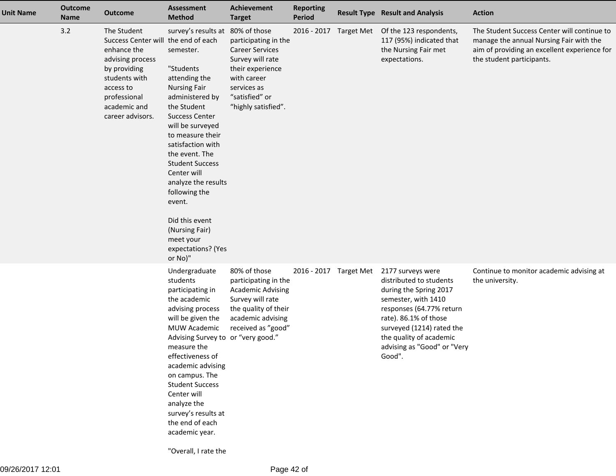| <b>Unit Name</b> | <b>Outcome</b><br><b>Name</b> | <b>Outcome</b>                                                                                                                                                                          | <b>Assessment</b><br><b>Method</b>                                                                                                                                                                                                                                                                                                                                                                                        | <b>Achievement</b><br><b>Target</b>                                                                                                                           | <b>Reporting</b><br><b>Period</b> |                        | <b>Result Type Result and Analysis</b>                                                                                                                                                                                                              | <b>Action</b>                                                                                                                                                       |
|------------------|-------------------------------|-----------------------------------------------------------------------------------------------------------------------------------------------------------------------------------------|---------------------------------------------------------------------------------------------------------------------------------------------------------------------------------------------------------------------------------------------------------------------------------------------------------------------------------------------------------------------------------------------------------------------------|---------------------------------------------------------------------------------------------------------------------------------------------------------------|-----------------------------------|------------------------|-----------------------------------------------------------------------------------------------------------------------------------------------------------------------------------------------------------------------------------------------------|---------------------------------------------------------------------------------------------------------------------------------------------------------------------|
|                  | 3.2                           | The Student<br>Success Center will the end of each<br>enhance the<br>advising process<br>by providing<br>students with<br>access to<br>professional<br>academic and<br>career advisors. | survey's results at 80% of those<br>semester.<br>"Students<br>attending the<br><b>Nursing Fair</b><br>administered by<br>the Student<br><b>Success Center</b><br>will be surveyed<br>to measure their<br>satisfaction with<br>the event. The<br><b>Student Success</b><br>Center will<br>analyze the results<br>following the<br>event.<br>Did this event<br>(Nursing Fair)<br>meet your<br>expectations? (Yes<br>or No)" | participating in the<br><b>Career Services</b><br>Survey will rate<br>their experience<br>with career<br>services as<br>"satisfied" or<br>"highly satisfied". |                                   | 2016 - 2017 Target Met | Of the 123 respondents,<br>117 (95%) indicated that<br>the Nursing Fair met<br>expectations.                                                                                                                                                        | The Student Success Center will continue to<br>manage the annual Nursing Fair with the<br>aim of providing an excellent experience for<br>the student participants. |
|                  |                               |                                                                                                                                                                                         | Undergraduate<br>students<br>participating in<br>the academic<br>advising process<br>will be given the<br><b>MUW Academic</b><br>Advising Survey to or "very good."<br>measure the<br>effectiveness of<br>academic advising<br>on campus. The<br><b>Student Success</b><br>Center will<br>analyze the<br>survey's results at<br>the end of each<br>academic year.                                                         | 80% of those<br>participating in the<br><b>Academic Advising</b><br>Survey will rate<br>the quality of their<br>academic advising<br>received as "good"       |                                   | 2016 - 2017 Target Met | 2177 surveys were<br>distributed to students<br>during the Spring 2017<br>semester, with 1410<br>responses (64.77% return<br>rate). 86.1% of those<br>surveyed (1214) rated the<br>the quality of academic<br>advising as "Good" or "Very<br>Good". | Continue to monitor academic advising at<br>the university.                                                                                                         |

"Overall, I rate the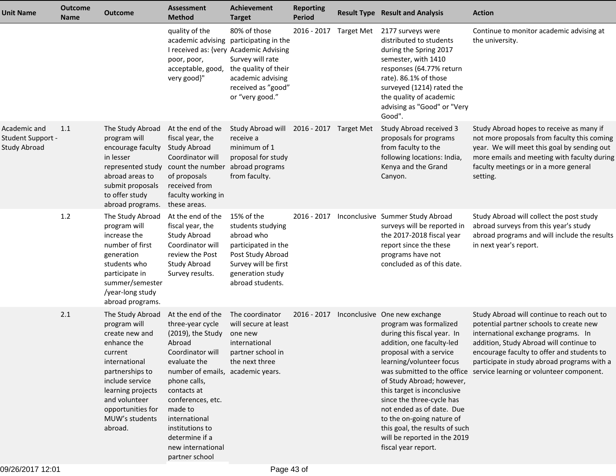| <b>Unit Name</b>                                         | <b>Outcome</b><br>Name | <b>Outcome</b>                                                                                                                                                                                                              | <b>Assessment</b><br><b>Method</b>                                                                                                                                                                                                                                                                        | <b>Achievement</b><br><b>Target</b>                                                                                                                              | <b>Reporting</b><br><b>Period</b> |            | <b>Result Type Result and Analysis</b>                                                                                                                                                                                                                                                                                                                                                                                 | <b>Action</b>                                                                                                                                                                                                                                                                                                                                |
|----------------------------------------------------------|------------------------|-----------------------------------------------------------------------------------------------------------------------------------------------------------------------------------------------------------------------------|-----------------------------------------------------------------------------------------------------------------------------------------------------------------------------------------------------------------------------------------------------------------------------------------------------------|------------------------------------------------------------------------------------------------------------------------------------------------------------------|-----------------------------------|------------|------------------------------------------------------------------------------------------------------------------------------------------------------------------------------------------------------------------------------------------------------------------------------------------------------------------------------------------------------------------------------------------------------------------------|----------------------------------------------------------------------------------------------------------------------------------------------------------------------------------------------------------------------------------------------------------------------------------------------------------------------------------------------|
|                                                          |                        |                                                                                                                                                                                                                             | quality of the<br>I received as: {very Academic Advising<br>poor, poor,<br>acceptable, good,<br>very good}"                                                                                                                                                                                               | 80% of those<br>academic advising participating in the<br>Survey will rate<br>the quality of their<br>academic advising<br>received as "good"<br>or "very good." | 2016 - 2017                       | Target Met | 2177 surveys were<br>distributed to students<br>during the Spring 2017<br>semester, with 1410<br>responses (64.77% return<br>rate). 86.1% of those<br>surveyed (1214) rated the<br>the quality of academic<br>advising as "Good" or "Very<br>Good".                                                                                                                                                                    | Continue to monitor academic advising at<br>the university.                                                                                                                                                                                                                                                                                  |
| Academic and<br>Student Support -<br><b>Study Abroad</b> | 1.1                    | The Study Abroad<br>program will<br>encourage faculty<br>in lesser<br>represented study<br>abroad areas to<br>submit proposals<br>to offer study<br>abroad programs.                                                        | At the end of the<br>fiscal year, the<br><b>Study Abroad</b><br>Coordinator will<br>count the number<br>of proposals<br>received from<br>faculty working in<br>these areas.                                                                                                                               | Study Abroad will 2016 - 2017 Target Met<br>receive a<br>minimum of 1<br>proposal for study<br>abroad programs<br>from faculty.                                  |                                   |            | Study Abroad received 3<br>proposals for programs<br>from faculty to the<br>following locations: India,<br>Kenya and the Grand<br>Canyon.                                                                                                                                                                                                                                                                              | Study Abroad hopes to receive as many if<br>not more proposals from faculty this coming<br>year. We will meet this goal by sending out<br>more emails and meeting with faculty during<br>faculty meetings or in a more general<br>setting.                                                                                                   |
|                                                          | 1.2                    | The Study Abroad<br>program will<br>increase the<br>number of first<br>generation<br>students who<br>participate in<br>summer/semester<br>/year-long study<br>abroad programs.                                              | At the end of the<br>fiscal year, the<br>Study Abroad<br>Coordinator will<br>review the Post<br>Study Abroad<br>Survey results.                                                                                                                                                                           | 15% of the<br>students studying<br>abroad who<br>participated in the<br>Post Study Abroad<br>Survey will be first<br>generation study<br>abroad students.        | 2016 - 2017                       |            | Inconclusive Summer Study Abroad<br>surveys will be reported in<br>the 2017-2018 fiscal year<br>report since the these<br>programs have not<br>concluded as of this date.                                                                                                                                                                                                                                              | Study Abroad will collect the post study<br>abroad surveys from this year's study<br>abroad programs and will include the results<br>in next year's report.                                                                                                                                                                                  |
|                                                          | 2.1                    | The Study Abroad<br>program will<br>create new and<br>enhance the<br>current<br>international<br>partnerships to<br>include service<br>learning projects<br>and volunteer<br>opportunities for<br>MUW's students<br>abroad. | At the end of the<br>three-year cycle<br>(2019), the Study<br>Abroad<br>Coordinator will<br>evaluate the<br>number of emails, academic years.<br>phone calls,<br>contacts at<br>conferences, etc.<br>made to<br>international<br>institutions to<br>determine if a<br>new international<br>partner school | The coordinator<br>will secure at least<br>one new<br>international<br>partner school in<br>the next three                                                       | 2016 - 2017                       |            | Inconclusive One new exchange<br>program was formalized<br>during this fiscal year. In<br>addition, one faculty-led<br>proposal with a service<br>learning/volunteer focus<br>of Study Abroad; however,<br>this target is inconclusive<br>since the three-cycle has<br>not ended as of date. Due<br>to the on-going nature of<br>this goal, the results of such<br>will be reported in the 2019<br>fiscal year report. | Study Abroad will continue to reach out to<br>potential partner schools to create new<br>international exchange programs. In<br>addition, Study Abroad will continue to<br>encourage faculty to offer and students to<br>participate in study abroad programs with a<br>was submitted to the office service learning or volunteer component. |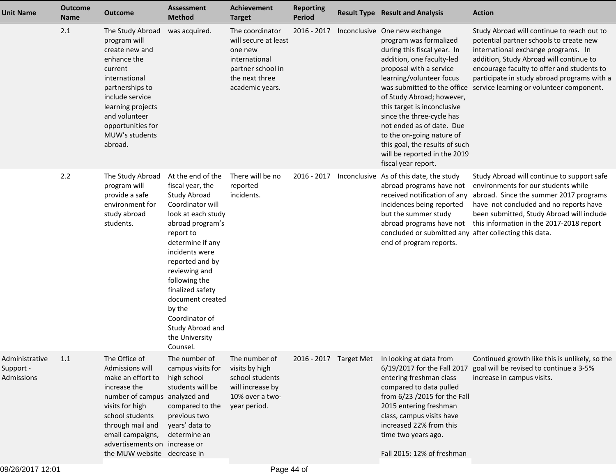| <b>Unit Name</b>                          | <b>Outcome</b><br><b>Name</b> | <b>Outcome</b>                                                                                                                                                                                                                                       | <b>Assessment</b><br><b>Method</b>                                                                                                                                                                                                                                                                                                                | Achievement<br><b>Target</b>                                                                                                  | <b>Reporting</b><br>Period | <b>Result Type Result and Analysis</b>                                                                                                                                                                                                                                                                                                                                                                                                                | <b>Action</b>                                                                                                                                                                                                                                                                                                    |
|-------------------------------------------|-------------------------------|------------------------------------------------------------------------------------------------------------------------------------------------------------------------------------------------------------------------------------------------------|---------------------------------------------------------------------------------------------------------------------------------------------------------------------------------------------------------------------------------------------------------------------------------------------------------------------------------------------------|-------------------------------------------------------------------------------------------------------------------------------|----------------------------|-------------------------------------------------------------------------------------------------------------------------------------------------------------------------------------------------------------------------------------------------------------------------------------------------------------------------------------------------------------------------------------------------------------------------------------------------------|------------------------------------------------------------------------------------------------------------------------------------------------------------------------------------------------------------------------------------------------------------------------------------------------------------------|
|                                           | 2.1                           | The Study Abroad<br>program will<br>create new and<br>enhance the<br>current<br>international<br>partnerships to<br>include service<br>learning projects<br>and volunteer<br>opportunities for<br>MUW's students<br>abroad.                          | was acquired.                                                                                                                                                                                                                                                                                                                                     | The coordinator<br>will secure at least<br>one new<br>international<br>partner school in<br>the next three<br>academic years. | 2016 - 2017                | Inconclusive One new exchange<br>program was formalized<br>during this fiscal year. In<br>addition, one faculty-led<br>proposal with a service<br>learning/volunteer focus<br>was submitted to the office<br>of Study Abroad; however,<br>this target is inconclusive<br>since the three-cycle has<br>not ended as of date. Due<br>to the on-going nature of<br>this goal, the results of such<br>will be reported in the 2019<br>fiscal year report. | Study Abroad will continue to reach out to<br>potential partner schools to create new<br>international exchange programs. In<br>addition, Study Abroad will continue to<br>encourage faculty to offer and students to<br>participate in study abroad programs with a<br>service learning or volunteer component. |
|                                           | 2.2                           | The Study Abroad<br>program will<br>provide a safe<br>environment for<br>study abroad<br>students.                                                                                                                                                   | At the end of the<br>fiscal year, the<br>Study Abroad<br>Coordinator will<br>look at each study<br>abroad program's<br>report to<br>determine if any<br>incidents were<br>reported and by<br>reviewing and<br>following the<br>finalized safety<br>document created<br>by the<br>Coordinator of<br>Study Abroad and<br>the University<br>Counsel. | There will be no<br>reported<br>incidents.                                                                                    |                            | 2016 - 2017 Inconclusive As of this date, the study<br>abroad programs have not<br>received notification of any<br>incidences being reported<br>but the summer study<br>abroad programs have not<br>concluded or submitted any after collecting this data.<br>end of program reports.                                                                                                                                                                 | Study Abroad will continue to support safe<br>environments for our students while<br>abroad. Since the summer 2017 programs<br>have not concluded and no reports have<br>been submitted, Study Abroad will include<br>this information in the 2017-2018 report                                                   |
| Administrative<br>Support -<br>Admissions | 1.1                           | The Office of<br>Admissions will<br>make an effort to<br>increase the<br>number of campus analyzed and<br>visits for high<br>school students<br>through mail and<br>email campaigns,<br>advertisements on increase or<br>the MUW website decrease in | The number of<br>campus visits for<br>high school<br>students will be<br>compared to the<br>previous two<br>years' data to<br>determine an                                                                                                                                                                                                        | The number of<br>visits by high<br>school students<br>will increase by<br>10% over a two-<br>year period.                     | 2016 - 2017 Target Met     | In looking at data from<br>6/19/2017 for the Fall 2017<br>entering freshman class<br>compared to data pulled<br>from 6/23 /2015 for the Fall<br>2015 entering freshman<br>class, campus visits have<br>increased 22% from this<br>time two years ago.<br>Fall 2015: 12% of freshman                                                                                                                                                                   | Continued growth like this is unlikely, so the<br>goal will be revised to continue a 3-5%<br>increase in campus visits.                                                                                                                                                                                          |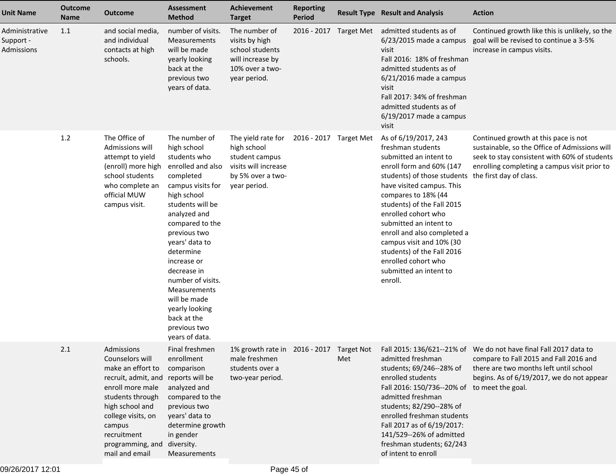| <b>Unit Name</b>                          | <b>Outcome</b><br><b>Name</b> | <b>Outcome</b>                                                                                                                                                                                                                            | <b>Assessment</b><br><b>Method</b>                                                                                                                                                                                                                                                                                                                                             | <b>Achievement</b><br><b>Target</b>                                                                              | <b>Reporting</b><br>Period |                        | <b>Result Type Result and Analysis</b>                                                                                                                                                                                                                                                                                                                                                                                 | <b>Action</b>                                                                                                                                                                                                                                                    |
|-------------------------------------------|-------------------------------|-------------------------------------------------------------------------------------------------------------------------------------------------------------------------------------------------------------------------------------------|--------------------------------------------------------------------------------------------------------------------------------------------------------------------------------------------------------------------------------------------------------------------------------------------------------------------------------------------------------------------------------|------------------------------------------------------------------------------------------------------------------|----------------------------|------------------------|------------------------------------------------------------------------------------------------------------------------------------------------------------------------------------------------------------------------------------------------------------------------------------------------------------------------------------------------------------------------------------------------------------------------|------------------------------------------------------------------------------------------------------------------------------------------------------------------------------------------------------------------------------------------------------------------|
| Administrative<br>Support -<br>Admissions | 1.1                           | and social media,<br>and individual<br>contacts at high<br>schools.                                                                                                                                                                       | number of visits.<br>Measurements<br>will be made<br>yearly looking<br>back at the<br>previous two<br>years of data.                                                                                                                                                                                                                                                           | The number of<br>visits by high<br>school students<br>will increase by<br>10% over a two-<br>year period.        |                            | 2016 - 2017 Target Met | admitted students as of<br>$6/23/2015$ made a campus<br>visit<br>Fall 2016: 18% of freshman<br>admitted students as of<br>$6/21/2016$ made a campus<br>visit<br>Fall 2017: 34% of freshman<br>admitted students as of<br>$6/19/2017$ made a campus<br>visit                                                                                                                                                            | Continued growth like this is unlikely, so the<br>goal will be revised to continue a 3-5%<br>increase in campus visits.                                                                                                                                          |
|                                           | 1.2                           | The Office of<br>Admissions will<br>attempt to yield<br>(enroll) more high<br>school students<br>who complete an<br>official MUW<br>campus visit.                                                                                         | The number of<br>high school<br>students who<br>enrolled and also<br>completed<br>campus visits for<br>high school<br>students will be<br>analyzed and<br>compared to the<br>previous two<br>years' data to<br>determine<br>increase or<br>decrease in<br>number of visits.<br>Measurements<br>will be made<br>yearly looking<br>back at the<br>previous two<br>years of data. | The yield rate for<br>high school<br>student campus<br>visits will increase<br>by 5% over a two-<br>year period. | 2016 - 2017 Target Met     |                        | As of 6/19/2017, 243<br>freshman students<br>submitted an intent to<br>enroll form and 60% (147<br>students) of those students<br>have visited campus. This<br>compares to 18% (44<br>students) of the Fall 2015<br>enrolled cohort who<br>submitted an intent to<br>enroll and also completed a<br>campus visit and 10% (30<br>students) of the Fall 2016<br>enrolled cohort who<br>submitted an intent to<br>enroll. | Continued growth at this pace is not<br>sustainable, so the Office of Admissions will<br>seek to stay consistent with 60% of students<br>enrolling completing a campus visit prior to<br>the first day of class.                                                 |
|                                           | 2.1                           | Admissions<br>Counselors will<br>make an effort to<br>recruit, admit, and reports will be<br>enroll more male<br>students through<br>high school and<br>college visits, on<br>campus<br>recruitment<br>programming, and<br>mail and email | Final freshmen<br>enrollment<br>comparison<br>analyzed and<br>compared to the<br>previous two<br>years' data to<br>determine growth<br>in gender<br>diversity.<br>Measurements                                                                                                                                                                                                 | male freshmen<br>students over a<br>two-year period.                                                             |                            | Met                    | admitted freshman<br>students; 69/246--28% of<br>enrolled students<br>Fall 2016: 150/736--20% of<br>admitted freshman<br>students; 82/290--28% of<br>enrolled freshman students<br>Fall 2017 as of 6/19/2017:<br>141/529--26% of admitted<br>freshman students; 62/243<br>of intent to enroll                                                                                                                          | 1% growth rate in 2016 - 2017 Target Not Fall 2015: 136/621--21% of We do not have final Fall 2017 data to<br>compare to Fall 2015 and Fall 2016 and<br>there are two months left until school<br>begins. As of 6/19/2017, we do not appear<br>to meet the goal. |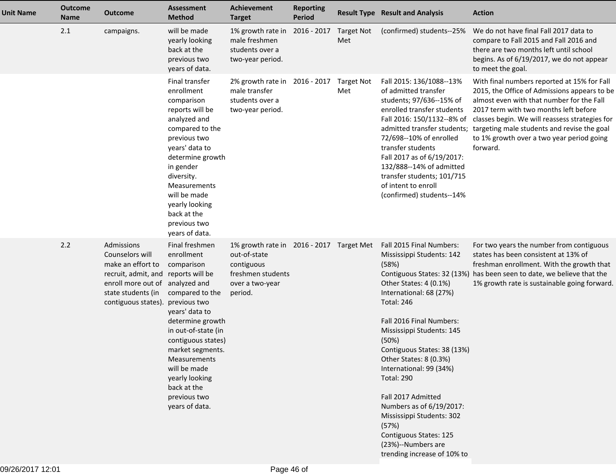| <b>Unit Name</b> | <b>Outcome</b><br><b>Name</b> | Outcome                                                                                                                                                                   | <b>Assessment</b><br><b>Method</b>                                                                                                                                                                                                                                                      | <b>Achievement</b><br><b>Target</b>                                                                                       | <b>Reporting</b><br><b>Period</b> |                          | <b>Result Type Result and Analysis</b>                                                                                                                                                                                                                                                                                                                                                                                                                                                                                    | <b>Action</b>                                                                                                                                                                                                                                                                                                                               |
|------------------|-------------------------------|---------------------------------------------------------------------------------------------------------------------------------------------------------------------------|-----------------------------------------------------------------------------------------------------------------------------------------------------------------------------------------------------------------------------------------------------------------------------------------|---------------------------------------------------------------------------------------------------------------------------|-----------------------------------|--------------------------|---------------------------------------------------------------------------------------------------------------------------------------------------------------------------------------------------------------------------------------------------------------------------------------------------------------------------------------------------------------------------------------------------------------------------------------------------------------------------------------------------------------------------|---------------------------------------------------------------------------------------------------------------------------------------------------------------------------------------------------------------------------------------------------------------------------------------------------------------------------------------------|
|                  | 2.1                           | campaigns.                                                                                                                                                                | will be made<br>yearly looking<br>back at the<br>previous two<br>years of data.                                                                                                                                                                                                         | 1% growth rate in<br>male freshmen<br>students over a<br>two-year period.                                                 | 2016 - 2017                       | <b>Target Not</b><br>Met | (confirmed) students--25%                                                                                                                                                                                                                                                                                                                                                                                                                                                                                                 | We do not have final Fall 2017 data to<br>compare to Fall 2015 and Fall 2016 and<br>there are two months left until school<br>begins. As of 6/19/2017, we do not appear<br>to meet the goal.                                                                                                                                                |
|                  |                               |                                                                                                                                                                           | Final transfer<br>enrollment<br>comparison<br>reports will be<br>analyzed and<br>compared to the<br>previous two<br>years' data to<br>determine growth<br>in gender<br>diversity.<br>Measurements<br>will be made<br>yearly looking<br>back at the<br>previous two<br>years of data.    | 2% growth rate in<br>male transfer<br>students over a<br>two-year period.                                                 | 2016 - 2017 Target Not            | Met                      | Fall 2015: 136/1088--13%<br>of admitted transfer<br>students; 97/636--15% of<br>enrolled transfer students<br>Fall 2016: 150/1132--8% of<br>admitted transfer students;<br>72/698--10% of enrolled<br>transfer students<br>Fall 2017 as of 6/19/2017:<br>132/888--14% of admitted<br>transfer students; 101/715<br>of intent to enroll<br>(confirmed) students--14%                                                                                                                                                       | With final numbers reported at 15% for Fall<br>2015, the Office of Admissions appears to be<br>almost even with that number for the Fall<br>2017 term with two months left before<br>classes begin. We will reassess strategies for<br>targeting male students and revise the goal<br>to 1% growth over a two year period going<br>forward. |
|                  | 2.2                           | Admissions<br>Counselors will<br>make an effort to<br>recruit, admit, and reports will be<br>enroll more out of analyzed and<br>state students (in<br>contiguous states). | Final freshmen<br>enrollment<br>comparison<br>compared to the<br>previous two<br>years' data to<br>determine growth<br>in out-of-state (in<br>contiguous states)<br>market segments.<br>Measurements<br>will be made<br>yearly looking<br>back at the<br>previous two<br>years of data. | 1% growth rate in 2016 - 2017 Target Met<br>out-of-state<br>contiguous<br>freshmen students<br>over a two-year<br>period. |                                   |                          | Fall 2015 Final Numbers:<br>Mississippi Students: 142<br>(58%)<br>Contiguous States: 32 (13%)<br>Other States: 4 (0.1%)<br>International: 68 (27%)<br><b>Total: 246</b><br>Fall 2016 Final Numbers:<br>Mississippi Students: 145<br>(50%)<br>Contiguous States: 38 (13%)<br>Other States: 8 (0.3%)<br>International: 99 (34%)<br><b>Total: 290</b><br>Fall 2017 Admitted<br>Numbers as of 6/19/2017:<br>Mississippi Students: 302<br>(57%)<br>Contiguous States: 125<br>(23%)--Numbers are<br>trending increase of 10% to | For two years the number from contiguous<br>states has been consistent at 13% of<br>freshman enrollment. With the growth that<br>has been seen to date, we believe that the<br>1% growth rate is sustainable going forward.                                                                                                                 |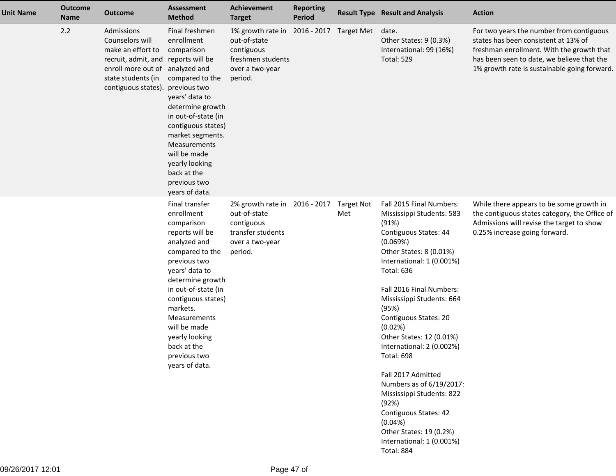| <b>Unit Name</b> | <b>Outcome</b><br><b>Name</b> | <b>Outcome</b>                                                                                                                                                            | <b>Assessment</b><br><b>Method</b>                                                                                                                                                                                                                                                                                 | <b>Achievement</b><br><b>Target</b>                                                                            | <b>Reporting</b><br><b>Period</b> |                          | <b>Result Type Result and Analysis</b>                                                                                                                                                                                                                                                                                                                                                                                                                                                                                                                                        | <b>Action</b>                                                                                                                                                                                                               |
|------------------|-------------------------------|---------------------------------------------------------------------------------------------------------------------------------------------------------------------------|--------------------------------------------------------------------------------------------------------------------------------------------------------------------------------------------------------------------------------------------------------------------------------------------------------------------|----------------------------------------------------------------------------------------------------------------|-----------------------------------|--------------------------|-------------------------------------------------------------------------------------------------------------------------------------------------------------------------------------------------------------------------------------------------------------------------------------------------------------------------------------------------------------------------------------------------------------------------------------------------------------------------------------------------------------------------------------------------------------------------------|-----------------------------------------------------------------------------------------------------------------------------------------------------------------------------------------------------------------------------|
|                  | 2.2                           | Admissions<br>Counselors will<br>make an effort to<br>recruit, admit, and reports will be<br>enroll more out of analyzed and<br>state students (in<br>contiguous states). | Final freshmen<br>enrollment<br>comparison<br>compared to the<br>previous two<br>years' data to<br>determine growth<br>in out-of-state (in<br>contiguous states)<br>market segments.<br>Measurements<br>will be made<br>yearly looking<br>back at the<br>previous two<br>years of data.                            | 1% growth rate in<br>out-of-state<br>contiguous<br>freshmen students<br>over a two-year<br>period.             |                                   | 2016 - 2017 Target Met   | date.<br>Other States: 9 (0.3%)<br>International: 99 (16%)<br><b>Total: 529</b>                                                                                                                                                                                                                                                                                                                                                                                                                                                                                               | For two years the number from contiguous<br>states has been consistent at 13% of<br>freshman enrollment. With the growth that<br>has been seen to date, we believe that the<br>1% growth rate is sustainable going forward. |
|                  |                               |                                                                                                                                                                           | Final transfer<br>enrollment<br>comparison<br>reports will be<br>analyzed and<br>compared to the<br>previous two<br>years' data to<br>determine growth<br>in out-of-state (in<br>contiguous states)<br>markets.<br>Measurements<br>will be made<br>yearly looking<br>back at the<br>previous two<br>years of data. | 2% growth rate in 2016 - 2017<br>out-of-state<br>contiguous<br>transfer students<br>over a two-year<br>period. |                                   | <b>Target Not</b><br>Met | Fall 2015 Final Numbers:<br>Mississippi Students: 583<br>(91%)<br>Contiguous States: 44<br>(0.069%)<br>Other States: 8 (0.01%)<br>International: 1 (0.001%)<br><b>Total: 636</b><br>Fall 2016 Final Numbers:<br>Mississippi Students: 664<br>(95%)<br>Contiguous States: 20<br>(0.02%)<br>Other States: 12 (0.01%)<br>International: 2 (0.002%)<br><b>Total: 698</b><br>Fall 2017 Admitted<br>Numbers as of 6/19/2017:<br>Mississippi Students: 822<br>(92%)<br>Contiguous States: 42<br>(0.04%)<br>Other States: 19 (0.2%)<br>International: 1 (0.001%)<br><b>Total: 884</b> | While there appears to be some growth in<br>the contiguous states category, the Office of<br>Admissions will revise the target to show<br>0.25% increase going forward.                                                     |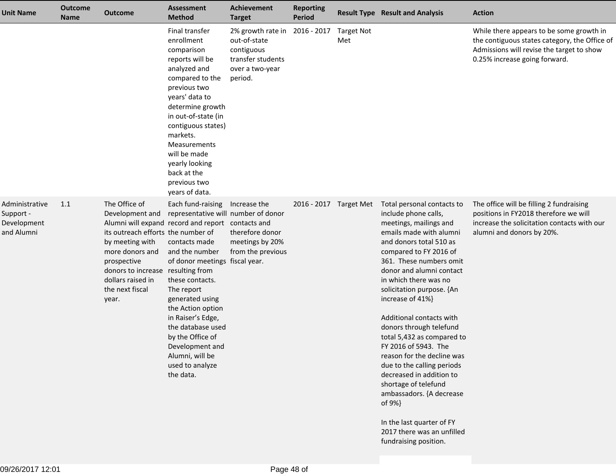| <b>Unit Name</b>                                         | <b>Outcome</b><br><b>Name</b> | <b>Outcome</b>                                                                                                                                                                                                    | <b>Assessment</b><br><b>Method</b>                                                                                                                                                                                                                                                                                                                                                              | <b>Achievement</b><br><b>Target</b>                                                                | <b>Reporting</b><br><b>Period</b> |                          | <b>Result Type Result and Analysis</b>                                                                                                                                                                                                                                                                                                                                                                                                                                                                                                                                                                                                               | <b>Action</b>                                                                                                                                                           |
|----------------------------------------------------------|-------------------------------|-------------------------------------------------------------------------------------------------------------------------------------------------------------------------------------------------------------------|-------------------------------------------------------------------------------------------------------------------------------------------------------------------------------------------------------------------------------------------------------------------------------------------------------------------------------------------------------------------------------------------------|----------------------------------------------------------------------------------------------------|-----------------------------------|--------------------------|------------------------------------------------------------------------------------------------------------------------------------------------------------------------------------------------------------------------------------------------------------------------------------------------------------------------------------------------------------------------------------------------------------------------------------------------------------------------------------------------------------------------------------------------------------------------------------------------------------------------------------------------------|-------------------------------------------------------------------------------------------------------------------------------------------------------------------------|
|                                                          |                               |                                                                                                                                                                                                                   | Final transfer<br>enrollment<br>comparison<br>reports will be<br>analyzed and<br>compared to the<br>previous two<br>years' data to<br>determine growth<br>in out-of-state (in<br>contiguous states)<br>markets.<br><b>Measurements</b><br>will be made<br>yearly looking<br>back at the<br>previous two<br>years of data.                                                                       | 2% growth rate in<br>out-of-state<br>contiguous<br>transfer students<br>over a two-year<br>period. | 2016 - 2017                       | <b>Target Not</b><br>Met |                                                                                                                                                                                                                                                                                                                                                                                                                                                                                                                                                                                                                                                      | While there appears to be some growth in<br>the contiguous states category, the Office of<br>Admissions will revise the target to show<br>0.25% increase going forward. |
| Administrative<br>Support -<br>Development<br>and Alumni | 1.1                           | The Office of<br>Development and<br>its outreach efforts the number of<br>by meeting with<br>more donors and<br>prospective<br>donors to increase resulting from<br>dollars raised in<br>the next fiscal<br>year. | Each fund-raising<br>representative will number of donor<br>Alumni will expand record and report contacts and<br>contacts made<br>and the number<br>of donor meetings fiscal year.<br>these contacts.<br>The report<br>generated using<br>the Action option<br>in Raiser's Edge,<br>the database used<br>by the Office of<br>Development and<br>Alumni, will be<br>used to analyze<br>the data. | Increase the<br>therefore donor<br>meetings by 20%<br>from the previous                            | 2016 - 2017 Target Met            |                          | Total personal contacts to<br>include phone calls,<br>meetings, mailings and<br>emails made with alumni<br>and donors total 510 as<br>compared to FY 2016 of<br>361. These numbers omit<br>donor and alumni contact<br>in which there was no<br>solicitation purpose. {An<br>increase of 41%}<br>Additional contacts with<br>donors through telefund<br>total 5,432 as compared to<br>FY 2016 of 5943. The<br>reason for the decline was<br>due to the calling periods<br>decreased in addition to<br>shortage of telefund<br>ambassadors. {A decrease<br>of 9%}<br>In the last quarter of FY<br>2017 there was an unfilled<br>fundraising position. | The office will be filling 2 fundraising<br>positions in FY2018 therefore we will<br>increase the solicitation contacts with our<br>alumni and donors by 20%.           |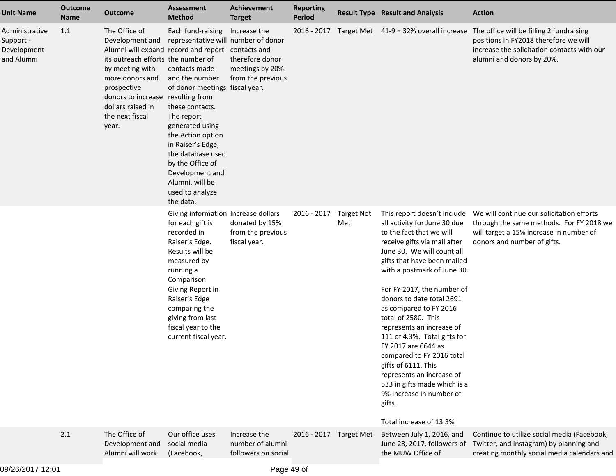| <b>Unit Name</b>                                         | <b>Outcome</b><br>Name | <b>Outcome</b>                                                                                                                                                                                                                                                         | <b>Assessment</b><br><b>Method</b>                                                                                                                                                                                                                                                                                                         | <b>Achievement</b><br><b>Target</b>                                     | <b>Reporting</b><br><b>Period</b> |                          | <b>Result Type Result and Analysis</b>                                                                                                                                                                                                                                                                                                                                                                                                                                                                                                                                                                | <b>Action</b>                                                                                                                                                   |
|----------------------------------------------------------|------------------------|------------------------------------------------------------------------------------------------------------------------------------------------------------------------------------------------------------------------------------------------------------------------|--------------------------------------------------------------------------------------------------------------------------------------------------------------------------------------------------------------------------------------------------------------------------------------------------------------------------------------------|-------------------------------------------------------------------------|-----------------------------------|--------------------------|-------------------------------------------------------------------------------------------------------------------------------------------------------------------------------------------------------------------------------------------------------------------------------------------------------------------------------------------------------------------------------------------------------------------------------------------------------------------------------------------------------------------------------------------------------------------------------------------------------|-----------------------------------------------------------------------------------------------------------------------------------------------------------------|
| Administrative<br>Support -<br>Development<br>and Alumni | 1.1                    | The Office of<br>Development and<br>Alumni will expand record and report contacts and<br>its outreach efforts the number of<br>by meeting with<br>more donors and<br>prospective<br>donors to increase resulting from<br>dollars raised in<br>the next fiscal<br>year. | Each fund-raising<br>representative will number of donor<br>contacts made<br>and the number<br>of donor meetings fiscal year.<br>these contacts.<br>The report<br>generated using<br>the Action option<br>in Raiser's Edge,<br>the database used<br>by the Office of<br>Development and<br>Alumni, will be<br>used to analyze<br>the data. | Increase the<br>therefore donor<br>meetings by 20%<br>from the previous |                                   |                          | 2016 - 2017 Target Met 41-9 = 32% overall increase                                                                                                                                                                                                                                                                                                                                                                                                                                                                                                                                                    | The office will be filling 2 fundraising<br>positions in FY2018 therefore we will<br>increase the solicitation contacts with our<br>alumni and donors by 20%.   |
|                                                          |                        |                                                                                                                                                                                                                                                                        | Giving information Increase dollars<br>for each gift is<br>recorded in<br>Raiser's Edge.<br>Results will be<br>measured by<br>running a<br>Comparison<br>Giving Report in<br>Raiser's Edge<br>comparing the<br>giving from last<br>fiscal year to the<br>current fiscal year.                                                              | donated by 15%<br>from the previous<br>fiscal year.                     | 2016 - 2017                       | <b>Target Not</b><br>Met | This report doesn't include<br>all activity for June 30 due<br>to the fact that we will<br>receive gifts via mail after<br>June 30. We will count all<br>gifts that have been mailed<br>with a postmark of June 30.<br>For FY 2017, the number of<br>donors to date total 2691<br>as compared to FY 2016<br>total of 2580. This<br>represents an increase of<br>111 of 4.3%. Total gifts for<br>FY 2017 are 6644 as<br>compared to FY 2016 total<br>gifts of 6111. This<br>represents an increase of<br>533 in gifts made which is a<br>9% increase in number of<br>gifts.<br>Total increase of 13.3% | We will continue our solicitation efforts<br>through the same methods. For FY 2018 we<br>will target a 15% increase in number of<br>donors and number of gifts. |
|                                                          | 2.1                    | The Office of<br>Development and<br>Alumni will work                                                                                                                                                                                                                   | Our office uses<br>social media<br>(Facebook,                                                                                                                                                                                                                                                                                              | Increase the<br>number of alumni<br>followers on social                 | 2016 - 2017 Target Met            |                          | Between July 1, 2016, and<br>June 28, 2017, followers of<br>the MUW Office of                                                                                                                                                                                                                                                                                                                                                                                                                                                                                                                         | Continue to utilize social media (Facebook,<br>Twitter, and Instagram) by planning and<br>creating monthly social media calendars and                           |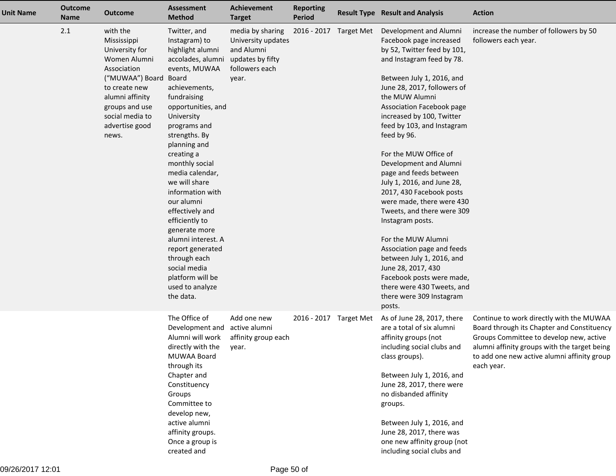| <b>Unit Name</b> | <b>Outcome</b><br>Name | <b>Outcome</b>                                                                                                                                                                                        | <b>Assessment</b><br><b>Method</b>                                                                                                                                                                                                                                                                                                                                                                                                                                                                     | <b>Achievement</b><br><b>Target</b>                                                                 | <b>Reporting</b><br>Period | <b>Result Type Result and Analysis</b>                                                                                                                                                                                                                                                                                                                                                                                                                                                                                                                                                                                                                                                                                 | <b>Action</b>                                                                                                                                                                                                                                  |
|------------------|------------------------|-------------------------------------------------------------------------------------------------------------------------------------------------------------------------------------------------------|--------------------------------------------------------------------------------------------------------------------------------------------------------------------------------------------------------------------------------------------------------------------------------------------------------------------------------------------------------------------------------------------------------------------------------------------------------------------------------------------------------|-----------------------------------------------------------------------------------------------------|----------------------------|------------------------------------------------------------------------------------------------------------------------------------------------------------------------------------------------------------------------------------------------------------------------------------------------------------------------------------------------------------------------------------------------------------------------------------------------------------------------------------------------------------------------------------------------------------------------------------------------------------------------------------------------------------------------------------------------------------------------|------------------------------------------------------------------------------------------------------------------------------------------------------------------------------------------------------------------------------------------------|
|                  | 2.1                    | with the<br>Mississippi<br>University for<br>Women Alumni<br>Association<br>("MUWAA") Board Board<br>to create new<br>alumni affinity<br>groups and use<br>social media to<br>advertise good<br>news. | Twitter, and<br>Instagram) to<br>highlight alumni<br>accolades, alumni<br>events, MUWAA<br>achievements,<br>fundraising<br>opportunities, and<br>University<br>programs and<br>strengths. By<br>planning and<br>creating a<br>monthly social<br>media calendar,<br>we will share<br>information with<br>our alumni<br>effectively and<br>efficiently to<br>generate more<br>alumni interest. A<br>report generated<br>through each<br>social media<br>platform will be<br>used to analyze<br>the data. | media by sharing<br>University updates<br>and Alumni<br>updates by fifty<br>followers each<br>year. | 2016 - 2017 Target Met     | Development and Alumni<br>Facebook page increased<br>by 52, Twitter feed by 101,<br>and Instagram feed by 78.<br>Between July 1, 2016, and<br>June 28, 2017, followers of<br>the MUW Alumni<br>Association Facebook page<br>increased by 100, Twitter<br>feed by 103, and Instagram<br>feed by 96.<br>For the MUW Office of<br>Development and Alumni<br>page and feeds between<br>July 1, 2016, and June 28,<br>2017, 430 Facebook posts<br>were made, there were 430<br>Tweets, and there were 309<br>Instagram posts.<br>For the MUW Alumni<br>Association page and feeds<br>between July 1, 2016, and<br>June 28, 2017, 430<br>Facebook posts were made,<br>there were 430 Tweets, and<br>there were 309 Instagram | increase the number of followers by 50<br>followers each year.                                                                                                                                                                                 |
|                  |                        |                                                                                                                                                                                                       | The Office of<br>Development and<br>Alumni will work<br>directly with the<br>MUWAA Board<br>through its<br>Chapter and<br>Constituency<br>Groups<br>Committee to<br>develop new,<br>active alumni<br>affinity groups.<br>Once a group is<br>created and                                                                                                                                                                                                                                                | Add one new<br>active alumni<br>affinity group each<br>year.                                        | 2016 - 2017 Target Met     | posts.<br>As of June 28, 2017, there<br>are a total of six alumni<br>affinity groups (not<br>including social clubs and<br>class groups).<br>Between July 1, 2016, and<br>June 28, 2017, there were<br>no disbanded affinity<br>groups.<br>Between July 1, 2016, and<br>June 28, 2017, there was<br>one new affinity group (not<br>including social clubs and                                                                                                                                                                                                                                                                                                                                                          | Continue to work directly with the MUWAA<br>Board through its Chapter and Constituency<br>Groups Committee to develop new, active<br>alumni affinity groups with the target being<br>to add one new active alumni affinity group<br>each year. |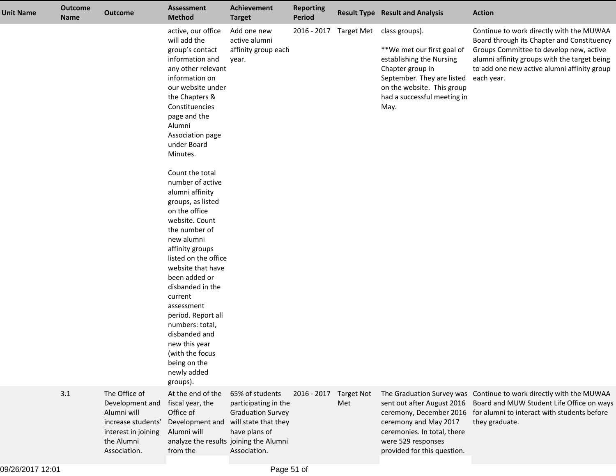| <b>Unit Name</b> | <b>Outcome</b><br><b>Name</b> | <b>Outcome</b>                                                                                                             | Assessment<br><b>Method</b>                                                                                                                                                                                                                                                                                                                                                                                                                                                                                                                                                                                                                     | Achievement<br><b>Target</b>                                                                                                 | <b>Reporting</b><br>Period |                          | <b>Result Type Result and Analysis</b>                                                                                                                                                                                 | <b>Action</b>                                                                                                                                                                                                                                  |
|------------------|-------------------------------|----------------------------------------------------------------------------------------------------------------------------|-------------------------------------------------------------------------------------------------------------------------------------------------------------------------------------------------------------------------------------------------------------------------------------------------------------------------------------------------------------------------------------------------------------------------------------------------------------------------------------------------------------------------------------------------------------------------------------------------------------------------------------------------|------------------------------------------------------------------------------------------------------------------------------|----------------------------|--------------------------|------------------------------------------------------------------------------------------------------------------------------------------------------------------------------------------------------------------------|------------------------------------------------------------------------------------------------------------------------------------------------------------------------------------------------------------------------------------------------|
|                  |                               |                                                                                                                            | active, our office<br>will add the<br>group's contact<br>information and<br>any other relevant<br>information on<br>our website under<br>the Chapters &<br>Constituencies<br>page and the<br>Alumni<br>Association page<br>under Board<br>Minutes.<br>Count the total<br>number of active<br>alumni affinity<br>groups, as listed<br>on the office<br>website. Count<br>the number of<br>new alumni<br>affinity groups<br>listed on the office<br>website that have<br>been added or<br>disbanded in the<br>current<br>assessment<br>period. Report all<br>numbers: total,<br>disbanded and<br>new this year<br>(with the focus<br>being on the | Add one new<br>active alumni<br>affinity group each<br>year.                                                                 |                            |                          | 2016 - 2017 Target Met class groups).<br>**We met our first goal of<br>establishing the Nursing<br>Chapter group in<br>September. They are listed<br>on the website. This group<br>had a successful meeting in<br>May. | Continue to work directly with the MUWAA<br>Board through its Chapter and Constituency<br>Groups Committee to develop new, active<br>alumni affinity groups with the target being<br>to add one new active alumni affinity group<br>each year. |
|                  |                               |                                                                                                                            | newly added<br>groups).                                                                                                                                                                                                                                                                                                                                                                                                                                                                                                                                                                                                                         |                                                                                                                              |                            |                          |                                                                                                                                                                                                                        |                                                                                                                                                                                                                                                |
|                  | 3.1                           | The Office of<br>Development and<br>Alumni will<br>increase students'<br>interest in joining<br>the Alumni<br>Association. | At the end of the<br>fiscal year, the<br>Office of<br>Development and<br>Alumni will<br>analyze the results joining the Alumni<br>from the                                                                                                                                                                                                                                                                                                                                                                                                                                                                                                      | 65% of students<br>participating in the<br><b>Graduation Survey</b><br>will state that they<br>have plans of<br>Association. | 2016 - 2017                | <b>Target Not</b><br>Met | sent out after August 2016<br>ceremony, December 2016<br>ceremony and May 2017<br>ceremonies. In total, there<br>were 529 responses<br>provided for this question.                                                     | The Graduation Survey was Continue to work directly with the MUWAA<br>Board and MUW Student Life Office on ways<br>for alumni to interact with students before<br>they graduate.                                                               |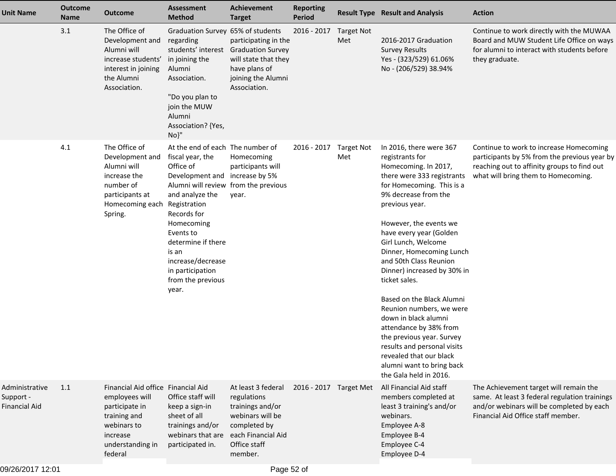| <b>Unit Name</b>                                    | <b>Outcome</b><br><b>Name</b> | <b>Outcome</b>                                                                                                                                   | <b>Assessment</b><br><b>Method</b>                                                                                                                                                                                                                                                                                             | <b>Achievement</b><br><b>Target</b>                                                                                                        | <b>Reporting</b><br><b>Period</b> |                          | <b>Result Type Result and Analysis</b>                                                                                                                                                                                                                                                                                                                                                                                                                                                                                                                                                                             | <b>Action</b>                                                                                                                                                                 |
|-----------------------------------------------------|-------------------------------|--------------------------------------------------------------------------------------------------------------------------------------------------|--------------------------------------------------------------------------------------------------------------------------------------------------------------------------------------------------------------------------------------------------------------------------------------------------------------------------------|--------------------------------------------------------------------------------------------------------------------------------------------|-----------------------------------|--------------------------|--------------------------------------------------------------------------------------------------------------------------------------------------------------------------------------------------------------------------------------------------------------------------------------------------------------------------------------------------------------------------------------------------------------------------------------------------------------------------------------------------------------------------------------------------------------------------------------------------------------------|-------------------------------------------------------------------------------------------------------------------------------------------------------------------------------|
|                                                     | 3.1                           | The Office of<br>Development and<br>Alumni will<br>increase students'<br>interest in joining<br>the Alumni<br>Association.                       | Graduation Survey 65% of students<br>regarding<br>students' interest<br>in joining the<br>Alumni<br>Association.<br>"Do you plan to<br>join the MUW<br>Alumni<br>Association? {Yes,<br>$No$ <sup>"</sup>                                                                                                                       | participating in the<br><b>Graduation Survey</b><br>will state that they<br>have plans of<br>joining the Alumni<br>Association.            | 2016 - 2017                       | <b>Target Not</b><br>Met | 2016-2017 Graduation<br><b>Survey Results</b><br>Yes - (323/529) 61.06%<br>No - (206/529) 38.94%                                                                                                                                                                                                                                                                                                                                                                                                                                                                                                                   | Continue to work directly with the MUWAA<br>Board and MUW Student Life Office on ways<br>for alumni to interact with students before<br>they graduate.                        |
|                                                     | 4.1                           | The Office of<br>Development and<br>Alumni will<br>increase the<br>number of<br>participants at<br>Homecoming each<br>Spring.                    | At the end of each The number of<br>fiscal year, the<br>Office of<br>Development and increase by 5%<br>Alumni will review from the previous<br>and analyze the<br>Registration<br>Records for<br>Homecoming<br>Events to<br>determine if there<br>is an<br>increase/decrease<br>in participation<br>from the previous<br>year. | Homecoming<br>participants will<br>year.                                                                                                   | 2016 - 2017                       | <b>Target Not</b><br>Met | In 2016, there were 367<br>registrants for<br>Homecoming. In 2017,<br>there were 333 registrants<br>for Homecoming. This is a<br>9% decrease from the<br>previous year.<br>However, the events we<br>have every year (Golden<br>Girl Lunch, Welcome<br>Dinner, Homecoming Lunch<br>and 50th Class Reunion<br>Dinner) increased by 30% in<br>ticket sales.<br>Based on the Black Alumni<br>Reunion numbers, we were<br>down in black alumni<br>attendance by 38% from<br>the previous year. Survey<br>results and personal visits<br>revealed that our black<br>alumni want to bring back<br>the Gala held in 2016. | Continue to work to increase Homecoming<br>participants by 5% from the previous year by<br>reaching out to affinity groups to find out<br>what will bring them to Homecoming. |
| Administrative<br>Support -<br><b>Financial Aid</b> | 1.1                           | Financial Aid office Financial Aid<br>employees will<br>participate in<br>training and<br>webinars to<br>increase<br>understanding in<br>federal | Office staff will<br>keep a sign-in<br>sheet of all<br>trainings and/or<br>webinars that are<br>participated in.                                                                                                                                                                                                               | At least 3 federal<br>regulations<br>trainings and/or<br>webinars will be<br>completed by<br>each Financial Aid<br>Office staff<br>member. | 2016 - 2017 Target Met            |                          | All Financial Aid staff<br>members completed at<br>least 3 training's and/or<br>webinars.<br>Employee A-8<br>Employee B-4<br>Employee C-4<br>Employee D-4                                                                                                                                                                                                                                                                                                                                                                                                                                                          | The Achievement target will remain the<br>same. At least 3 federal regulation trainings<br>and/or webinars will be completed by each<br>Financial Aid Office staff member.    |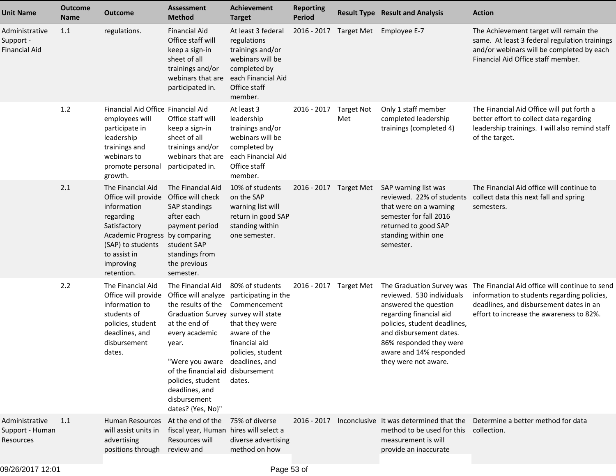| <b>Unit Name</b>                                      | <b>Outcome</b><br><b>Name</b> | <b>Outcome</b>                                                                                                                                                                                           | <b>Assessment</b><br><b>Method</b>                                                                                                                                                                                                                             | <b>Achievement</b><br><b>Target</b>                                                                                                        | <b>Reporting</b><br>Period |                          | <b>Result Type Result and Analysis</b>                                                                                                                                                                                                              | <b>Action</b>                                                                                                                                                                        |
|-------------------------------------------------------|-------------------------------|----------------------------------------------------------------------------------------------------------------------------------------------------------------------------------------------------------|----------------------------------------------------------------------------------------------------------------------------------------------------------------------------------------------------------------------------------------------------------------|--------------------------------------------------------------------------------------------------------------------------------------------|----------------------------|--------------------------|-----------------------------------------------------------------------------------------------------------------------------------------------------------------------------------------------------------------------------------------------------|--------------------------------------------------------------------------------------------------------------------------------------------------------------------------------------|
| Administrative<br>Support -<br>Financial Aid          | 1.1                           | regulations.                                                                                                                                                                                             | <b>Financial Aid</b><br>Office staff will<br>keep a sign-in<br>sheet of all<br>trainings and/or<br>webinars that are<br>participated in.                                                                                                                       | At least 3 federal<br>regulations<br>trainings and/or<br>webinars will be<br>completed by<br>each Financial Aid<br>Office staff<br>member. | $2016 - 2017$              | Target Met               | Employee E-7                                                                                                                                                                                                                                        | The Achievement target will remain the<br>same. At least 3 federal regulation trainings<br>and/or webinars will be completed by each<br>Financial Aid Office staff member.           |
|                                                       | 1.2                           | Financial Aid Office Financial Aid<br>employees will<br>participate in<br>leadership<br>trainings and<br>webinars to<br>promote personal<br>growth.                                                      | Office staff will<br>keep a sign-in<br>sheet of all<br>trainings and/or<br>webinars that are<br>participated in.                                                                                                                                               | At least 3<br>leadership<br>trainings and/or<br>webinars will be<br>completed by<br>each Financial Aid<br>Office staff<br>member.          | 2016 - 2017                | <b>Target Not</b><br>Met | Only 1 staff member<br>completed leadership<br>trainings (completed 4)                                                                                                                                                                              | The Financial Aid Office will put forth a<br>better effort to collect data regarding<br>leadership trainings. I will also remind staff<br>of the target.                             |
|                                                       | 2.1                           | The Financial Aid<br>Office will provide Office will check<br>information<br>regarding<br>Satisfactory<br>Academic Progress by comparing<br>(SAP) to students<br>to assist in<br>improving<br>retention. | The Financial Aid<br>SAP standings<br>after each<br>payment period<br>student SAP<br>standings from<br>the previous<br>semester.                                                                                                                               | 10% of students<br>on the SAP<br>warning list will<br>return in good SAP<br>standing within<br>one semester.                               | 2016 - 2017 Target Met     |                          | SAP warning list was<br>reviewed. 22% of students<br>that were on a warning<br>semester for fall 2016<br>returned to good SAP<br>standing within one<br>semester.                                                                                   | The Financial Aid office will continue to<br>collect data this next fall and spring<br>semesters.                                                                                    |
|                                                       | 2.2                           | The Financial Aid<br>Office will provide Office will analyze participating in the<br>information to<br>students of<br>policies, student<br>deadlines, and<br>disbursement<br>dates.                      | The Financial Aid<br>the results of the<br>Graduation Survey survey will state<br>at the end of<br>every academic<br>year.<br>"Were you aware<br>of the financial aid disbursement<br>policies, student<br>deadlines, and<br>disbursement<br>dates? {Yes, No}" | 80% of students<br>Commencement<br>that they were<br>aware of the<br>financial aid<br>policies, student<br>deadlines, and<br>dates.        | 2016 - 2017                | Target Met               | The Graduation Survey was<br>reviewed. 530 individuals<br>answered the question<br>regarding financial aid<br>policies, student deadlines,<br>and disbursement dates.<br>86% responded they were<br>aware and 14% responded<br>they were not aware. | The Financial Aid office will continue to send<br>information to students regarding policies,<br>deadlines, and disbursement dates in an<br>effort to increase the awareness to 82%. |
| Administrative<br>Support - Human<br><b>Resources</b> | 1.1                           | Human Resources At the end of the<br>will assist units in<br>advertising<br>positions through review and                                                                                                 | fiscal year, Human hires will select a<br>Resources will                                                                                                                                                                                                       | 75% of diverse<br>diverse advertising<br>method on how                                                                                     | 2016 - 2017                |                          | method to be used for this collection.<br>measurement is will<br>provide an inaccurate                                                                                                                                                              | Inconclusive It was determined that the Determine a better method for data                                                                                                           |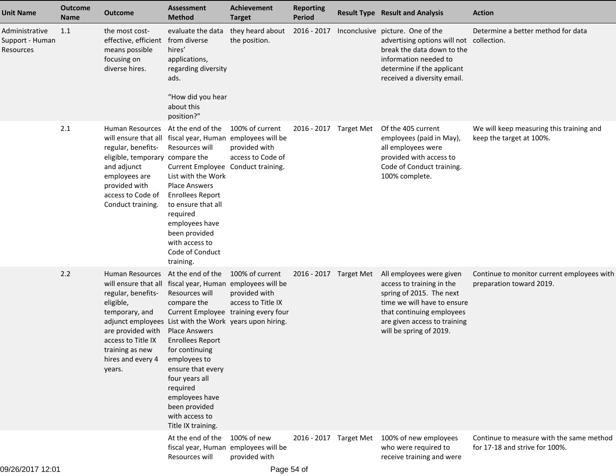| <b>Unit Name</b>                                      | <b>Outcome</b><br><b>Name</b> | <b>Outcome</b>                                                                                                                                                                                                                                                                                              | <b>Assessment</b><br><b>Method</b>                                                                                                                                                                                                                                                       | <b>Achievement</b><br><b>Target</b>                    | <b>Reporting</b><br><b>Period</b> | <b>Result Type Result and Analysis</b>                                                                                                                                                                   | <b>Action</b>                                                              |
|-------------------------------------------------------|-------------------------------|-------------------------------------------------------------------------------------------------------------------------------------------------------------------------------------------------------------------------------------------------------------------------------------------------------------|------------------------------------------------------------------------------------------------------------------------------------------------------------------------------------------------------------------------------------------------------------------------------------------|--------------------------------------------------------|-----------------------------------|----------------------------------------------------------------------------------------------------------------------------------------------------------------------------------------------------------|----------------------------------------------------------------------------|
| Administrative<br>Support - Human<br><b>Resources</b> | 1.1                           | the most cost-<br>effective, efficient<br>means possible<br>focusing on<br>diverse hires.                                                                                                                                                                                                                   | evaluate the data<br>from diverse<br>hires'<br>applications,<br>regarding diversity<br>ads.<br>"How did you hear<br>about this                                                                                                                                                           | they heard about<br>the position.                      | 2016 - 2017                       | Inconclusive picture. One of the<br>advertising options will not collection.<br>break the data down to the<br>information needed to<br>determine if the applicant<br>received a diversity email.         | Determine a better method for data                                         |
|                                                       |                               |                                                                                                                                                                                                                                                                                                             | position?"                                                                                                                                                                                                                                                                               |                                                        |                                   |                                                                                                                                                                                                          |                                                                            |
|                                                       | 2.1                           | Human Resources<br>will ensure that all fiscal year, Human employees will be<br>regular, benefits-<br>eligible, temporary compare the<br>and adjunct<br>employees are<br>provided with<br>access to Code of<br>Conduct training.                                                                            | At the end of the<br>Resources will<br>Current Employee Conduct training.<br>List with the Work<br>Place Answers<br><b>Enrollees Report</b><br>to ensure that all<br>required<br>employees have<br>been provided<br>with access to<br>Code of Conduct<br>training.                       | 100% of current<br>provided with<br>access to Code of  | 2016 - 2017 Target Met            | Of the 405 current<br>employees (paid in May),<br>all employees were<br>provided with access to<br>Code of Conduct training.<br>100% complete.                                                           | We will keep measuring this training and<br>keep the target at 100%.       |
|                                                       | 2.2                           | Human Resources At the end of the<br>will ensure that all fiscal year, Human employees will be<br>regular, benefits-<br>eligible,<br>temporary, and<br>adjunct employees List with the Work years upon hiring.<br>are provided with<br>access to Title IX<br>training as new<br>hires and every 4<br>years. | Resources will<br>compare the<br>Current Employee training every four<br><b>Place Answers</b><br><b>Enrollees Report</b><br>for continuing<br>employees to<br>ensure that every<br>four years all<br>required<br>employees have<br>been provided<br>with access to<br>Title IX training. | 100% of current<br>provided with<br>access to Title IX | 2016 - 2017 Target Met            | All employees were given<br>access to training in the<br>spring of 2015. The next<br>time we will have to ensure<br>that continuing employees<br>are given access to training<br>will be spring of 2019. | Continue to monitor current employees with<br>preparation toward 2019.     |
|                                                       |                               |                                                                                                                                                                                                                                                                                                             | At the end of the<br>fiscal year, Human employees will be<br>Resources will                                                                                                                                                                                                              | 100% of new<br>provided with                           | 2016 - 2017 Target Met            | 100% of new employees<br>who were required to<br>receive training and were                                                                                                                               | Continue to measure with the same method<br>for 17-18 and strive for 100%. |
| 09/26/2017 12:01                                      |                               |                                                                                                                                                                                                                                                                                                             |                                                                                                                                                                                                                                                                                          | Page 54 of                                             |                                   |                                                                                                                                                                                                          |                                                                            |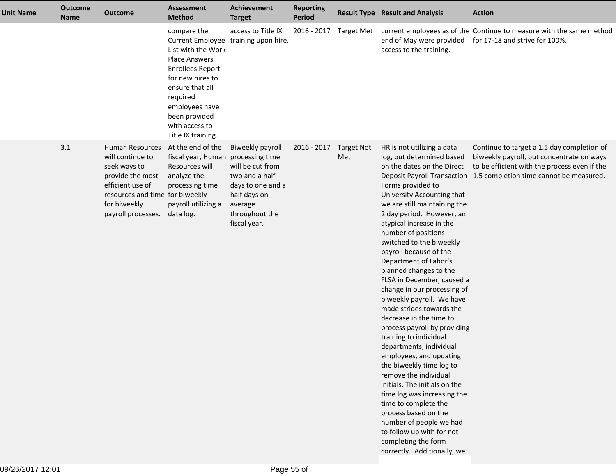| <b>Unit Name</b> | <b>Outcome</b><br><b>Name</b> | <b>Outcome</b>                                                                                                                                                       | <b>Assessment</b><br><b>Method</b>                                                                                                                                                                                 | <b>Achievement</b><br><b>Target</b>                                                                                                                         | <b>Reporting</b><br>Period |                        | <b>Result Type Result and Analysis</b>                                                                                                                                                                                                                                                                                                                                                                                                                                                                                                                                                                                                                                                                                                                                                                                                                                                                                | <b>Action</b>                                                                                                                                                                                                  |
|------------------|-------------------------------|----------------------------------------------------------------------------------------------------------------------------------------------------------------------|--------------------------------------------------------------------------------------------------------------------------------------------------------------------------------------------------------------------|-------------------------------------------------------------------------------------------------------------------------------------------------------------|----------------------------|------------------------|-----------------------------------------------------------------------------------------------------------------------------------------------------------------------------------------------------------------------------------------------------------------------------------------------------------------------------------------------------------------------------------------------------------------------------------------------------------------------------------------------------------------------------------------------------------------------------------------------------------------------------------------------------------------------------------------------------------------------------------------------------------------------------------------------------------------------------------------------------------------------------------------------------------------------|----------------------------------------------------------------------------------------------------------------------------------------------------------------------------------------------------------------|
|                  |                               |                                                                                                                                                                      | compare the<br>List with the Work<br><b>Place Answers</b><br><b>Enrollees Report</b><br>for new hires to<br>ensure that all<br>required<br>employees have<br>been provided<br>with access to<br>Title IX training. | access to Title IX<br>Current Employee training upon hire.                                                                                                  |                            | 2016 - 2017 Target Met | end of May were provided<br>access to the training.                                                                                                                                                                                                                                                                                                                                                                                                                                                                                                                                                                                                                                                                                                                                                                                                                                                                   | current employees as of the Continue to measure with the same method<br>for 17-18 and strive for 100%.                                                                                                         |
|                  | 3.1                           | Human Resources<br>will continue to<br>seek ways to<br>provide the most<br>efficient use of<br>resources and time for biweekly<br>for biweekly<br>payroll processes. | At the end of the<br>fiscal year, Human<br>Resources will<br>analyze the<br>processing time<br>payroll utilizing a<br>data log.                                                                                    | Biweekly payroll<br>processing time<br>will be cut from<br>two and a half<br>days to one and a<br>half days on<br>average<br>throughout the<br>fiscal year. | 2016 - 2017 Target Not     | Met                    | HR is not utilizing a data<br>log, but determined based<br>on the dates on the Direct<br>Forms provided to<br>University Accounting that<br>we are still maintaining the<br>2 day period. However, an<br>atypical increase in the<br>number of positions<br>switched to the biweekly<br>payroll because of the<br>Department of Labor's<br>planned changes to the<br>FLSA in December, caused a<br>change in our processing of<br>biweekly payroll. We have<br>made strides towards the<br>decrease in the time to<br>process payroll by providing<br>training to individual<br>departments, individual<br>employees, and updating<br>the biweekly time log to<br>remove the individual<br>initials. The initials on the<br>time log was increasing the<br>time to complete the<br>process based on the<br>number of people we had<br>to follow up with for not<br>completing the form<br>correctly. Additionally, we | Continue to target a 1.5 day completion of<br>biweekly payroll, but concentrate on ways<br>to be efficient with the process even if the<br>Deposit Payroll Transaction 1.5 completion time cannot be measured. |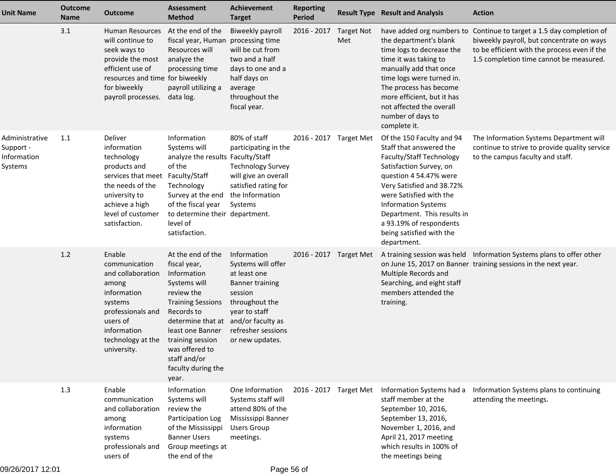| Unit Name                                             | <b>Outcome</b><br><b>Name</b> | <b>Outcome</b>                                                                                                                                                                        | <b>Assessment</b><br><b>Method</b>                                                                                                                                                                                                                     | <b>Achievement</b><br><b>Target</b>                                                                                                                                                     | <b>Reporting</b><br><b>Period</b> |                          | <b>Result Type Result and Analysis</b>                                                                                                                                                                                                                                                                                           | <b>Action</b>                                                                                                                                                                      |
|-------------------------------------------------------|-------------------------------|---------------------------------------------------------------------------------------------------------------------------------------------------------------------------------------|--------------------------------------------------------------------------------------------------------------------------------------------------------------------------------------------------------------------------------------------------------|-----------------------------------------------------------------------------------------------------------------------------------------------------------------------------------------|-----------------------------------|--------------------------|----------------------------------------------------------------------------------------------------------------------------------------------------------------------------------------------------------------------------------------------------------------------------------------------------------------------------------|------------------------------------------------------------------------------------------------------------------------------------------------------------------------------------|
|                                                       | 3.1                           | <b>Human Resources</b><br>will continue to<br>seek ways to<br>provide the most<br>efficient use of<br>resources and time for biweekly<br>for biweekly<br>payroll processes.           | At the end of the<br>fiscal year, Human processing time<br>Resources will<br>analyze the<br>processing time<br>payroll utilizing a<br>data log.                                                                                                        | Biweekly payroll<br>will be cut from<br>two and a half<br>days to one and a<br>half days on<br>average<br>throughout the<br>fiscal year.                                                | 2016 - 2017                       | <b>Target Not</b><br>Met | have added org numbers to<br>the department's blank<br>time logs to decrease the<br>time it was taking to<br>manually add that once<br>time logs were turned in.<br>The process has become<br>more efficient, but it has<br>not affected the overall<br>number of days to<br>complete it.                                        | Continue to target a 1.5 day completion of<br>biweekly payroll, but concentrate on ways<br>to be efficient with the process even if the<br>1.5 completion time cannot be measured. |
| Administrative<br>Support -<br>Information<br>Systems | 1.1                           | Deliver<br>information<br>technology<br>products and<br>services that meet Faculty/Staff<br>the needs of the<br>university to<br>achieve a high<br>level of customer<br>satisfaction. | Information<br>Systems will<br>analyze the results Faculty/Staff<br>of the<br>Technology<br>Survey at the end<br>of the fiscal year<br>to determine their department.<br>level of<br>satisfaction.                                                     | 80% of staff<br>participating in the<br><b>Technology Survey</b><br>will give an overall<br>satisfied rating for<br>the Information<br>Systems                                          | 2016 - 2017 Target Met            |                          | Of the 150 Faculty and 94<br>Staff that answered the<br>Faculty/Staff Technology<br>Satisfaction Survey, on<br>question 4 54.47% were<br>Very Satisfied and 38.72%<br>were Satisfied with the<br><b>Information Systems</b><br>Department. This results in<br>a 93.19% of respondents<br>being satisfied with the<br>department. | The Information Systems Department will<br>continue to strive to provide quality service<br>to the campus faculty and staff.                                                       |
|                                                       | 1.2                           | Enable<br>communication<br>and collaboration<br>among<br>information<br>systems<br>professionals and<br>users of<br>information<br>technology at the<br>university.                   | At the end of the<br>fiscal year,<br>Information<br>Systems will<br>review the<br><b>Training Sessions</b><br>Records to<br>determine that at<br>least one Banner<br>training session<br>was offered to<br>staff and/or<br>faculty during the<br>year. | Information<br>Systems will offer<br>at least one<br><b>Banner training</b><br>session<br>throughout the<br>year to staff<br>and/or faculty as<br>refresher sessions<br>or new updates. | 2016 - 2017 Target Met            |                          | Multiple Records and<br>Searching, and eight staff<br>members attended the<br>training.                                                                                                                                                                                                                                          | A training session was held Information Systems plans to offer other<br>on June 15, 2017 on Banner training sessions in the next year.                                             |
|                                                       | 1.3                           | Enable<br>communication<br>and collaboration<br>among<br>information<br>systems<br>professionals and<br>users of                                                                      | Information<br>Systems will<br>review the<br>Participation Log<br>of the Mississippi<br><b>Banner Users</b><br>Group meetings at<br>the end of the                                                                                                     | One Information<br>Systems staff will<br>attend 80% of the<br>Mississippi Banner<br><b>Users Group</b><br>meetings.                                                                     | 2016 - 2017 Target Met            |                          | Information Systems had a<br>staff member at the<br>September 10, 2016,<br>September 13, 2016,<br>November 1, 2016, and<br>April 21, 2017 meeting<br>which results in 100% of<br>the meetings being                                                                                                                              | Information Systems plans to continuing<br>attending the meetings.                                                                                                                 |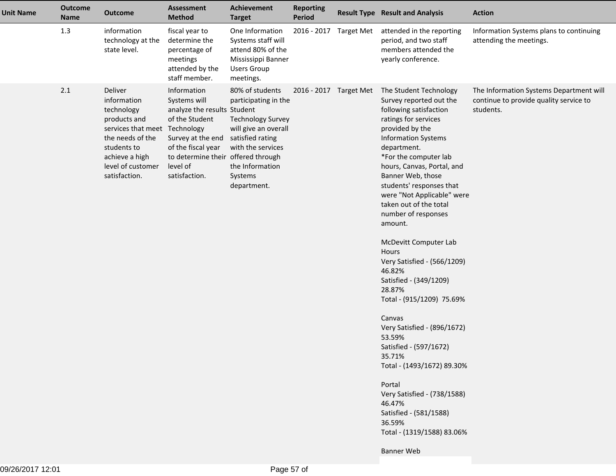| <b>Unit Name</b> | <b>Outcome</b><br><b>Name</b> | <b>Outcome</b>                                                                                                                                                                   | <b>Assessment</b><br><b>Method</b>                                                                                                                                                                          | <b>Achievement</b><br><b>Target</b>                                                                                                                           | <b>Reporting</b><br><b>Period</b> | <b>Result Type Result and Analysis</b>                                                                                                                                                                                                                                                                                                                                                                                                                                                                                                                                                                                                                                                                                                                                           | <b>Action</b>                                                                                  |
|------------------|-------------------------------|----------------------------------------------------------------------------------------------------------------------------------------------------------------------------------|-------------------------------------------------------------------------------------------------------------------------------------------------------------------------------------------------------------|---------------------------------------------------------------------------------------------------------------------------------------------------------------|-----------------------------------|----------------------------------------------------------------------------------------------------------------------------------------------------------------------------------------------------------------------------------------------------------------------------------------------------------------------------------------------------------------------------------------------------------------------------------------------------------------------------------------------------------------------------------------------------------------------------------------------------------------------------------------------------------------------------------------------------------------------------------------------------------------------------------|------------------------------------------------------------------------------------------------|
|                  | 1.3                           | information<br>technology at the<br>state level.                                                                                                                                 | fiscal year to<br>determine the<br>percentage of<br>meetings<br>attended by the<br>staff member.                                                                                                            | One Information<br>Systems staff will<br>attend 80% of the<br>Mississippi Banner<br><b>Users Group</b><br>meetings.                                           | 2016 - 2017 Target Met            | attended in the reporting<br>period, and two staff<br>members attended the<br>yearly conference.                                                                                                                                                                                                                                                                                                                                                                                                                                                                                                                                                                                                                                                                                 | Information Systems plans to continuing<br>attending the meetings.                             |
|                  | 2.1                           | Deliver<br>information<br>technology<br>products and<br>services that meet Technology<br>the needs of the<br>students to<br>achieve a high<br>level of customer<br>satisfaction. | Information<br>Systems will<br>analyze the results Student<br>of the Student<br>Survey at the end satisfied rating<br>of the fiscal year<br>to determine their offered through<br>level of<br>satisfaction. | 80% of students<br>participating in the<br><b>Technology Survey</b><br>will give an overall<br>with the services<br>the Information<br>Systems<br>department. | 2016 - 2017 Target Met            | The Student Technology<br>Survey reported out the<br>following satisfaction<br>ratings for services<br>provided by the<br><b>Information Systems</b><br>department.<br>*For the computer lab<br>hours, Canvas, Portal, and<br>Banner Web, those<br>students' responses that<br>were "Not Applicable" were<br>taken out of the total<br>number of responses<br>amount.<br>McDevitt Computer Lab<br>Hours<br>Very Satisfied - (566/1209)<br>46.82%<br>Satisfied - (349/1209)<br>28.87%<br>Total - (915/1209) 75.69%<br>Canvas<br>Very Satisfied - (896/1672)<br>53.59%<br>Satisfied - (597/1672)<br>35.71%<br>Total - (1493/1672) 89.30%<br>Portal<br>Very Satisfied - (738/1588)<br>46.47%<br>Satisfied - (581/1588)<br>36.59%<br>Total - (1319/1588) 83.06%<br><b>Banner Web</b> | The Information Systems Department will<br>continue to provide quality service to<br>students. |
|                  |                               |                                                                                                                                                                                  |                                                                                                                                                                                                             |                                                                                                                                                               |                                   |                                                                                                                                                                                                                                                                                                                                                                                                                                                                                                                                                                                                                                                                                                                                                                                  |                                                                                                |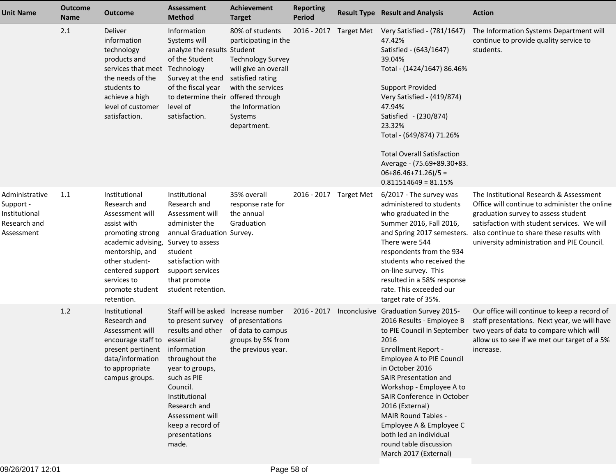| <b>Unit Name</b>                                                           | <b>Outcome</b><br><b>Name</b> | <b>Outcome</b>                                                                                                                                                                                                     | <b>Assessment</b><br><b>Method</b>                                                                                                                                                                                                              | Achievement<br><b>Target</b>                                                                                                                                                      | <b>Reporting</b><br><b>Period</b> | <b>Result Type Result and Analysis</b>                                                                                                                                                                                                                                                                                                                                                                     | <b>Action</b>                                                                                                                                                                                                                                                             |
|----------------------------------------------------------------------------|-------------------------------|--------------------------------------------------------------------------------------------------------------------------------------------------------------------------------------------------------------------|-------------------------------------------------------------------------------------------------------------------------------------------------------------------------------------------------------------------------------------------------|-----------------------------------------------------------------------------------------------------------------------------------------------------------------------------------|-----------------------------------|------------------------------------------------------------------------------------------------------------------------------------------------------------------------------------------------------------------------------------------------------------------------------------------------------------------------------------------------------------------------------------------------------------|---------------------------------------------------------------------------------------------------------------------------------------------------------------------------------------------------------------------------------------------------------------------------|
|                                                                            | 2.1                           | Deliver<br>information<br>technology<br>products and<br>services that meet Technology<br>the needs of the<br>students to<br>achieve a high<br>level of customer<br>satisfaction.                                   | Information<br>Systems will<br>analyze the results Student<br>of the Student<br>Survey at the end<br>of the fiscal year<br>to determine their offered through<br>level of<br>satisfaction.                                                      | 80% of students<br>participating in the<br><b>Technology Survey</b><br>will give an overall<br>satisfied rating<br>with the services<br>the Information<br>Systems<br>department. | 2016 - 2017 Target Met            | Very Satisfied - (781/1647)<br>47.42%<br>Satisfied - (643/1647)<br>39.04%<br>Total - (1424/1647) 86.46%<br><b>Support Provided</b><br>Very Satisfied - (419/874)<br>47.94%<br>Satisfied - (230/874)<br>23.32%<br>Total - (649/874) 71.26%<br><b>Total Overall Satisfaction</b><br>Average - (75.69+89.30+83.<br>$06+86.46+71.26)/5 =$<br>$0.811514649 = 81.15%$                                            | The Information Systems Department will<br>continue to provide quality service to<br>students.                                                                                                                                                                            |
| Administrative<br>Support -<br>Institutional<br>Research and<br>Assessment | 1.1                           | Institutional<br>Research and<br>Assessment will<br>assist with<br>promoting strong<br>academic advising,<br>mentorship, and<br>other student-<br>centered support<br>services to<br>promote student<br>retention. | Institutional<br>Research and<br>Assessment will<br>administer the<br>annual Graduation Survey.<br>Survey to assess<br>student<br>satisfaction with<br>support services<br>that promote<br>student retention.                                   | 35% overall<br>response rate for<br>the annual<br>Graduation                                                                                                                      | 2016 - 2017 Target Met            | 6/2017 - The survey was<br>administered to students<br>who graduated in the<br>Summer 2016, Fall 2016,<br>and Spring 2017 semesters.<br>There were 544<br>respondents from the 934<br>students who received the<br>on-line survey. This<br>resulted in a 58% response<br>rate. This exceeded our<br>target rate of 35%.                                                                                    | The Institutional Research & Assessment<br>Office will continue to administer the online<br>graduation survey to assess student<br>satisfaction with student services. We will<br>also continue to share these results with<br>university administration and PIE Council. |
|                                                                            | 1.2                           | Institutional<br>Research and<br>Assessment will<br>encourage staff to essential<br>present pertinent information<br>data/information<br>to appropriate<br>campus groups.                                          | Staff will be asked Increase number<br>to present survey<br>results and other<br>throughout the<br>year to groups,<br>such as PIE<br>Council.<br>Institutional<br>Research and<br>Assessment will<br>keep a record of<br>presentations<br>made. | of presentations<br>of data to campus<br>groups by 5% from<br>the previous year.                                                                                                  | 2016 - 2017                       | Inconclusive Graduation Survey 2015-<br>2016 Results - Employee B<br>2016<br><b>Enrollment Report -</b><br>Employee A to PIE Council<br>in October 2016<br><b>SAIR Presentation and</b><br>Workshop - Employee A to<br>SAIR Conference in October<br>2016 (External)<br><b>MAIR Round Tables -</b><br>Employee A & Employee C<br>both led an individual<br>round table discussion<br>March 2017 (External) | Our office will continue to keep a record of<br>staff presentations. Next year, we will have<br>to PIE Council in September two years of data to compare which will<br>allow us to see if we met our target of a 5%<br>increase.                                          |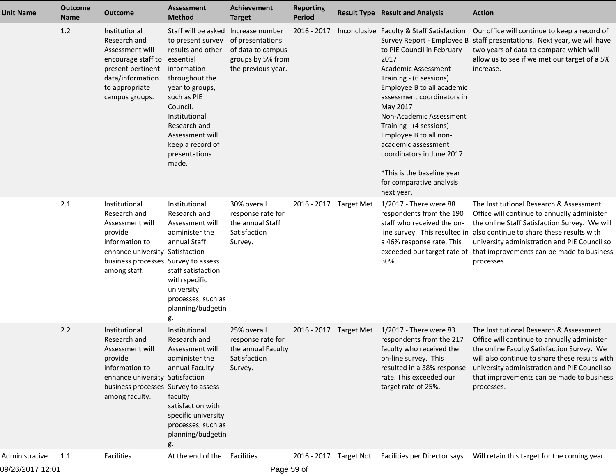| <b>Unit Name</b> | <b>Outcome</b><br><b>Name</b> | <b>Outcome</b>                                                                                                                                                            | <b>Assessment</b><br><b>Method</b>                                                                                                                                                                                                                          | <b>Achievement</b><br><b>Target</b>                                                                 | <b>Reporting</b><br><b>Period</b> |                        | <b>Result Type Result and Analysis</b>                                                                                                                                                                                                                                                                                                                                                                                                              | <b>Action</b>                                                                                                                                                                                                                                                                                                                 |
|------------------|-------------------------------|---------------------------------------------------------------------------------------------------------------------------------------------------------------------------|-------------------------------------------------------------------------------------------------------------------------------------------------------------------------------------------------------------------------------------------------------------|-----------------------------------------------------------------------------------------------------|-----------------------------------|------------------------|-----------------------------------------------------------------------------------------------------------------------------------------------------------------------------------------------------------------------------------------------------------------------------------------------------------------------------------------------------------------------------------------------------------------------------------------------------|-------------------------------------------------------------------------------------------------------------------------------------------------------------------------------------------------------------------------------------------------------------------------------------------------------------------------------|
|                  | 1.2                           | Institutional<br>Research and<br>Assessment will<br>encourage staff to<br>present pertinent<br>data/information<br>to appropriate<br>campus groups.                       | Staff will be asked<br>to present survey<br>results and other<br>essential<br>information<br>throughout the<br>year to groups,<br>such as PIE<br>Council.<br>Institutional<br>Research and<br>Assessment will<br>keep a record of<br>presentations<br>made. | Increase number<br>of presentations<br>of data to campus<br>groups by 5% from<br>the previous year. | 2016 - 2017                       |                        | Inconclusive Faculty & Staff Satisfaction<br>Survey Report - Employee B<br>to PIE Council in February<br>2017<br>Academic Assessment<br>Training - (6 sessions)<br>Employee B to all academic<br>assessment coordinators in<br>May 2017<br>Non-Academic Assessment<br>Training - (4 sessions)<br>Employee B to all non-<br>academic assessment<br>coordinators in June 2017<br>*This is the baseline year<br>for comparative analysis<br>next year. | Our office will continue to keep a record of<br>staff presentations. Next year, we will have<br>two years of data to compare which will<br>allow us to see if we met our target of a 5%<br>increase.                                                                                                                          |
|                  | 2.1                           | Institutional<br>Research and<br>Assessment will<br>provide<br>information to<br>enhance university Satisfaction<br>business processes Survey to assess<br>among staff.   | Institutional<br>Research and<br>Assessment will<br>administer the<br>annual Staff<br>staff satisfaction<br>with specific<br>university<br>processes, such as<br>planning/budgetin<br>g.                                                                    | 30% overall<br>response rate for<br>the annual Staff<br>Satisfaction<br>Survey.                     | 2016 - 2017 Target Met            |                        | 1/2017 - There were 88<br>respondents from the 190<br>staff who received the on-<br>a 46% response rate. This<br>exceeded our target rate of<br>30%.                                                                                                                                                                                                                                                                                                | The Institutional Research & Assessment<br>Office will continue to annually administer<br>the online Staff Satisfaction Survey. We will<br>line survey. This resulted in also continue to share these results with<br>university administration and PIE Council so<br>that improvements can be made to business<br>processes. |
|                  | 2.2                           | Institutional<br>Research and<br>Assessment will<br>provide<br>information to<br>enhance university Satisfaction<br>business processes Survey to assess<br>among faculty. | Institutional<br>Research and<br>Assessment will<br>administer the<br>annual Faculty<br>faculty<br>satisfaction with<br>specific university<br>processes, such as<br>planning/budgetin                                                                      | 25% overall<br>response rate for<br>the annual Faculty<br>Satisfaction<br>Survey.                   |                                   | 2016 - 2017 Target Met | 1/2017 - There were 83<br>respondents from the 217<br>faculty who received the<br>on-line survey. This<br>resulted in a 38% response<br>rate. This exceeded our<br>target rate of 25%.                                                                                                                                                                                                                                                              | The Institutional Research & Assessment<br>Office will continue to annually administer<br>the online Faculty Satisfaction Survey. We<br>will also continue to share these results with<br>university administration and PIE Council so<br>that improvements can be made to business<br>processes.                             |
| Administrative   | 1.1                           | <b>Facilities</b>                                                                                                                                                         | At the end of the                                                                                                                                                                                                                                           | Facilities                                                                                          |                                   | 2016 - 2017 Target Not | Facilities per Director says                                                                                                                                                                                                                                                                                                                                                                                                                        | Will retain this target for the coming year                                                                                                                                                                                                                                                                                   |

09/26/2017 12:01

Page 59 of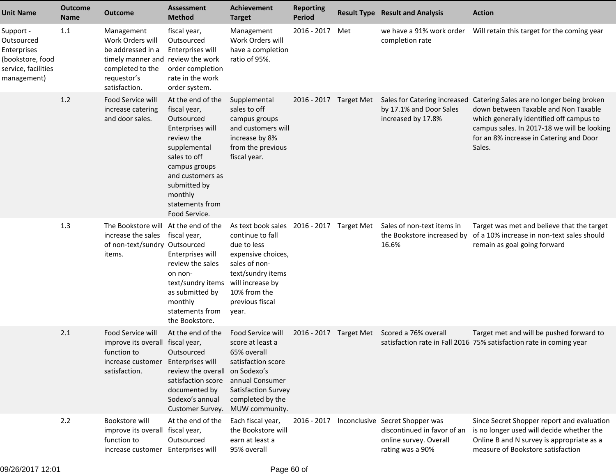| <b>Unit Name</b>                                                                                 | <b>Outcome</b><br><b>Name</b> | <b>Outcome</b>                                                                                                                               | Assessment<br><b>Method</b>                                                                                                                                                                                           | <b>Achievement</b><br><b>Target</b>                                                                                                                                                                      | <b>Reporting</b><br><b>Period</b> |     | <b>Result Type Result and Analysis</b>                                                                       | <b>Action</b>                                                                                                                                                                                                                     |
|--------------------------------------------------------------------------------------------------|-------------------------------|----------------------------------------------------------------------------------------------------------------------------------------------|-----------------------------------------------------------------------------------------------------------------------------------------------------------------------------------------------------------------------|----------------------------------------------------------------------------------------------------------------------------------------------------------------------------------------------------------|-----------------------------------|-----|--------------------------------------------------------------------------------------------------------------|-----------------------------------------------------------------------------------------------------------------------------------------------------------------------------------------------------------------------------------|
| Support -<br>Outsourced<br>Enterprises<br>(bookstore, food<br>service, facilities<br>management) | 1.1                           | Management<br>Work Orders will<br>be addressed in a<br>timely manner and review the work<br>completed to the<br>requestor's<br>satisfaction. | fiscal year,<br>Outsourced<br>Enterprises will<br>order completion<br>rate in the work<br>order system.                                                                                                               | Management<br>Work Orders will<br>have a completion<br>ratio of 95%.                                                                                                                                     | 2016 - 2017                       | Met | we have a 91% work order<br>completion rate                                                                  | Will retain this target for the coming year                                                                                                                                                                                       |
|                                                                                                  | 1.2                           | Food Service will<br>increase catering<br>and door sales.                                                                                    | At the end of the<br>fiscal year,<br>Outsourced<br>Enterprises will<br>review the<br>supplemental<br>sales to off<br>campus groups<br>and customers as<br>submitted by<br>monthly<br>statements from<br>Food Service. | Supplemental<br>sales to off<br>campus groups<br>and customers will<br>increase by 8%<br>from the previous<br>fiscal year.                                                                               | 2016 - 2017 Target Met            |     | Sales for Catering increased<br>by 17.1% and Door Sales<br>increased by 17.8%                                | Catering Sales are no longer being broken<br>down between Taxable and Non Taxable<br>which generally identified off campus to<br>campus sales. In 2017-18 we will be looking<br>for an 8% increase in Catering and Door<br>Sales. |
|                                                                                                  | 1.3                           | The Bookstore will At the end of the<br>increase the sales fiscal year,<br>of non-text/sundry Outsourced<br>items.                           | Enterprises will<br>review the sales<br>on non-<br>text/sundry items<br>as submitted by<br>monthly<br>statements from<br>the Bookstore.                                                                               | As text book sales 2016 - 2017 Target Met<br>continue to fall<br>due to less<br>expensive choices,<br>sales of non-<br>text/sundry items<br>will increase by<br>10% from the<br>previous fiscal<br>year. |                                   |     | Sales of non-text items in<br>the Bookstore increased by<br>16.6%                                            | Target was met and believe that the target<br>of a 10% increase in non-text sales should<br>remain as goal going forward                                                                                                          |
|                                                                                                  | 2.1                           | Food Service will<br>improve its overall fiscal year,<br>function to<br>increase customer<br>satisfaction.                                   | At the end of the<br>Outsourced<br>Enterprises will<br>review the overall<br>satisfaction score<br>documented by<br>Sodexo's annual<br>Customer Survey.                                                               | Food Service will<br>score at least a<br>65% overall<br>satisfaction score<br>on Sodexo's<br>annual Consumer<br>Satisfaction Survey<br>completed by the<br>MUW community.                                | 2016 - 2017 Target Met            |     | Scored a 76% overall                                                                                         | Target met and will be pushed forward to<br>satisfaction rate in Fall 2016 75% satisfaction rate in coming year                                                                                                                   |
|                                                                                                  | 2.2                           | Bookstore will<br>improve its overall fiscal year,<br>function to<br>increase customer Enterprises will                                      | At the end of the<br>Outsourced                                                                                                                                                                                       | Each fiscal year,<br>the Bookstore will<br>earn at least a<br>95% overall                                                                                                                                | 2016 - 2017                       |     | Inconclusive Secret Shopper was<br>discontinued in favor of an<br>online survey. Overall<br>rating was a 90% | Since Secret Shopper report and evaluation<br>is no longer used will decide whether the<br>Online B and N survey is appropriate as a<br>measure of Bookstore satisfaction                                                         |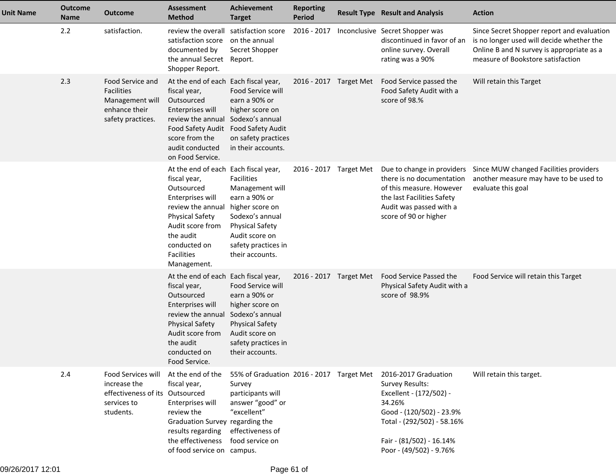| <b>Unit Name</b> | <b>Outcome</b><br>Name | <b>Outcome</b>                                                                                    | <b>Assessment</b><br><b>Method</b>                                                                                                                                                                                  | <b>Achievement</b><br><b>Target</b>                                                                                                                                               | <b>Reporting</b><br>Period | <b>Result Type Result and Analysis</b>                                                                                                                                                        | <b>Action</b>                                                                                                                                                             |
|------------------|------------------------|---------------------------------------------------------------------------------------------------|---------------------------------------------------------------------------------------------------------------------------------------------------------------------------------------------------------------------|-----------------------------------------------------------------------------------------------------------------------------------------------------------------------------------|----------------------------|-----------------------------------------------------------------------------------------------------------------------------------------------------------------------------------------------|---------------------------------------------------------------------------------------------------------------------------------------------------------------------------|
|                  | 2.2                    | satisfaction.                                                                                     | review the overall satisfaction score<br>satisfaction score<br>documented by<br>the annual Secret<br>Shopper Report.                                                                                                | on the annual<br>Secret Shopper<br>Report.                                                                                                                                        | 2016 - 2017                | Inconclusive Secret Shopper was<br>discontinued in favor of an<br>online survey. Overall<br>rating was a 90%                                                                                  | Since Secret Shopper report and evaluation<br>is no longer used will decide whether the<br>Online B and N survey is appropriate as a<br>measure of Bookstore satisfaction |
|                  | 2.3                    | Food Service and<br>Facilities<br>Management will<br>enhance their<br>safety practices.           | At the end of each Each fiscal year,<br>fiscal year,<br>Outsourced<br>Enterprises will<br>review the annual<br>Food Safety Audit<br>score from the<br>audit conducted<br>on Food Service.                           | Food Service will<br>earn a 90% or<br>higher score on<br>Sodexo's annual<br><b>Food Safety Audit</b><br>on safety practices<br>in their accounts.                                 | 2016 - 2017 Target Met     | Food Service passed the<br>Food Safety Audit with a<br>score of 98.%                                                                                                                          | Will retain this Target                                                                                                                                                   |
|                  |                        |                                                                                                   | At the end of each Each fiscal year,<br>fiscal year,<br>Outsourced<br>Enterprises will<br>review the annual<br><b>Physical Safety</b><br>Audit score from<br>the audit<br>conducted on<br>Facilities<br>Management. | <b>Facilities</b><br>Management will<br>earn a 90% or<br>higher score on<br>Sodexo's annual<br><b>Physical Safety</b><br>Audit score on<br>safety practices in<br>their accounts. | 2016 - 2017 Target Met     | Due to change in providers<br>there is no documentation<br>of this measure. However<br>the last Facilities Safety<br>Audit was passed with a<br>score of 90 or higher                         | Since MUW changed Facilities providers<br>another measure may have to be used to<br>evaluate this goal                                                                    |
|                  |                        |                                                                                                   | At the end of each Each fiscal year,<br>fiscal year,<br>Outsourced<br>Enterprises will<br>review the annual<br><b>Physical Safety</b><br>Audit score from<br>the audit<br>conducted on<br>Food Service.             | Food Service will<br>earn a 90% or<br>higher score on<br>Sodexo's annual<br><b>Physical Safety</b><br>Audit score on<br>safety practices in<br>their accounts.                    | 2016 - 2017 Target Met     | Food Service Passed the<br>Physical Safety Audit with a<br>score of 98.9%                                                                                                                     | Food Service will retain this Target                                                                                                                                      |
|                  | 2.4                    | Food Services will<br>increase the<br>effectiveness of its Outsourced<br>services to<br>students. | At the end of the<br>fiscal year,<br>Enterprises will<br>review the<br>Graduation Survey regarding the<br>results regarding<br>the effectiveness<br>of food service on campus.                                      | 55% of Graduation 2016 - 2017 Target Met<br>Survey<br>participants will<br>answer "good" or<br>"excellent"<br>effectiveness of<br>food service on                                 |                            | 2016-2017 Graduation<br>Survey Results:<br>Excellent - (172/502) -<br>34.26%<br>Good - (120/502) - 23.9%<br>Total - (292/502) - 58.16%<br>Fair - (81/502) - 16.14%<br>Poor - (49/502) - 9.76% | Will retain this target.                                                                                                                                                  |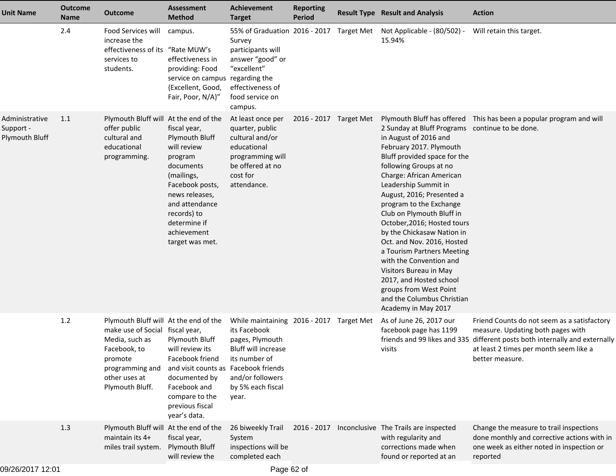| <b>Unit Name</b>                              | <b>Outcome</b><br>Name | <b>Outcome</b>                                                                                                                                                               | <b>Assessment</b><br><b>Method</b>                                                                                                                                                                          | <b>Achievement</b><br><b>Target</b>                                                                                                                                          | <b>Reporting</b><br><b>Period</b> | <b>Result Type Result and Analysis</b>                                                                                                                                                                                                                                                                                                                                                                                                                                                                                                                                                         | <b>Action</b>                                                                                                                                                                                   |
|-----------------------------------------------|------------------------|------------------------------------------------------------------------------------------------------------------------------------------------------------------------------|-------------------------------------------------------------------------------------------------------------------------------------------------------------------------------------------------------------|------------------------------------------------------------------------------------------------------------------------------------------------------------------------------|-----------------------------------|------------------------------------------------------------------------------------------------------------------------------------------------------------------------------------------------------------------------------------------------------------------------------------------------------------------------------------------------------------------------------------------------------------------------------------------------------------------------------------------------------------------------------------------------------------------------------------------------|-------------------------------------------------------------------------------------------------------------------------------------------------------------------------------------------------|
|                                               | 2.4                    | Food Services will<br>increase the<br>effectiveness of its "Rate MUW's<br>services to<br>students.                                                                           | campus.<br>effectiveness in<br>providing: Food<br>service on campus regarding the<br>{Excellent, Good,<br>Fair, Poor, N/A}"                                                                                 | Survey<br>participants will<br>answer "good" or<br>"excellent"<br>effectiveness of<br>food service on<br>campus.                                                             |                                   | 55% of Graduation 2016 - 2017 Target Met Not Applicable - (80/502) -<br>15.94%                                                                                                                                                                                                                                                                                                                                                                                                                                                                                                                 | Will retain this target.                                                                                                                                                                        |
| Administrative<br>Support -<br>Plymouth Bluff | 1.1                    | Plymouth Bluff will At the end of the<br>offer public<br>cultural and<br>educational<br>programming.                                                                         | fiscal year,<br>Plymouth Bluff<br>will review<br>program<br>documents<br>(mailings,<br>Facebook posts,<br>news releases,<br>and attendance<br>records) to<br>determine if<br>achievement<br>target was met. | At least once per<br>quarter, public<br>cultural and/or<br>educational<br>programming will<br>be offered at no<br>cost for<br>attendance.                                    | 2016 - 2017 Target Met            | 2 Sunday at Bluff Programs continue to be done.<br>in August of 2016 and<br>February 2017. Plymouth<br>Bluff provided space for the<br>following Groups at no<br>Charge: African American<br>Leadership Summit in<br>August, 2016; Presented a<br>program to the Exchange<br>Club on Plymouth Bluff in<br>October, 2016; Hosted tours<br>by the Chickasaw Nation in<br>Oct. and Nov. 2016, Hosted<br>a Tourism Partners Meeting<br>with the Convention and<br>Visitors Bureau in May<br>2017, and Hosted school<br>groups from West Point<br>and the Columbus Christian<br>Academy in May 2017 | Plymouth Bluff has offered This has been a popular program and will                                                                                                                             |
|                                               | $1.2$                  | Plymouth Bluff will At the end of the<br>make use of Social fiscal year,<br>Media, such as<br>Facebook, to<br>promote<br>programming and<br>other uses at<br>Plymouth Bluff. | <b>Plymouth Bluff</b><br>will review its<br>Facebook friend<br>and visit counts as Facebook friends<br>documented by<br>Facebook and<br>compare to the<br>previous fiscal<br>year's data.                   | While maintaining 2016 - 2017 Target Met<br>its Facebook<br>pages, Plymouth<br><b>Bluff will increase</b><br>its number of<br>and/or followers<br>by 5% each fiscal<br>year. |                                   | As of June 26, 2017 our<br>facebook page has 1199<br>friends and 99 likes and 335<br>visits                                                                                                                                                                                                                                                                                                                                                                                                                                                                                                    | Friend Counts do not seem as a satisfactory<br>measure. Updating both pages with<br>different posts both internally and externally<br>at least 2 times per month seem like a<br>better measure. |
|                                               | 1.3                    | Plymouth Bluff will At the end of the<br>maintain its 4+<br>miles trail system.                                                                                              | fiscal year,<br><b>Plymouth Bluff</b><br>will review the                                                                                                                                                    | 26 biweekly Trail<br>System<br>inspections will be<br>completed each                                                                                                         |                                   | 2016 - 2017 Inconclusive The Trails are inspected<br>with regularity and<br>corrections made when<br>found or reported at an                                                                                                                                                                                                                                                                                                                                                                                                                                                                   | Change the measure to trail inspections<br>done monthly and corrective actions with in<br>one week as either noted in inspection or<br>reported                                                 |
| 09/26/2017 12:01                              |                        |                                                                                                                                                                              |                                                                                                                                                                                                             | Page 62 of                                                                                                                                                                   |                                   |                                                                                                                                                                                                                                                                                                                                                                                                                                                                                                                                                                                                |                                                                                                                                                                                                 |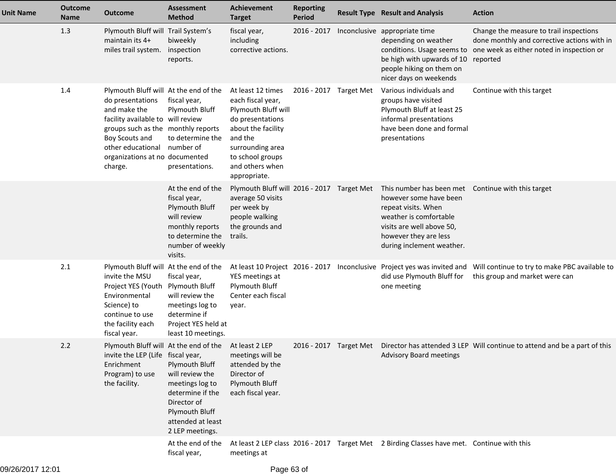| <b>Unit Name</b> | <b>Outcome</b><br><b>Name</b> | <b>Outcome</b>                                                                                                                                                                                                                           | <b>Assessment</b><br><b>Method</b>                                                                                                                                                                        | <b>Achievement</b><br><b>Target</b>                                                                                                                                                           | <b>Reporting</b><br>Period | <b>Result Type Result and Analysis</b>                                                                                                                                                                                                                      | <b>Action</b>                                                                                                                                   |
|------------------|-------------------------------|------------------------------------------------------------------------------------------------------------------------------------------------------------------------------------------------------------------------------------------|-----------------------------------------------------------------------------------------------------------------------------------------------------------------------------------------------------------|-----------------------------------------------------------------------------------------------------------------------------------------------------------------------------------------------|----------------------------|-------------------------------------------------------------------------------------------------------------------------------------------------------------------------------------------------------------------------------------------------------------|-------------------------------------------------------------------------------------------------------------------------------------------------|
|                  | 1.3                           | Plymouth Bluff will Trail System's<br>maintain its 4+<br>miles trail system.                                                                                                                                                             | biweekly<br>inspection<br>reports.                                                                                                                                                                        | fiscal year,<br>including<br>corrective actions.                                                                                                                                              | 2016 - 2017                | Inconclusive appropriate time<br>depending on weather<br>conditions. Usage seems to<br>be high with upwards of 10<br>people hiking on them on<br>nicer days on weekends                                                                                     | Change the measure to trail inspections<br>done monthly and corrective actions with in<br>one week as either noted in inspection or<br>reported |
|                  | 1.4                           | Plymouth Bluff will At the end of the<br>do presentations<br>and make the<br>facility available to will review<br>groups such as the monthly reports<br>Boy Scouts and<br>other educational<br>organizations at no documented<br>charge. | fiscal year,<br>Plymouth Bluff<br>to determine the<br>number of<br>presentations.                                                                                                                         | At least 12 times<br>each fiscal year,<br>Plymouth Bluff will<br>do presentations<br>about the facility<br>and the<br>surrounding area<br>to school groups<br>and others when<br>appropriate. | 2016 - 2017 Target Met     | Various individuals and<br>groups have visited<br>Plymouth Bluff at least 25<br>informal presentations<br>have been done and formal<br>presentations                                                                                                        | Continue with this target                                                                                                                       |
|                  |                               |                                                                                                                                                                                                                                          | At the end of the<br>fiscal year,<br>Plymouth Bluff<br>will review<br>monthly reports<br>to determine the<br>number of weekly<br>visits.                                                                  | average 50 visits<br>per week by<br>people walking<br>the grounds and<br>trails.                                                                                                              |                            | Plymouth Bluff will 2016 - 2017 Target Met This number has been met Continue with this target<br>however some have been<br>repeat visits. When<br>weather is comfortable<br>visits are well above 50,<br>however they are less<br>during inclement weather. |                                                                                                                                                 |
|                  | 2.1                           | Plymouth Bluff will At the end of the<br>invite the MSU<br>Project YES (Youth Plymouth Bluff<br>Environmental<br>Science) to<br>continue to use<br>the facility each<br>fiscal year.                                                     | fiscal year,<br>will review the<br>meetings log to<br>determine if<br>Project YES held at<br>least 10 meetings.                                                                                           | YES meetings at<br>Plymouth Bluff<br>Center each fiscal<br>year.                                                                                                                              |                            | At least 10 Project 2016 - 2017 Inconclusive Project yes was invited and<br>did use Plymouth Bluff for<br>one meeting                                                                                                                                       | Will continue to try to make PBC available to<br>this group and market were can                                                                 |
|                  | 2.2                           | invite the LEP (Life fiscal year,<br>Enrichment<br>Program) to use<br>the facility.                                                                                                                                                      | Plymouth Bluff will At the end of the At least 2 LEP<br>Plymouth Bluff<br>will review the<br>meetings log to<br>determine if the<br>Director of<br>Plymouth Bluff<br>attended at least<br>2 LEP meetings. | meetings will be<br>attended by the<br>Director of<br>Plymouth Bluff<br>each fiscal year.                                                                                                     |                            | <b>Advisory Board meetings</b>                                                                                                                                                                                                                              | 2016 - 2017 Target Met Director has attended 3 LEP Will continue to attend and be a part of this                                                |
|                  |                               |                                                                                                                                                                                                                                          | At the end of the<br>fiscal year,                                                                                                                                                                         | meetings at                                                                                                                                                                                   |                            | At least 2 LEP class 2016 - 2017 Target Met 2 Birding Classes have met. Continue with this                                                                                                                                                                  |                                                                                                                                                 |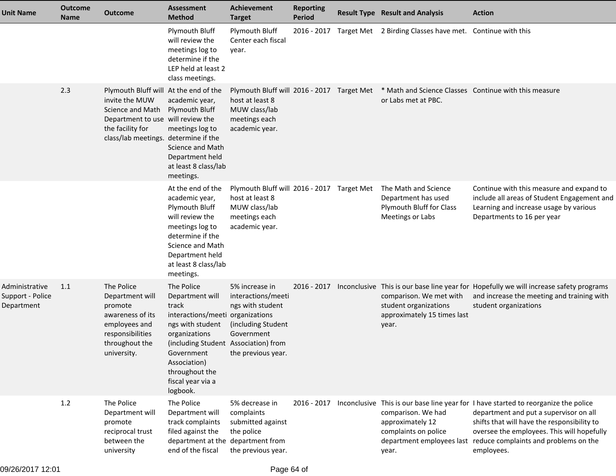| <b>Unit Name</b>                                 | <b>Outcome</b><br><b>Name</b> | <b>Outcome</b>                                                                                                                                                               | <b>Assessment</b><br><b>Method</b>                                                                                                                                                                                                       | <b>Achievement</b><br><b>Target</b>                                                                                | <b>Reporting</b><br><b>Period</b> | <b>Result Type Result and Analysis</b>                                                               | <b>Action</b>                                                                                                                                                                                                                                                                     |
|--------------------------------------------------|-------------------------------|------------------------------------------------------------------------------------------------------------------------------------------------------------------------------|------------------------------------------------------------------------------------------------------------------------------------------------------------------------------------------------------------------------------------------|--------------------------------------------------------------------------------------------------------------------|-----------------------------------|------------------------------------------------------------------------------------------------------|-----------------------------------------------------------------------------------------------------------------------------------------------------------------------------------------------------------------------------------------------------------------------------------|
|                                                  |                               |                                                                                                                                                                              | Plymouth Bluff<br>will review the<br>meetings log to<br>determine if the<br>LEP held at least 2<br>class meetings.                                                                                                                       | Plymouth Bluff<br>Center each fiscal<br>year.                                                                      |                                   | 2016 - 2017 Target Met 2 Birding Classes have met. Continue with this                                |                                                                                                                                                                                                                                                                                   |
|                                                  | 2.3                           | Plymouth Bluff will At the end of the<br>invite the MUW<br>Science and Math<br>Department to use will review the<br>the facility for<br>class/lab meetings. determine if the | academic year,<br>Plymouth Bluff<br>meetings log to<br>Science and Math<br>Department held<br>at least 8 class/lab<br>meetings.                                                                                                          | Plymouth Bluff will 2016 - 2017 Target Met<br>host at least 8<br>MUW class/lab<br>meetings each<br>academic year.  |                                   | * Math and Science Classes Continue with this measure<br>or Labs met at PBC.                         |                                                                                                                                                                                                                                                                                   |
|                                                  |                               |                                                                                                                                                                              | At the end of the<br>academic year,<br>Plymouth Bluff<br>will review the<br>meetings log to<br>determine if the<br>Science and Math<br>Department held<br>at least 8 class/lab<br>meetings.                                              | Plymouth Bluff will 2016 - 2017 Target Met<br>host at least 8<br>MUW class/lab<br>meetings each<br>academic year.  |                                   | The Math and Science<br>Department has used<br>Plymouth Bluff for Class<br>Meetings or Labs          | Continue with this measure and expand to<br>include all areas of Student Engagement and<br>Learning and increase usage by various<br>Departments to 16 per year                                                                                                                   |
| Administrative<br>Support - Police<br>Department | 1.1                           | The Police<br>Department will<br>promote<br>awareness of its<br>employees and<br>responsibilities<br>throughout the<br>university.                                           | The Police<br>Department will<br>track<br>interactions/meeti organizations<br>ngs with student<br>organizations<br>(including Student Association) from<br>Government<br>Association)<br>throughout the<br>fiscal year via a<br>logbook. | 5% increase in<br>interactions/meeti<br>ngs with student<br>(including Student<br>Government<br>the previous year. | 2016 - 2017                       | comparison. We met with<br>student organizations<br>approximately 15 times last<br>year.             | Inconclusive This is our base line year for Hopefully we will increase safety programs<br>and increase the meeting and training with<br>student organizations                                                                                                                     |
|                                                  | 1.2                           | The Police<br>Department will<br>promote<br>reciprocal trust<br>between the<br>university                                                                                    | The Police<br>Department will<br>track complaints<br>filed against the<br>department at the department from<br>end of the fiscal                                                                                                         | 5% decrease in<br>complaints<br>submitted against<br>the police<br>the previous year.                              | 2016 - 2017                       | comparison. We had<br>approximately 12<br>complaints on police<br>department employees last<br>year. | Inconclusive This is our base line year for I have started to reorganize the police<br>department and put a supervisor on all<br>shifts that will have the responsibility to<br>oversee the employees. This will hopefully<br>reduce complaints and problems on the<br>employees. |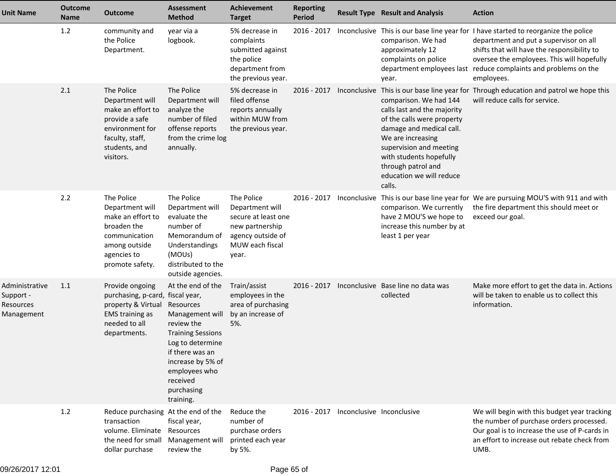| <b>Unit Name</b>                                       | <b>Outcome</b><br><b>Name</b> | <b>Outcome</b>                                                                                                                           | <b>Assessment</b><br><b>Method</b>                                                                                                                                                                              | <b>Achievement</b><br><b>Target</b>                                                                                      | <b>Reporting</b><br><b>Period</b> |                                       | <b>Result Type Result and Analysis</b>                                                                                                                                                                                                                 | <b>Action</b>                                                                                                                                                                                                                                                                     |
|--------------------------------------------------------|-------------------------------|------------------------------------------------------------------------------------------------------------------------------------------|-----------------------------------------------------------------------------------------------------------------------------------------------------------------------------------------------------------------|--------------------------------------------------------------------------------------------------------------------------|-----------------------------------|---------------------------------------|--------------------------------------------------------------------------------------------------------------------------------------------------------------------------------------------------------------------------------------------------------|-----------------------------------------------------------------------------------------------------------------------------------------------------------------------------------------------------------------------------------------------------------------------------------|
|                                                        | 1.2                           | community and<br>the Police<br>Department.                                                                                               | year via a<br>logbook.                                                                                                                                                                                          | 5% decrease in<br>complaints<br>submitted against<br>the police<br>department from<br>the previous year.                 | 2016 - 2017                       |                                       | comparison. We had<br>approximately 12<br>complaints on police<br>department employees last<br>year.                                                                                                                                                   | Inconclusive This is our base line year for I have started to reorganize the police<br>department and put a supervisor on all<br>shifts that will have the responsibility to<br>oversee the employees. This will hopefully<br>reduce complaints and problems on the<br>employees. |
|                                                        | 2.1                           | The Police<br>Department will<br>make an effort to<br>provide a safe<br>environment for<br>faculty, staff,<br>students, and<br>visitors. | The Police<br>Department will<br>analyze the<br>number of filed<br>offense reports<br>from the crime log<br>annually.                                                                                           | 5% decrease in<br>filed offense<br>reports annually<br>within MUW from<br>the previous year.                             | $2016 - 2017$                     | Inconclusive                          | comparison. We had 144<br>calls last and the majority<br>of the calls were property<br>damage and medical call.<br>We are increasing<br>supervision and meeting<br>with students hopefully<br>through patrol and<br>education we will reduce<br>calls. | This is our base line year for Through education and patrol we hope this<br>will reduce calls for service.                                                                                                                                                                        |
|                                                        | 2.2                           | The Police<br>Department will<br>make an effort to<br>broaden the<br>communication<br>among outside<br>agencies to<br>promote safety.    | The Police<br>Department will<br>evaluate the<br>number of<br>Memorandum of<br><b>Understandings</b><br>(MOUs)<br>distributed to the<br>outside agencies.                                                       | The Police<br>Department will<br>secure at least one<br>new partnership<br>agency outside of<br>MUW each fiscal<br>year. | 2016 - 2017                       | Inconclusive                          | comparison. We currently<br>have 2 MOU'S we hope to<br>increase this number by at<br>least 1 per year                                                                                                                                                  | This is our base line year for We are pursuing MOU'S with 911 and with<br>the fire department this should meet or<br>exceed our goal.                                                                                                                                             |
| Administrative<br>Support -<br>Resources<br>Management | 1.1                           | Provide ongoing<br>purchasing, p-card, fiscal year,<br>property & Virtual<br><b>EMS</b> training as<br>needed to all<br>departments.     | At the end of the<br>Resources<br>Management will<br>review the<br><b>Training Sessions</b><br>Log to determine<br>if there was an<br>increase by 5% of<br>employees who<br>received<br>purchasing<br>training. | Train/assist<br>employees in the<br>area of purchasing<br>by an increase of<br>5%.                                       | $2016 - 2017$                     |                                       | Inconclusive Base line no data was<br>collected                                                                                                                                                                                                        | Make more effort to get the data in. Actions<br>will be taken to enable us to collect this<br>information.                                                                                                                                                                        |
|                                                        | $1.2$                         | Reduce purchasing At the end of the<br>transaction<br>volume. Eliminate<br>the need for small<br>dollar purchase                         | fiscal year,<br>Resources<br>Management will<br>review the                                                                                                                                                      | Reduce the<br>number of<br>purchase orders<br>printed each year<br>by 5%.                                                |                                   | 2016 - 2017 Inconclusive Inconclusive |                                                                                                                                                                                                                                                        | We will begin with this budget year tracking<br>the number of purchase orders processed.<br>Our goal is to increase the use of P-cards in<br>an effort to increase out rebate check from<br>UMB.                                                                                  |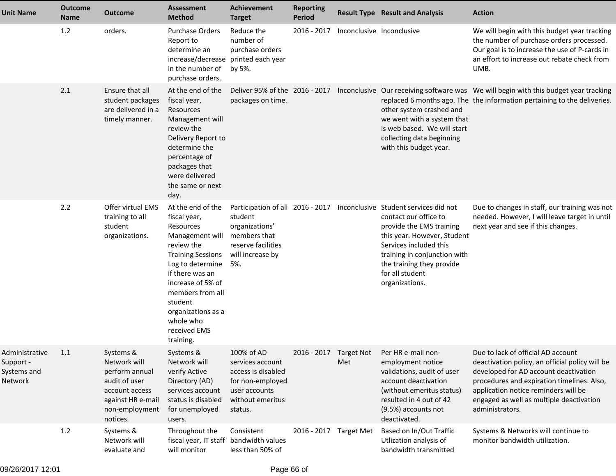| <b>Unit Name</b>                                      | <b>Outcome</b><br><b>Name</b> | <b>Outcome</b>                                                                                                                    | <b>Assessment</b><br><b>Method</b>                                                                                                                                                                                                                                     | <b>Achievement</b><br><b>Target</b>                                                                                      | <b>Reporting</b><br><b>Period</b> |                           | <b>Result Type Result and Analysis</b>                                                                                                                                                                                                                                                 | <b>Action</b>                                                                                                                                                                                                                                                                       |
|-------------------------------------------------------|-------------------------------|-----------------------------------------------------------------------------------------------------------------------------------|------------------------------------------------------------------------------------------------------------------------------------------------------------------------------------------------------------------------------------------------------------------------|--------------------------------------------------------------------------------------------------------------------------|-----------------------------------|---------------------------|----------------------------------------------------------------------------------------------------------------------------------------------------------------------------------------------------------------------------------------------------------------------------------------|-------------------------------------------------------------------------------------------------------------------------------------------------------------------------------------------------------------------------------------------------------------------------------------|
|                                                       | 1.2                           | orders.                                                                                                                           | <b>Purchase Orders</b><br>Report to<br>determine an<br>increase/decrease printed each year<br>in the number of<br>purchase orders.                                                                                                                                     | Reduce the<br>number of<br>purchase orders<br>by 5%.                                                                     | $2016 - 2017$                     | Inconclusive Inconclusive |                                                                                                                                                                                                                                                                                        | We will begin with this budget year tracking<br>the number of purchase orders processed.<br>Our goal is to increase the use of P-cards in<br>an effort to increase out rebate check from<br>UMB.                                                                                    |
|                                                       | 2.1                           | Ensure that all<br>student packages<br>are delivered in a<br>timely manner.                                                       | At the end of the<br>fiscal year,<br>Resources<br>Management will<br>review the<br>Delivery Report to<br>determine the<br>percentage of<br>packages that<br>were delivered<br>the same or next<br>day.                                                                 | packages on time.                                                                                                        |                                   |                           | other system crashed and<br>we went with a system that<br>is web based. We will start<br>collecting data beginning<br>with this budget year.                                                                                                                                           | Deliver 95% of the 2016 - 2017 Inconclusive Our receiving software was We will begin with this budget year tracking<br>replaced 6 months ago. The the information pertaining to the deliveries.                                                                                     |
|                                                       | 2.2                           | <b>Offer virtual EMS</b><br>training to all<br>student<br>organizations.                                                          | At the end of the<br>fiscal year,<br>Resources<br>Management will<br>review the<br><b>Training Sessions</b><br>Log to determine<br>if there was an<br>increase of 5% of<br>members from all<br>student<br>organizations as a<br>whole who<br>received EMS<br>training. | student<br>organizations'<br>members that<br>reserve facilities<br>will increase by<br>5%.                               |                                   |                           | Participation of all 2016 - 2017 Inconclusive Student services did not<br>contact our office to<br>provide the EMS training<br>this year. However, Student<br>Services included this<br>training in conjunction with<br>the training they provide<br>for all student<br>organizations. | Due to changes in staff, our training was not<br>needed. However, I will leave target in until<br>next year and see if this changes.                                                                                                                                                |
| Administrative<br>Support -<br>Systems and<br>Network | 1.1                           | Systems &<br>Network will<br>perform annual<br>audit of user<br>account access<br>against HR e-mail<br>non-employment<br>notices. | Systems &<br>Network will<br>verify Active<br>Directory (AD)<br>services account<br>status is disabled<br>for unemployed<br>users.                                                                                                                                     | 100% of AD<br>services account<br>access is disabled<br>for non-employed<br>user accounts<br>without emeritus<br>status. | 2016 - 2017 Target Not            | Met                       | Per HR e-mail non-<br>employment notice<br>validations, audit of user<br>account deactivation<br>(without emeritus status)<br>resulted in 4 out of 42<br>(9.5%) accounts not<br>deactivated.                                                                                           | Due to lack of official AD account<br>deactivation policy, an official policy will be<br>developed for AD account deactivation<br>procedures and expiration timelines. Also,<br>application notice reminders will be<br>engaged as well as multiple deactivation<br>administrators. |
|                                                       | 1.2                           | Systems &<br>Network will<br>evaluate and                                                                                         | Throughout the<br>fiscal year, IT staff bandwidth values<br>will monitor                                                                                                                                                                                               | Consistent<br>less than 50% of                                                                                           | 2016 - 2017 Target Met            |                           | Based on In/Out Traffic<br>Utlization analysis of<br>bandwidth transmitted                                                                                                                                                                                                             | Systems & Networks will continue to<br>monitor bandwidth utilization.                                                                                                                                                                                                               |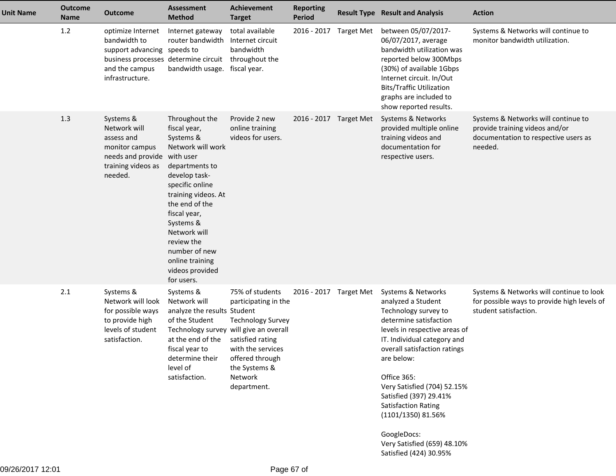| <b>Unit Name</b> | <b>Outcome</b><br><b>Name</b> | <b>Outcome</b>                                                                                                                                | <b>Assessment</b><br><b>Method</b>                                                                                                                                                                                                                                                                           | Achievement<br><b>Target</b>                                                                                                                                               | <b>Reporting</b><br><b>Period</b> |                   | <b>Result Type Result and Analysis</b>                                                                                                                                                                                                                                                                                                                                                                | <b>Action</b>                                                                                                            |
|------------------|-------------------------------|-----------------------------------------------------------------------------------------------------------------------------------------------|--------------------------------------------------------------------------------------------------------------------------------------------------------------------------------------------------------------------------------------------------------------------------------------------------------------|----------------------------------------------------------------------------------------------------------------------------------------------------------------------------|-----------------------------------|-------------------|-------------------------------------------------------------------------------------------------------------------------------------------------------------------------------------------------------------------------------------------------------------------------------------------------------------------------------------------------------------------------------------------------------|--------------------------------------------------------------------------------------------------------------------------|
|                  | 1.2                           | optimize Internet<br>bandwidth to<br>support advancing speeds to<br>business processes determine circuit<br>and the campus<br>infrastructure. | Internet gateway<br>router bandwidth<br>bandwidth usage. fiscal year.                                                                                                                                                                                                                                        | total available<br>Internet circuit<br>bandwidth<br>throughout the                                                                                                         | 2016 - 2017                       | <b>Target Met</b> | between 05/07/2017-<br>06/07/2017, average<br>bandwidth utilization was<br>reported below 300Mbps<br>(30%) of available 1Gbps<br>Internet circuit. In/Out<br><b>Bits/Traffic Utilization</b><br>graphs are included to<br>show reported results.                                                                                                                                                      | Systems & Networks will continue to<br>monitor bandwidth utilization.                                                    |
|                  | 1.3                           | Systems &<br>Network will<br>assess and<br>monitor campus<br>needs and provide<br>training videos as<br>needed.                               | Throughout the<br>fiscal year,<br>Systems &<br>Network will work<br>with user<br>departments to<br>develop task-<br>specific online<br>training videos. At<br>the end of the<br>fiscal year,<br>Systems &<br>Network will<br>review the<br>number of new<br>online training<br>videos provided<br>for users. | Provide 2 new<br>online training<br>videos for users.                                                                                                                      | 2016 - 2017 Target Met            |                   | Systems & Networks<br>provided multiple online<br>training videos and<br>documentation for<br>respective users.                                                                                                                                                                                                                                                                                       | Systems & Networks will continue to<br>provide training videos and/or<br>documentation to respective users as<br>needed. |
|                  | 2.1                           | Systems &<br>Network will look<br>for possible ways<br>to provide high<br>levels of student<br>satisfaction.                                  | Systems &<br>Network will<br>analyze the results Student<br>of the Student<br>Technology survey will give an overall<br>at the end of the<br>fiscal year to<br>determine their<br>level of<br>satisfaction.                                                                                                  | 75% of students<br>participating in the<br><b>Technology Survey</b><br>satisfied rating<br>with the services<br>offered through<br>the Systems &<br>Network<br>department. | 2016 - 2017 Target Met            |                   | Systems & Networks<br>analyzed a Student<br>Technology survey to<br>determine satisfaction<br>levels in respective areas of<br>IT. Individual category and<br>overall satisfaction ratings<br>are below:<br>Office 365:<br>Very Satisfied (704) 52.15%<br>Satisfied (397) 29.41%<br>Satisfaction Rating<br>(1101/1350) 81.56%<br>GoogleDocs:<br>Very Satisfied (659) 48.10%<br>Satisfied (424) 30.95% | Systems & Networks will continue to look<br>for possible ways to provide high levels of<br>student satisfaction.         |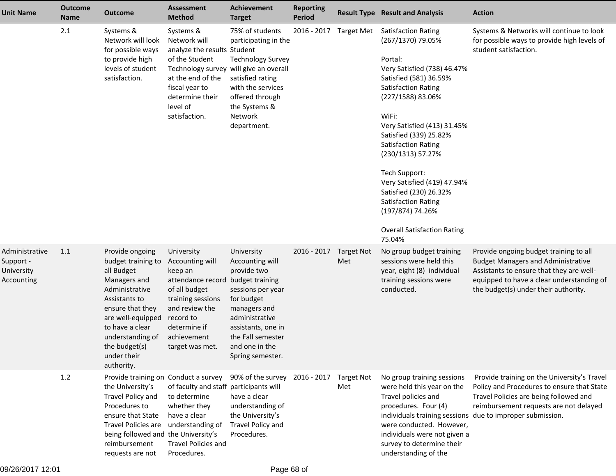| Unit Name                                               | <b>Outcome</b><br><b>Name</b> | <b>Outcome</b>                                                                                                                                                                                                                       | <b>Assessment</b><br><b>Method</b>                                                                                                                                                   | <b>Achievement</b><br><b>Target</b>                                                                                                                                                                                   | <b>Reporting</b><br><b>Period</b> |     | <b>Result Type Result and Analysis</b>                                                                                                                                                                                                                                                                                                                                                                                                                                  | <b>Action</b>                                                                                                                                                                                                        |
|---------------------------------------------------------|-------------------------------|--------------------------------------------------------------------------------------------------------------------------------------------------------------------------------------------------------------------------------------|--------------------------------------------------------------------------------------------------------------------------------------------------------------------------------------|-----------------------------------------------------------------------------------------------------------------------------------------------------------------------------------------------------------------------|-----------------------------------|-----|-------------------------------------------------------------------------------------------------------------------------------------------------------------------------------------------------------------------------------------------------------------------------------------------------------------------------------------------------------------------------------------------------------------------------------------------------------------------------|----------------------------------------------------------------------------------------------------------------------------------------------------------------------------------------------------------------------|
|                                                         | 2.1                           | Systems &<br>Network will look<br>for possible ways<br>to provide high<br>levels of student<br>satisfaction.                                                                                                                         | Systems &<br>Network will<br>analyze the results Student<br>of the Student<br>at the end of the<br>fiscal year to<br>determine their<br>level of<br>satisfaction.                    | 75% of students<br>participating in the<br><b>Technology Survey</b><br>Technology survey will give an overall<br>satisfied rating<br>with the services<br>offered through<br>the Systems &<br>Network<br>department.  | 2016 - 2017 Target Met            |     | <b>Satisfaction Rating</b><br>(267/1370) 79.05%<br>Portal:<br>Very Satisfied (738) 46.47%<br>Satisfied (581) 36.59%<br><b>Satisfaction Rating</b><br>(227/1588) 83.06%<br>WiFi:<br>Very Satisfied (413) 31.45%<br>Satisfied (339) 25.82%<br><b>Satisfaction Rating</b><br>(230/1313) 57.27%<br>Tech Support:<br>Very Satisfied (419) 47.94%<br>Satisfied (230) 26.32%<br><b>Satisfaction Rating</b><br>(197/874) 74.26%<br><b>Overall Satisfaction Rating</b><br>75.04% | Systems & Networks will continue to look<br>for possible ways to provide high levels of<br>student satisfaction.                                                                                                     |
| Administrative<br>Support -<br>University<br>Accounting | 1.1                           | Provide ongoing<br>budget training to<br>all Budget<br>Managers and<br>Administrative<br>Assistants to<br>ensure that they<br>are well-equipped<br>to have a clear<br>understanding of<br>the budget(s)<br>under their<br>authority. | University<br>Accounting will<br>keep an<br>attendance record<br>of all budget<br>training sessions<br>and review the<br>record to<br>determine if<br>achievement<br>target was met. | University<br>Accounting will<br>provide two<br>budget training<br>sessions per year<br>for budget<br>managers and<br>administrative<br>assistants, one in<br>the Fall semester<br>and one in the<br>Spring semester. | 2016 - 2017 Target Not            | Met | No group budget training<br>sessions were held this<br>year, eight (8) individual<br>training sessions were<br>conducted.                                                                                                                                                                                                                                                                                                                                               | Provide ongoing budget training to all<br><b>Budget Managers and Administrative</b><br>Assistants to ensure that they are well-<br>equipped to have a clear understanding of<br>the budget(s) under their authority. |
|                                                         | 1.2                           | Provide training on Conduct a survey<br>the University's<br>Travel Policy and<br>Procedures to<br>ensure that State<br><b>Travel Policies are</b><br>being followed and the University's<br>reimbursement<br>requests are not        | of faculty and staff participants will<br>to determine<br>whether they<br>have a clear<br>understanding of<br><b>Travel Policies and</b><br>Procedures.                              | 90% of the survey 2016 - 2017 Target Not<br>have a clear<br>understanding of<br>the University's<br>Travel Policy and<br>Procedures.                                                                                  |                                   | Met | No group training sessions<br>were held this year on the<br>Travel policies and<br>procedures. Four (4)<br>individuals training sessions<br>were conducted. However,<br>individuals were not given a<br>survey to determine their<br>understanding of the                                                                                                                                                                                                               | Provide training on the University's Travel<br>Policy and Procedures to ensure that State<br>Travel Policies are being followed and<br>reimbursement requests are not delayed<br>due to improper submission.         |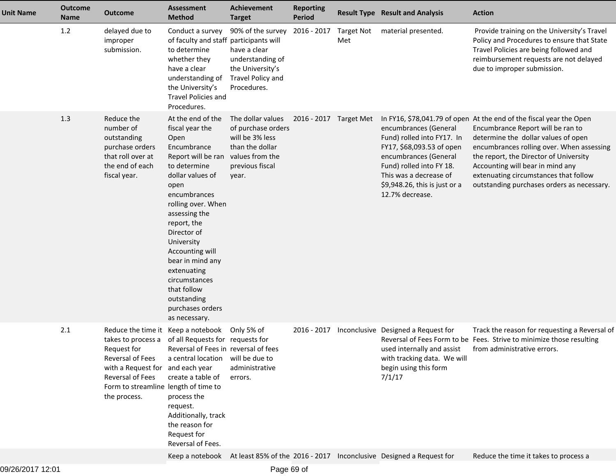| <b>Unit Name</b> | <b>Outcome</b><br>Name | <b>Outcome</b>                                                                                                                                                                                              | <b>Assessment</b><br><b>Method</b>                                                                                                                                                                                                                                                                                                                                         | Achievement<br><b>Target</b>                                                                                                 | <b>Reporting</b><br><b>Period</b> |                   | <b>Result Type Result and Analysis</b>                                                                                                                                                                              | <b>Action</b>                                                                                                                                                                                                                                                                                                                                                     |
|------------------|------------------------|-------------------------------------------------------------------------------------------------------------------------------------------------------------------------------------------------------------|----------------------------------------------------------------------------------------------------------------------------------------------------------------------------------------------------------------------------------------------------------------------------------------------------------------------------------------------------------------------------|------------------------------------------------------------------------------------------------------------------------------|-----------------------------------|-------------------|---------------------------------------------------------------------------------------------------------------------------------------------------------------------------------------------------------------------|-------------------------------------------------------------------------------------------------------------------------------------------------------------------------------------------------------------------------------------------------------------------------------------------------------------------------------------------------------------------|
|                  | 1.2                    | delayed due to<br>improper<br>submission.                                                                                                                                                                   | Conduct a survey<br>of faculty and staff participants will<br>to determine<br>whether they<br>have a clear<br>understanding of<br>the University's<br>Travel Policies and<br>Procedures.                                                                                                                                                                                   | 90% of the survey<br>have a clear<br>understanding of<br>the University's<br>Travel Policy and<br>Procedures.                | 2016 - 2017                       | Target Not<br>Met | material presented.                                                                                                                                                                                                 | Provide training on the University's Travel<br>Policy and Procedures to ensure that State<br>Travel Policies are being followed and<br>reimbursement requests are not delayed<br>due to improper submission.                                                                                                                                                      |
|                  | 1.3                    | Reduce the<br>number of<br>outstanding<br>purchase orders<br>that roll over at<br>the end of each<br>fiscal year.                                                                                           | At the end of the<br>fiscal year the<br>Open<br>Encumbrance<br>Report will be ran<br>to determine<br>dollar values of<br>open<br>encumbrances<br>rolling over. When<br>assessing the<br>report, the<br>Director of<br>University<br>Accounting will<br>bear in mind any<br>extenuating<br>circumstances<br>that follow<br>outstanding<br>purchases orders<br>as necessary. | The dollar values<br>of purchase orders<br>will be 3% less<br>than the dollar<br>values from the<br>previous fiscal<br>year. | 2016 - 2017 Target Met            |                   | encumbrances (General<br>Fund) rolled into FY17. In<br>FY17, \$68,093.53 of open<br>encumbrances (General<br>Fund) rolled into FY 18.<br>This was a decrease of<br>\$9,948.26, this is just or a<br>12.7% decrease. | In FY16, \$78,041.79 of open At the end of the fiscal year the Open<br>Encumbrance Report will be ran to<br>determine the dollar values of open<br>encumbrances rolling over. When assessing<br>the report, the Director of University<br>Accounting will bear in mind any<br>extenuating circumstances that follow<br>outstanding purchases orders as necessary. |
|                  | 2.1                    | Reduce the time it Keep a notebook<br>takes to process a<br>Request for<br>Reversal of Fees<br>with a Request for and each year<br>Reversal of Fees<br>Form to streamline length of time to<br>the process. | of all Requests for requests for<br>Reversal of Fees in reversal of fees<br>a central location<br>create a table of<br>process the<br>request.<br>Additionally, track<br>the reason for<br>Request for<br>Reversal of Fees.                                                                                                                                                | Only 5% of<br>will be due to<br>administrative<br>errors.                                                                    | $2016 - 2017$                     |                   | Inconclusive Designed a Request for<br>used internally and assist<br>with tracking data. We will<br>begin using this form<br>7/1/17                                                                                 | Track the reason for requesting a Reversal of<br>Reversal of Fees Form to be Fees. Strive to minimize those resulting<br>from administrative errors.                                                                                                                                                                                                              |
|                  |                        |                                                                                                                                                                                                             |                                                                                                                                                                                                                                                                                                                                                                            |                                                                                                                              |                                   |                   | Keep a notebook At least 85% of the 2016 - 2017 Inconclusive Designed a Request for                                                                                                                                 | Reduce the time it takes to process a                                                                                                                                                                                                                                                                                                                             |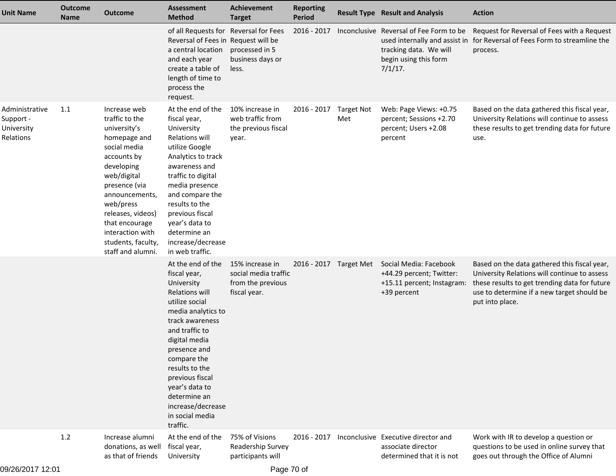| <b>Unit Name</b>                                       | <b>Outcome</b><br><b>Name</b> | <b>Outcome</b>                                                                                                                                                                                                                                                                   | <b>Assessment</b><br><b>Method</b>                                                                                                                                                                                                                                                                                               | <b>Achievement</b><br><b>Target</b>                                          | <b>Reporting</b><br><b>Period</b> |                          | <b>Result Type Result and Analysis</b>                                                                                                    | <b>Action</b>                                                                                                                                                                                                  |
|--------------------------------------------------------|-------------------------------|----------------------------------------------------------------------------------------------------------------------------------------------------------------------------------------------------------------------------------------------------------------------------------|----------------------------------------------------------------------------------------------------------------------------------------------------------------------------------------------------------------------------------------------------------------------------------------------------------------------------------|------------------------------------------------------------------------------|-----------------------------------|--------------------------|-------------------------------------------------------------------------------------------------------------------------------------------|----------------------------------------------------------------------------------------------------------------------------------------------------------------------------------------------------------------|
|                                                        |                               |                                                                                                                                                                                                                                                                                  | of all Requests for Reversal for Fees<br>Reversal of Fees in Request will be<br>a central location<br>and each year<br>create a table of<br>length of time to<br>process the<br>request.                                                                                                                                         | processed in 5<br>business days or<br>less.                                  | 2016 - 2017                       |                          | Inconclusive Reversal of Fee Form to be<br>used internally and assist in<br>tracking data. We will<br>begin using this form<br>$7/1/17$ . | Request for Reversal of Fees with a Request<br>for Reversal of Fees Form to streamline the<br>process.                                                                                                         |
| Administrative<br>Support -<br>University<br>Relations | 1.1                           | Increase web<br>traffic to the<br>university's<br>homepage and<br>social media<br>accounts by<br>developing<br>web/digital<br>presence (via<br>announcements,<br>web/press<br>releases, videos)<br>that encourage<br>interaction with<br>students, faculty,<br>staff and alumni. | At the end of the<br>fiscal year,<br>University<br><b>Relations will</b><br>utilize Google<br>Analytics to track<br>awareness and<br>traffic to digital<br>media presence<br>and compare the<br>results to the<br>previous fiscal<br>year's data to<br>determine an<br>increase/decrease<br>in web traffic.                      | 10% increase in<br>web traffic from<br>the previous fiscal<br>year.          | 2016 - 2017                       | <b>Target Not</b><br>Met | Web: Page Views: +0.75<br>percent; Sessions +2.70<br>percent; Users +2.08<br>percent                                                      | Based on the data gathered this fiscal year,<br>University Relations will continue to assess<br>these results to get trending data for future<br>use.                                                          |
|                                                        |                               |                                                                                                                                                                                                                                                                                  | At the end of the<br>fiscal year,<br>University<br><b>Relations will</b><br>utilize social<br>media analytics to<br>track awareness<br>and traffic to<br>digital media<br>presence and<br>compare the<br>results to the<br>previous fiscal<br>year's data to<br>determine an<br>increase/decrease<br>in social media<br>traffic. | 15% increase in<br>social media traffic<br>from the previous<br>fiscal year. | 2016 - 2017 Target Met            |                          | Social Media: Facebook<br>+44.29 percent; Twitter:<br>+15.11 percent; Instagram:<br>+39 percent                                           | Based on the data gathered this fiscal year,<br>University Relations will continue to assess<br>these results to get trending data for future<br>use to determine if a new target should be<br>put into place. |
|                                                        | $1.2$                         | Increase alumni<br>donations, as well<br>as that of friends                                                                                                                                                                                                                      | At the end of the<br>fiscal year,<br>University                                                                                                                                                                                                                                                                                  | 75% of Visions<br>Readership Survey<br>participants will                     | 2016 - 2017                       |                          | Inconclusive Executive director and<br>associate director<br>determined that it is not                                                    | Work with IR to develop a question or<br>questions to be used in online survey that<br>goes out through the Office of Alumni                                                                                   |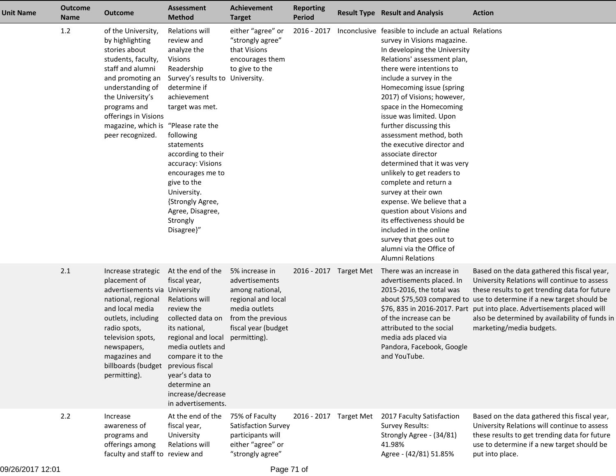| <b>Unit Name</b> | <b>Outcome</b><br><b>Name</b> | <b>Outcome</b>                                                                                                                                                                                                                                                  | <b>Assessment</b><br><b>Method</b>                                                                                                                                                                                                                                                                                                                         | Achievement<br><b>Target</b>                                                                                                                           | <b>Reporting</b><br><b>Period</b> | <b>Result Type Result and Analysis</b>                                                                                                                                                                                                                                                                                                                                                                                                                                                                                                                                                                                                                                                                                                                  | <b>Action</b>                                                                                                                                                                                                                                                                                                                                      |
|------------------|-------------------------------|-----------------------------------------------------------------------------------------------------------------------------------------------------------------------------------------------------------------------------------------------------------------|------------------------------------------------------------------------------------------------------------------------------------------------------------------------------------------------------------------------------------------------------------------------------------------------------------------------------------------------------------|--------------------------------------------------------------------------------------------------------------------------------------------------------|-----------------------------------|---------------------------------------------------------------------------------------------------------------------------------------------------------------------------------------------------------------------------------------------------------------------------------------------------------------------------------------------------------------------------------------------------------------------------------------------------------------------------------------------------------------------------------------------------------------------------------------------------------------------------------------------------------------------------------------------------------------------------------------------------------|----------------------------------------------------------------------------------------------------------------------------------------------------------------------------------------------------------------------------------------------------------------------------------------------------------------------------------------------------|
|                  | 1.2                           | of the University,<br>by highlighting<br>stories about<br>students, faculty,<br>staff and alumni<br>and promoting an<br>understanding of<br>the University's<br>programs and<br>offerings in Visions<br>magazine, which is "Please rate the<br>peer recognized. | Relations will<br>review and<br>analyze the<br><b>Visions</b><br>Readership<br>Survey's results to University.<br>determine if<br>achievement<br>target was met.<br>following<br>statements<br>according to their<br>accuracy: Visions<br>encourages me to<br>give to the<br>University.<br>{Strongly Agree,<br>Agree, Disagree,<br>Strongly<br>Disagree}" | either "agree" or<br>"strongly agree"<br>that Visions<br>encourages them<br>to give to the                                                             | 2016 - 2017                       | Inconclusive feasible to include an actual Relations<br>survey in Visions magazine.<br>In developing the University<br>Relations' assessment plan,<br>there were intentions to<br>include a survey in the<br>Homecoming issue (spring<br>2017) of Visions; however,<br>space in the Homecoming<br>issue was limited. Upon<br>further discussing this<br>assessment method, both<br>the executive director and<br>associate director<br>determined that it was very<br>unlikely to get readers to<br>complete and return a<br>survey at their own<br>expense. We believe that a<br>question about Visions and<br>its effectiveness should be<br>included in the online<br>survey that goes out to<br>alumni via the Office of<br><b>Alumni Relations</b> |                                                                                                                                                                                                                                                                                                                                                    |
|                  | 2.1                           | Increase strategic<br>placement of<br>advertisements via University<br>national, regional<br>and local media<br>outlets, including<br>radio spots,<br>television spots,<br>newspapers,<br>magazines and<br>billboards (budget<br>permitting).                   | At the end of the<br>fiscal year,<br>Relations will<br>review the<br>collected data on<br>its national,<br>regional and local<br>media outlets and<br>compare it to the<br>previous fiscal<br>year's data to<br>determine an<br>increase/decrease<br>in advertisements.                                                                                    | 5% increase in<br>advertisements<br>among national,<br>regional and local<br>media outlets<br>from the previous<br>fiscal year (budget<br>permitting). | 2016 - 2017 Target Met            | There was an increase in<br>advertisements placed. In<br>2015-2016, the total was<br>\$76, 835 in 2016-2017. Part<br>of the increase can be<br>attributed to the social<br>media ads placed via<br>Pandora, Facebook, Google<br>and YouTube.                                                                                                                                                                                                                                                                                                                                                                                                                                                                                                            | Based on the data gathered this fiscal year,<br>University Relations will continue to assess<br>these results to get trending data for future<br>about \$75,503 compared to use to determine if a new target should be<br>put into place. Advertisements placed will<br>also be determined by availability of funds in<br>marketing/media budgets. |
|                  | 2.2                           | Increase<br>awareness of<br>programs and<br>offerings among<br>faculty and staff to review and                                                                                                                                                                  | At the end of the<br>fiscal year,<br>University<br>Relations will                                                                                                                                                                                                                                                                                          | 75% of Faculty<br>Satisfaction Survey<br>participants will<br>either "agree" or<br>"strongly agree"                                                    | 2016 - 2017 Target Met            | 2017 Faculty Satisfaction<br><b>Survey Results:</b><br>Strongly Agree - (34/81)<br>41.98%<br>Agree - (42/81) 51.85%                                                                                                                                                                                                                                                                                                                                                                                                                                                                                                                                                                                                                                     | Based on the data gathered this fiscal year,<br>University Relations will continue to assess<br>these results to get trending data for future<br>use to determine if a new target should be<br>put into place.                                                                                                                                     |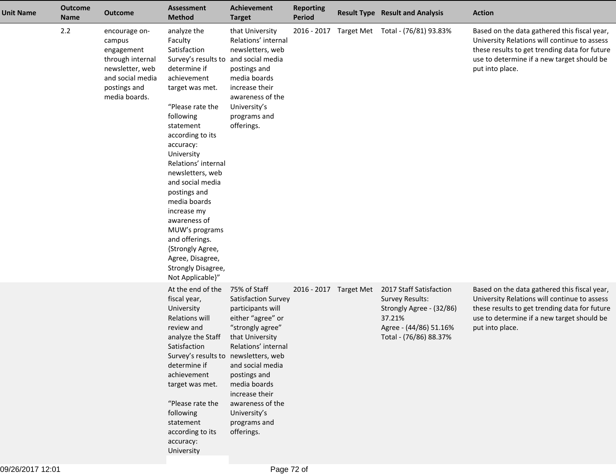| <b>Unit Name</b> | <b>Outcome</b><br><b>Name</b> | <b>Outcome</b>                                                                                                                    | <b>Assessment</b><br><b>Method</b>                                                                                                                                                                                                                                                                                                                                                                                                                                                | <b>Achievement</b><br><b>Target</b>                                                                                                                                                                                                                                                 | <b>Reporting</b><br>Period |                        | <b>Result Type Result and Analysis</b>                                                                                                      | <b>Action</b>                                                                                                                                                                                                  |
|------------------|-------------------------------|-----------------------------------------------------------------------------------------------------------------------------------|-----------------------------------------------------------------------------------------------------------------------------------------------------------------------------------------------------------------------------------------------------------------------------------------------------------------------------------------------------------------------------------------------------------------------------------------------------------------------------------|-------------------------------------------------------------------------------------------------------------------------------------------------------------------------------------------------------------------------------------------------------------------------------------|----------------------------|------------------------|---------------------------------------------------------------------------------------------------------------------------------------------|----------------------------------------------------------------------------------------------------------------------------------------------------------------------------------------------------------------|
|                  | 2.2                           | encourage on-<br>campus<br>engagement<br>through internal<br>newsletter, web<br>and social media<br>postings and<br>media boards. | analyze the<br>Faculty<br>Satisfaction<br>Survey's results to and social media<br>determine if<br>achievement<br>target was met.<br>"Please rate the<br>following<br>statement<br>according to its<br>accuracy:<br>University<br>Relations' internal<br>newsletters, web<br>and social media<br>postings and<br>media boards<br>increase my<br>awareness of<br>MUW's programs<br>and offerings.<br>{Strongly Agree,<br>Agree, Disagree,<br>Strongly Disagree,<br>Not Applicable}" | that University<br>Relations' internal<br>newsletters, web<br>postings and<br>media boards<br>increase their<br>awareness of the<br>University's<br>programs and<br>offerings.                                                                                                      |                            |                        | 2016 - 2017 Target Met Total - (76/81) 93.83%                                                                                               | Based on the data gathered this fiscal year,<br>University Relations will continue to assess<br>these results to get trending data for future<br>use to determine if a new target should be<br>put into place. |
|                  |                               |                                                                                                                                   | At the end of the<br>fiscal year,<br>University<br>Relations will<br>review and<br>analyze the Staff<br>Satisfaction<br>Survey's results to newsletters, web<br>determine if<br>achievement<br>target was met.<br>"Please rate the<br>following<br>statement<br>according to its<br>accuracy:<br>University                                                                                                                                                                       | 75% of Staff<br>Satisfaction Survey<br>participants will<br>either "agree" or<br>"strongly agree"<br>that University<br>Relations' internal<br>and social media<br>postings and<br>media boards<br>increase their<br>awareness of the<br>University's<br>programs and<br>offerings. |                            | 2016 - 2017 Target Met | 2017 Staff Satisfaction<br><b>Survey Results:</b><br>Strongly Agree - (32/86)<br>37.21%<br>Agree - (44/86) 51.16%<br>Total - (76/86) 88.37% | Based on the data gathered this fiscal year,<br>University Relations will continue to assess<br>these results to get trending data for future<br>use to determine if a new target should be<br>put into place. |